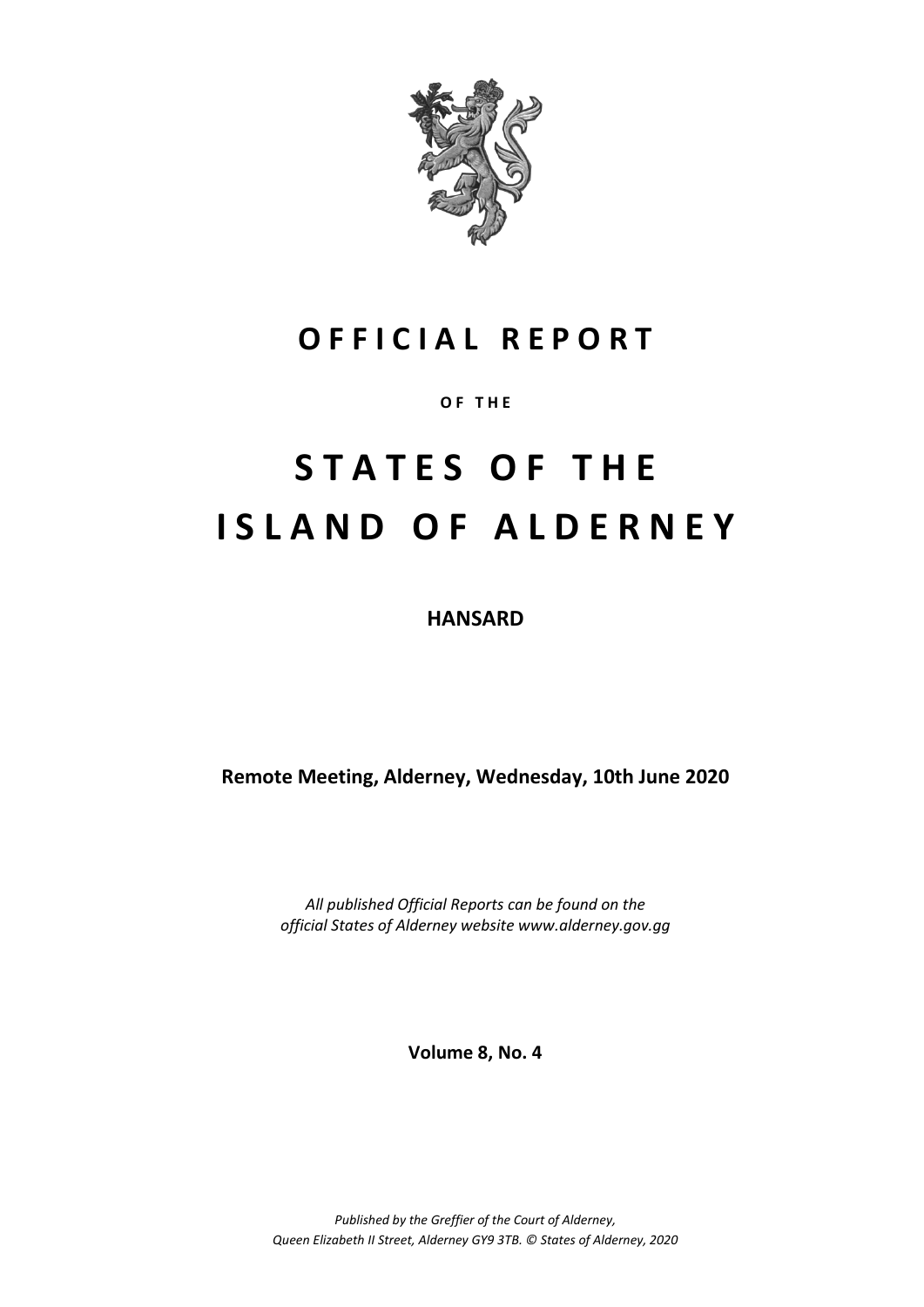

## **O F F I C I A L R E P O R T**

**O F T H E**

# **S T A T E S O F T H E I S L A N D O F A L D E R N E Y**

**HANSARD**

**Remote Meeting, Alderney, Wednesday, 10th June 2020**

*All published Official Reports can be found on the official States of Alderney website www.alderney.gov.gg*

**Volume 8, No. 4**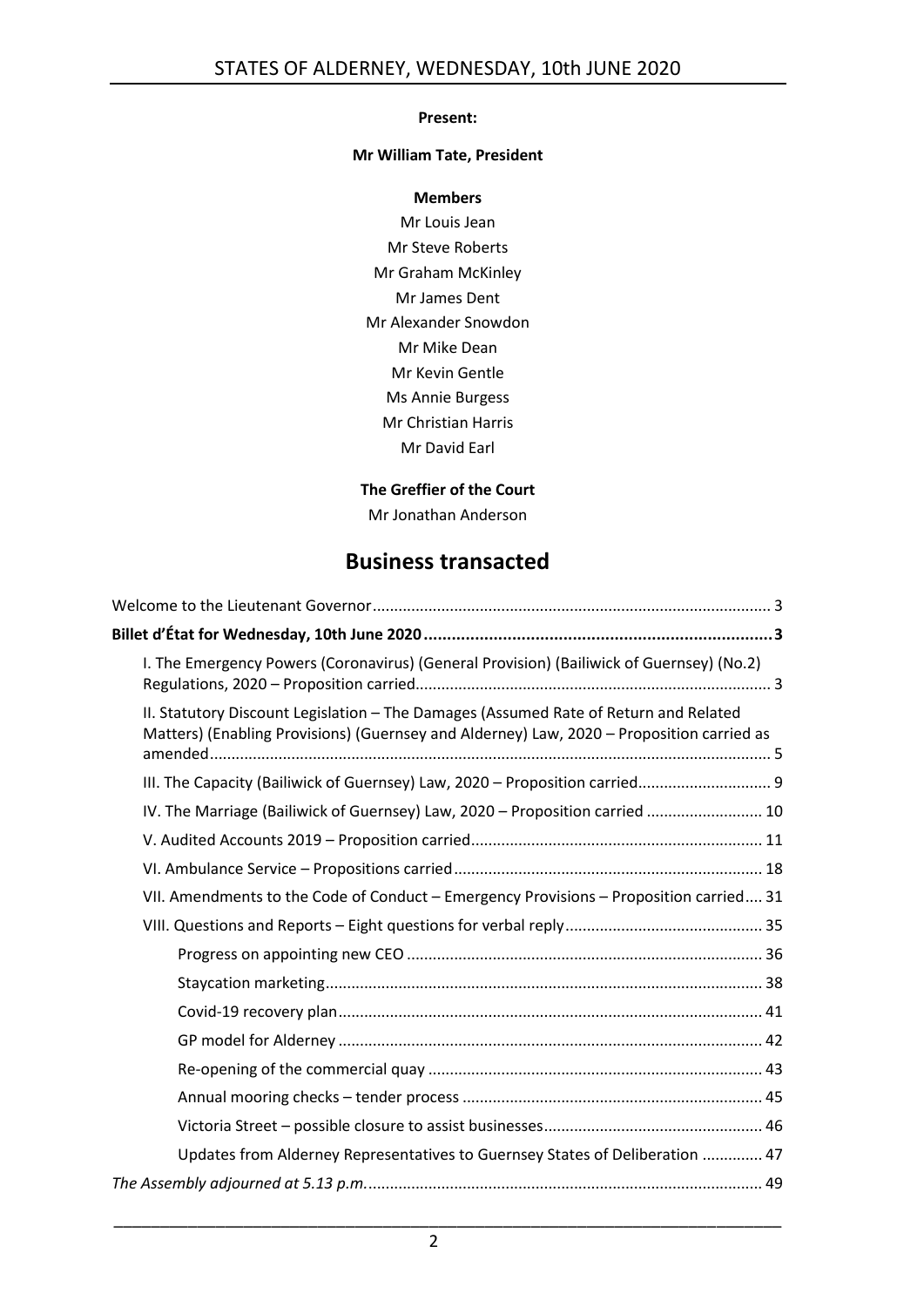### **Present:**

### **Mr William Tate, President**

**Members** Mr Louis Jean Mr Steve Roberts Mr Graham McKinley Mr James Dent Mr Alexander Snowdon Mr Mike Dean Mr Kevin Gentle Ms Annie Burgess Mr Christian Harris Mr David Earl

### **The Greffier of the Court**

Mr Jonathan Anderson

## **Business transacted**

| I. The Emergency Powers (Coronavirus) (General Provision) (Bailiwick of Guernsey) (No.2)                                                                                          |
|-----------------------------------------------------------------------------------------------------------------------------------------------------------------------------------|
| II. Statutory Discount Legislation - The Damages (Assumed Rate of Return and Related<br>Matters) (Enabling Provisions) (Guernsey and Alderney) Law, 2020 - Proposition carried as |
| III. The Capacity (Bailiwick of Guernsey) Law, 2020 - Proposition carried 9                                                                                                       |
| IV. The Marriage (Bailiwick of Guernsey) Law, 2020 - Proposition carried  10                                                                                                      |
|                                                                                                                                                                                   |
|                                                                                                                                                                                   |
| VII. Amendments to the Code of Conduct - Emergency Provisions - Proposition carried 31                                                                                            |
|                                                                                                                                                                                   |
|                                                                                                                                                                                   |
|                                                                                                                                                                                   |
|                                                                                                                                                                                   |
|                                                                                                                                                                                   |
|                                                                                                                                                                                   |
|                                                                                                                                                                                   |
|                                                                                                                                                                                   |
| Updates from Alderney Representatives to Guernsey States of Deliberation  47                                                                                                      |
|                                                                                                                                                                                   |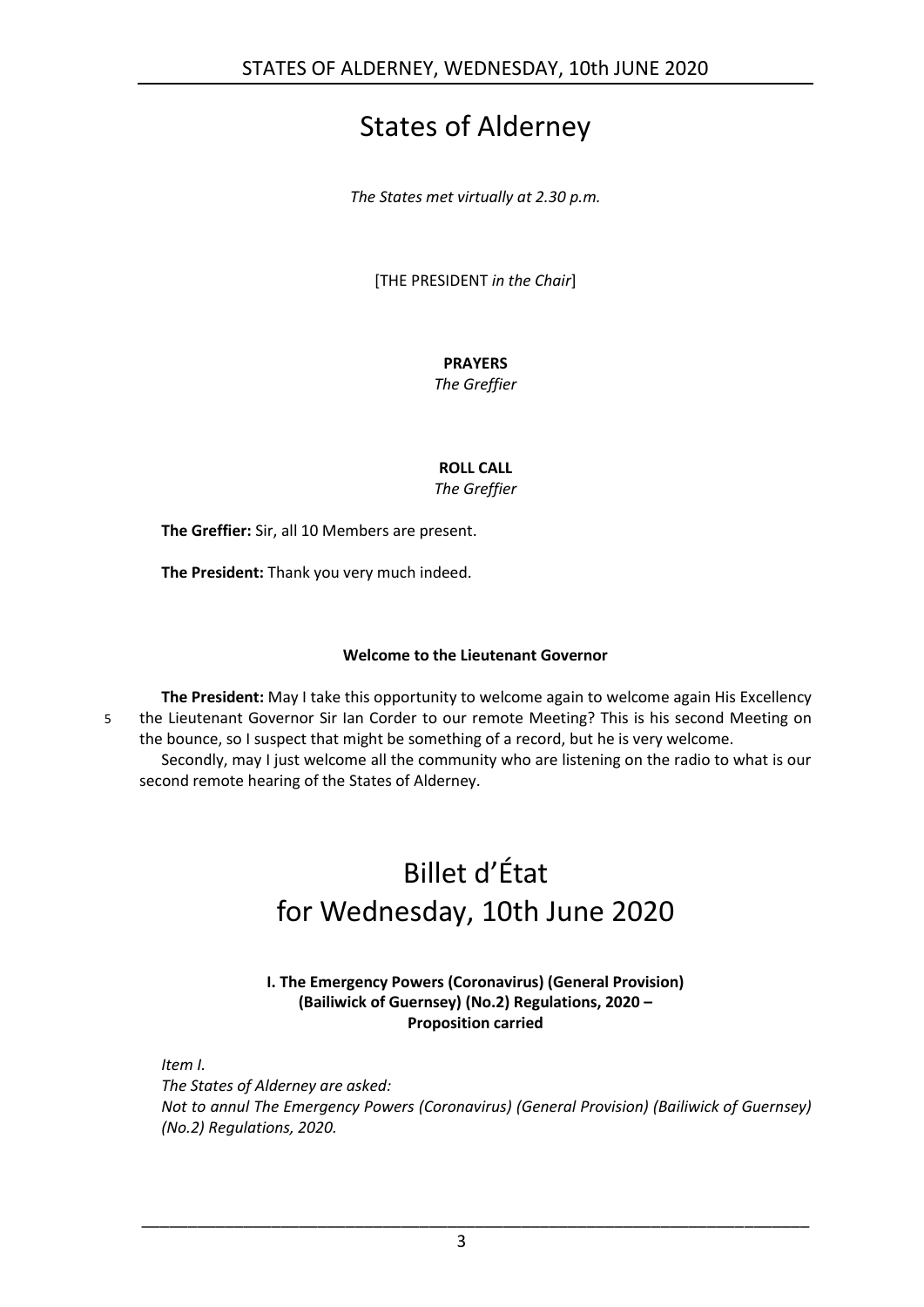## States of Alderney

*The States met virtually at 2.30 p.m.*

[THE PRESIDENT *in the Chair*]

### **PRAYERS**

*The Greffier*

**ROLL CALL**

*The Greffier*

**The Greffier:** Sir, all 10 Members are present.

**The President:** Thank you very much indeed.

### **Welcome to the Lieutenant Governor**

<span id="page-2-0"></span>**The President:** May I take this opportunity to welcome again to welcome again His Excellency 5 the Lieutenant Governor Sir Ian Corder to our remote Meeting? This is his second Meeting on the bounce, so I suspect that might be something of a record, but he is very welcome. Secondly, may I just welcome all the community who are listening on the radio to what is our second remote hearing of the States of Alderney.

## <span id="page-2-1"></span>Billet d'État for Wednesday, 10th June 2020

### **I. The Emergency Powers (Coronavirus) (General Provision) (Bailiwick of Guernsey) (No.2) Regulations, 2020 – Proposition carried**

<span id="page-2-2"></span>*Item I.*

*The States of Alderney are asked: Not to annul The Emergency Powers (Coronavirus) (General Provision) (Bailiwick of Guernsey) (No.2) Regulations, 2020.*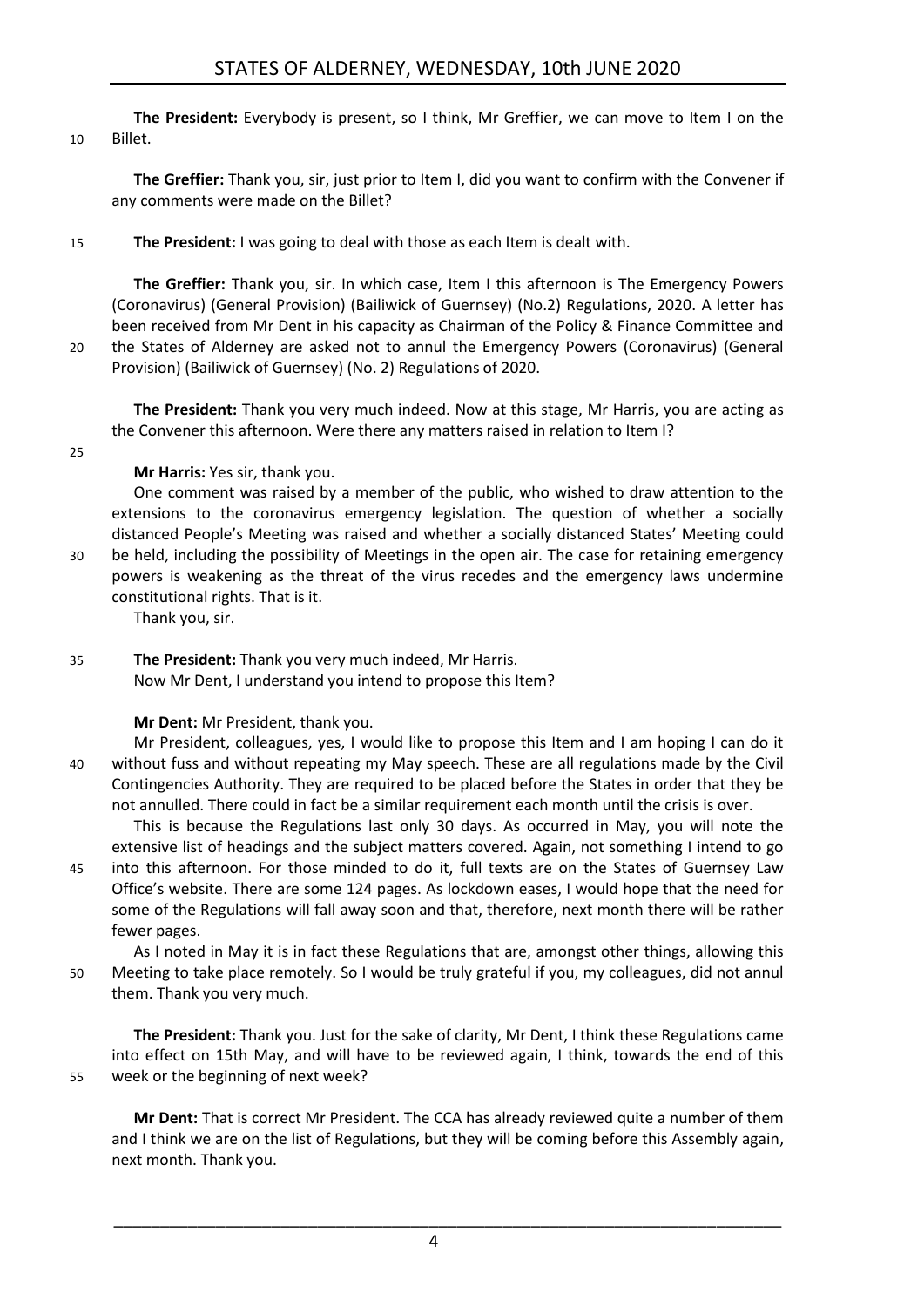**The President:** Everybody is present, so I think, Mr Greffier, we can move to Item I on the 10 Billet.

**The Greffier:** Thank you, sir, just prior to Item I, did you want to confirm with the Convener if any comments were made on the Billet?

15 **The President:** I was going to deal with those as each Item is dealt with.

**The Greffier:** Thank you, sir. In which case, Item I this afternoon is The Emergency Powers (Coronavirus) (General Provision) (Bailiwick of Guernsey) (No.2) Regulations, 2020. A letter has been received from Mr Dent in his capacity as Chairman of the Policy & Finance Committee and 20 the States of Alderney are asked not to annul the Emergency Powers (Coronavirus) (General Provision) (Bailiwick of Guernsey) (No. 2) Regulations of 2020.

**The President:** Thank you very much indeed. Now at this stage, Mr Harris, you are acting as the Convener this afternoon. Were there any matters raised in relation to Item I?

25

**Mr Harris:** Yes sir, thank you.

One comment was raised by a member of the public, who wished to draw attention to the extensions to the coronavirus emergency legislation. The question of whether a socially distanced People's Meeting was raised and whether a socially distanced States' Meeting could 30 be held, including the possibility of Meetings in the open air. The case for retaining emergency powers is weakening as the threat of the virus recedes and the emergency laws undermine

constitutional rights. That is it. Thank you, sir.

35 **The President:** Thank you very much indeed, Mr Harris. Now Mr Dent, I understand you intend to propose this Item?

**Mr Dent:** Mr President, thank you.

Mr President, colleagues, yes, I would like to propose this Item and I am hoping I can do it 40 without fuss and without repeating my May speech. These are all regulations made by the Civil Contingencies Authority. They are required to be placed before the States in order that they be not annulled. There could in fact be a similar requirement each month until the crisis is over.

This is because the Regulations last only 30 days. As occurred in May, you will note the extensive list of headings and the subject matters covered. Again, not something I intend to go 45 into this afternoon. For those minded to do it, full texts are on the States of Guernsey Law Office's website. There are some 124 pages. As lockdown eases, I would hope that the need for some of the Regulations will fall away soon and that, therefore, next month there will be rather fewer pages.

As I noted in May it is in fact these Regulations that are, amongst other things, allowing this 50 Meeting to take place remotely. So I would be truly grateful if you, my colleagues, did not annul them. Thank you very much.

**The President:** Thank you. Just for the sake of clarity, Mr Dent, I think these Regulations came into effect on 15th May, and will have to be reviewed again, I think, towards the end of this 55 week or the beginning of next week?

**Mr Dent:** That is correct Mr President. The CCA has already reviewed quite a number of them and I think we are on the list of Regulations, but they will be coming before this Assembly again, next month. Thank you.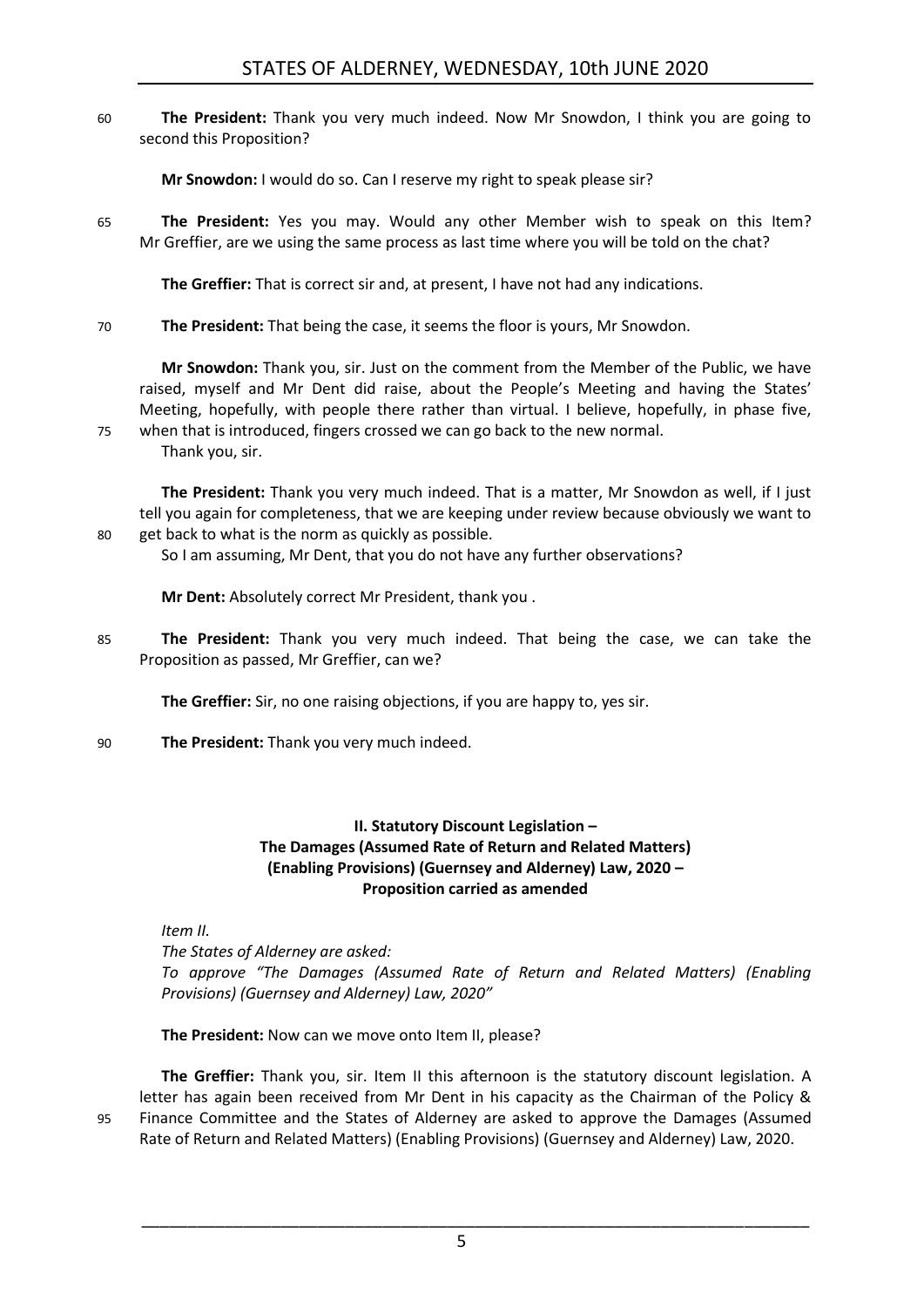60 **The President:** Thank you very much indeed. Now Mr Snowdon, I think you are going to second this Proposition?

**Mr Snowdon:** I would do so. Can I reserve my right to speak please sir?

65 **The President:** Yes you may. Would any other Member wish to speak on this Item? Mr Greffier, are we using the same process as last time where you will be told on the chat?

**The Greffier:** That is correct sir and, at present, I have not had any indications.

70 **The President:** That being the case, it seems the floor is yours, Mr Snowdon.

**Mr Snowdon:** Thank you, sir. Just on the comment from the Member of the Public, we have raised, myself and Mr Dent did raise, about the People's Meeting and having the States' Meeting, hopefully, with people there rather than virtual. I believe, hopefully, in phase five, 75 when that is introduced, fingers crossed we can go back to the new normal.

Thank you, sir.

**The President:** Thank you very much indeed. That is a matter, Mr Snowdon as well, if I just tell you again for completeness, that we are keeping under review because obviously we want to 80 get back to what is the norm as quickly as possible.

So I am assuming, Mr Dent, that you do not have any further observations?

**Mr Dent:** Absolutely correct Mr President, thank you .

85 **The President:** Thank you very much indeed. That being the case, we can take the Proposition as passed, Mr Greffier, can we?

**The Greffier:** Sir, no one raising objections, if you are happy to, yes sir.

<span id="page-4-0"></span>90 **The President:** Thank you very much indeed.

### **II. Statutory Discount Legislation – The Damages (Assumed Rate of Return and Related Matters) (Enabling Provisions) (Guernsey and Alderney) Law, 2020 – Proposition carried as amended**

*Item II.*

*The States of Alderney are asked: To approve "The Damages (Assumed Rate of Return and Related Matters) (Enabling Provisions) (Guernsey and Alderney) Law, 2020"*

**The President:** Now can we move onto Item II, please?

**The Greffier:** Thank you, sir. Item II this afternoon is the statutory discount legislation. A letter has again been received from Mr Dent in his capacity as the Chairman of the Policy & 95 Finance Committee and the States of Alderney are asked to approve the Damages (Assumed Rate of Return and Related Matters) (Enabling Provisions) (Guernsey and Alderney) Law, 2020.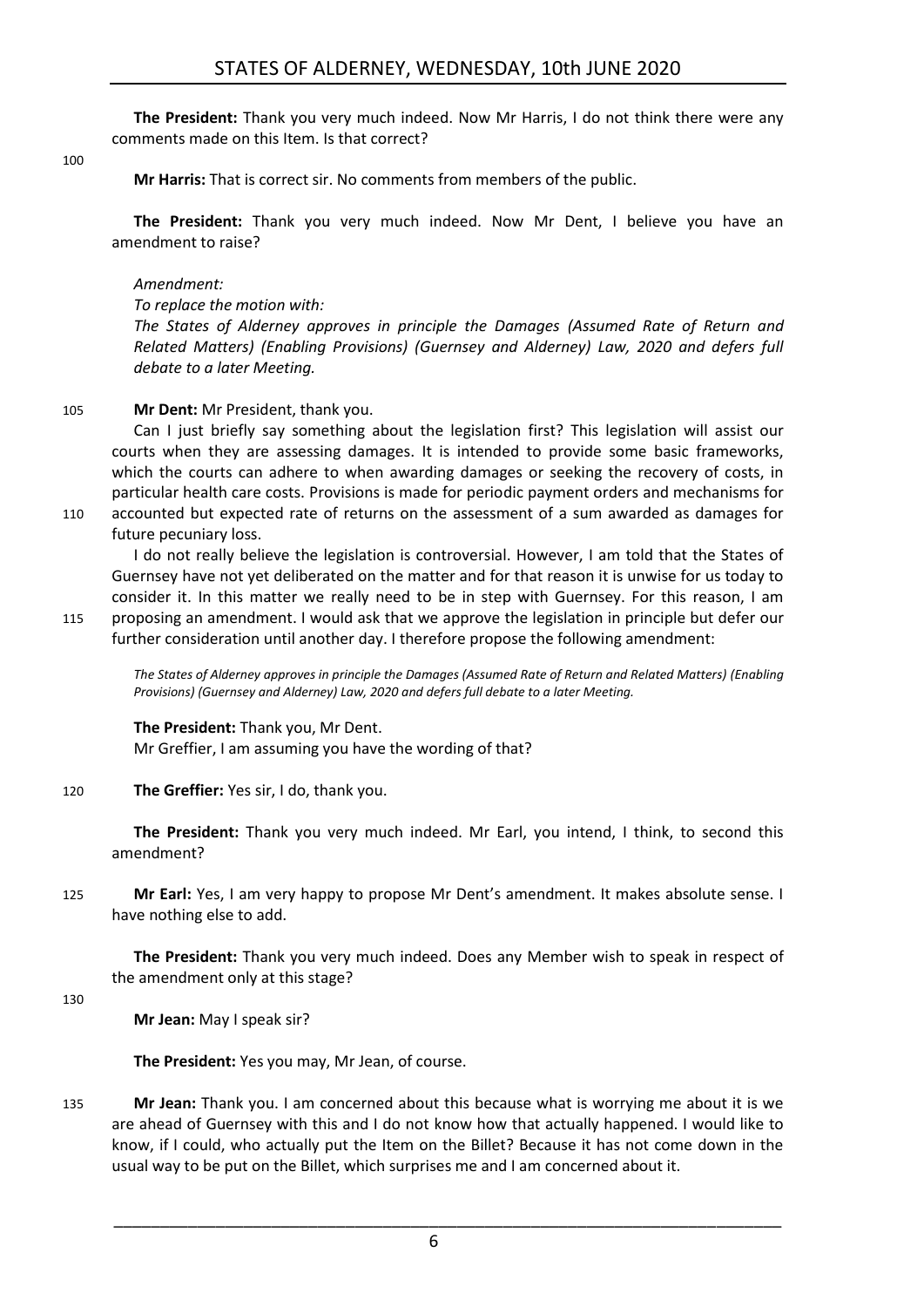**The President:** Thank you very much indeed. Now Mr Harris, I do not think there were any comments made on this Item. Is that correct?

100

**Mr Harris:** That is correct sir. No comments from members of the public.

**The President:** Thank you very much indeed. Now Mr Dent, I believe you have an amendment to raise?

### *Amendment:*

*To replace the motion with:*

*The States of Alderney approves in principle the Damages (Assumed Rate of Return and Related Matters) (Enabling Provisions) (Guernsey and Alderney) Law, 2020 and defers full debate to a later Meeting.*

### 105 **Mr Dent:** Mr President, thank you.

Can I just briefly say something about the legislation first? This legislation will assist our courts when they are assessing damages. It is intended to provide some basic frameworks, which the courts can adhere to when awarding damages or seeking the recovery of costs, in particular health care costs. Provisions is made for periodic payment orders and mechanisms for

110 accounted but expected rate of returns on the assessment of a sum awarded as damages for future pecuniary loss.

I do not really believe the legislation is controversial. However, I am told that the States of Guernsey have not yet deliberated on the matter and for that reason it is unwise for us today to consider it. In this matter we really need to be in step with Guernsey. For this reason, I am 115 proposing an amendment. I would ask that we approve the legislation in principle but defer our

further consideration until another day. I therefore propose the following amendment:

*The States of Alderney approves in principle the Damages (Assumed Rate of Return and Related Matters) (Enabling Provisions) (Guernsey and Alderney) Law, 2020 and defers full debate to a later Meeting.*

### **The President:** Thank you, Mr Dent.

Mr Greffier, I am assuming you have the wording of that?

120 **The Greffier:** Yes sir, I do, thank you.

**The President:** Thank you very much indeed. Mr Earl, you intend, I think, to second this amendment?

125 **Mr Earl:** Yes, I am very happy to propose Mr Dent's amendment. It makes absolute sense. I have nothing else to add.

**The President:** Thank you very much indeed. Does any Member wish to speak in respect of the amendment only at this stage?

130

**Mr Jean:** May I speak sir?

**The President:** Yes you may, Mr Jean, of course.

135 **Mr Jean:** Thank you. I am concerned about this because what is worrying me about it is we are ahead of Guernsey with this and I do not know how that actually happened. I would like to know, if I could, who actually put the Item on the Billet? Because it has not come down in the usual way to be put on the Billet, which surprises me and I am concerned about it.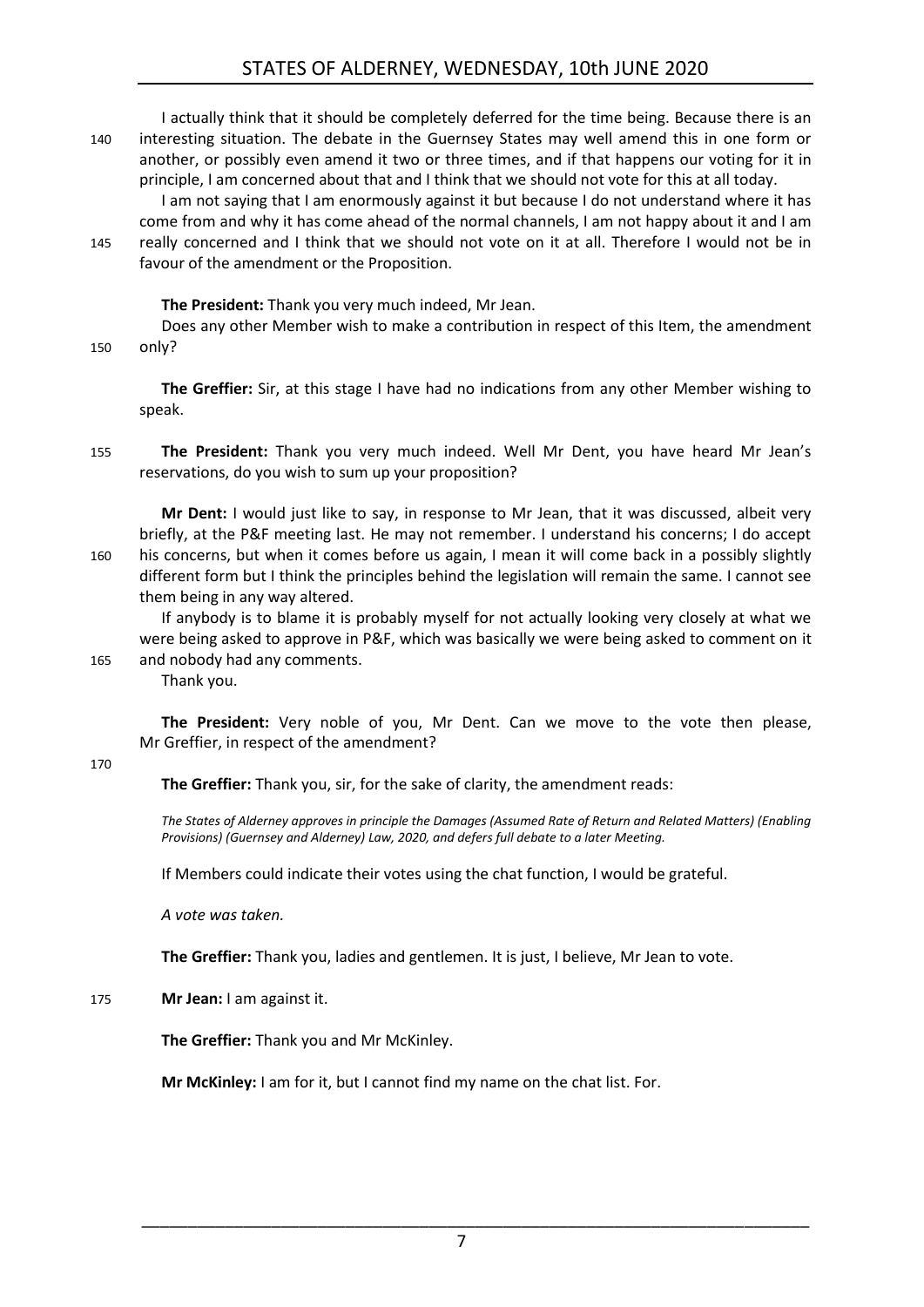### STATES OF ALDERNEY, WEDNESDAY, 10th JUNE 2020

I actually think that it should be completely deferred for the time being. Because there is an 140 interesting situation. The debate in the Guernsey States may well amend this in one form or another, or possibly even amend it two or three times, and if that happens our voting for it in principle, I am concerned about that and I think that we should not vote for this at all today.

I am not saying that I am enormously against it but because I do not understand where it has come from and why it has come ahead of the normal channels, I am not happy about it and I am 145 really concerned and I think that we should not vote on it at all. Therefore I would not be in favour of the amendment or the Proposition.

**The President:** Thank you very much indeed, Mr Jean.

Does any other Member wish to make a contribution in respect of this Item, the amendment 150 only?

**The Greffier:** Sir, at this stage I have had no indications from any other Member wishing to speak.

155 **The President:** Thank you very much indeed. Well Mr Dent, you have heard Mr Jean's reservations, do you wish to sum up your proposition?

**Mr Dent:** I would just like to say, in response to Mr Jean, that it was discussed, albeit very briefly, at the P&F meeting last. He may not remember. I understand his concerns; I do accept 160 his concerns, but when it comes before us again, I mean it will come back in a possibly slightly different form but I think the principles behind the legislation will remain the same. I cannot see them being in any way altered.

If anybody is to blame it is probably myself for not actually looking very closely at what we were being asked to approve in P&F, which was basically we were being asked to comment on it 165 and nobody had any comments.

Thank you.

**The President:** Very noble of you, Mr Dent. Can we move to the vote then please, Mr Greffier, in respect of the amendment?

#### 170

**The Greffier:** Thank you, sir, for the sake of clarity, the amendment reads:

*The States of Alderney approves in principle the Damages (Assumed Rate of Return and Related Matters) (Enabling Provisions) (Guernsey and Alderney) Law, 2020, and defers full debate to a later Meeting.*

If Members could indicate their votes using the chat function, I would be grateful.

*A vote was taken.*

**The Greffier:** Thank you, ladies and gentlemen. It is just, I believe, Mr Jean to vote.

### 175 **Mr Jean:** I am against it.

**The Greffier:** Thank you and Mr McKinley.

**Mr McKinley:** I am for it, but I cannot find my name on the chat list. For.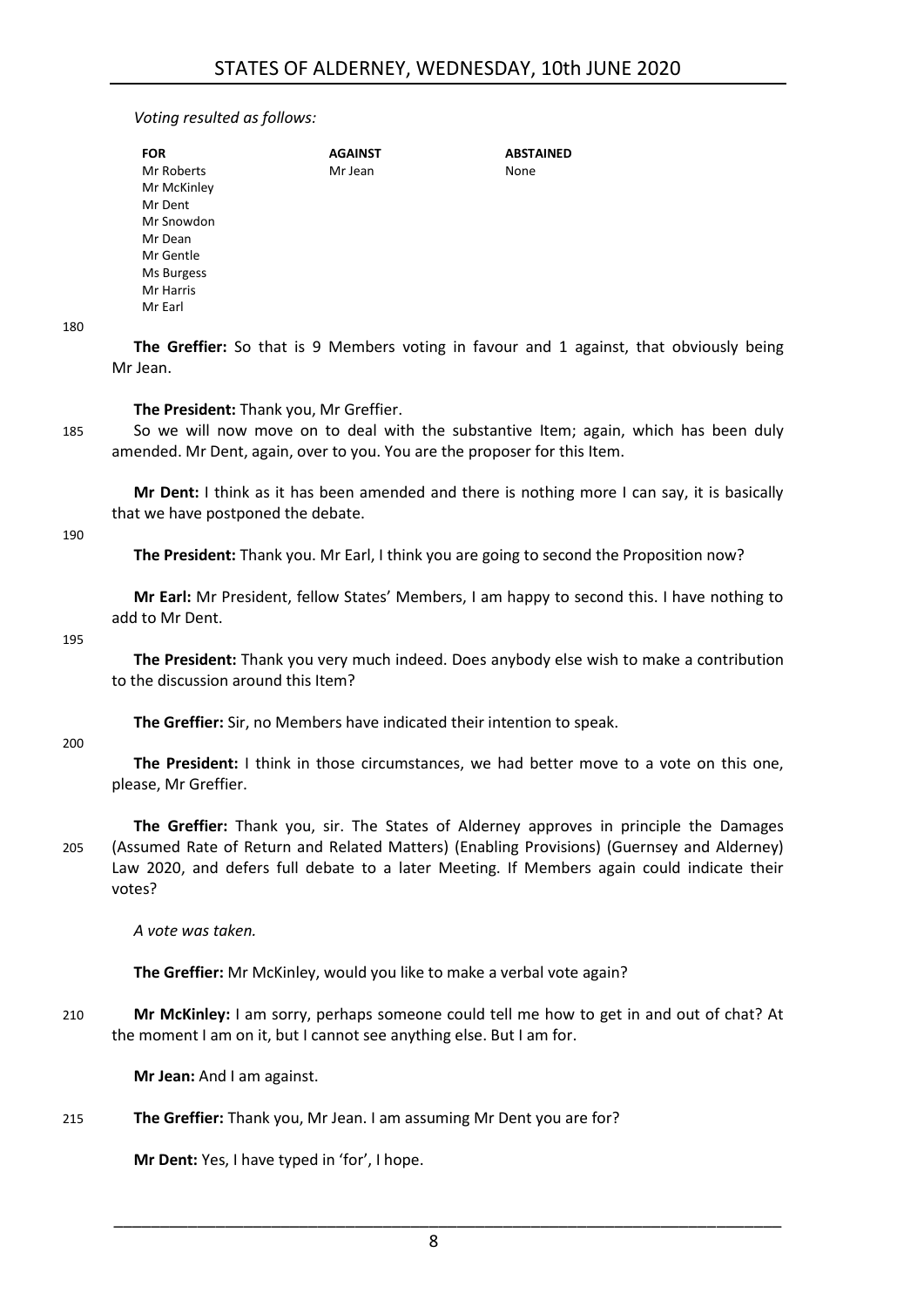### *Voting resulted as follows:*

| <b>FOR</b>  | <b>AGAINST</b> | <b>ABSTAINED</b> |
|-------------|----------------|------------------|
| Mr Roberts  | Mr Jean        | None             |
| Mr McKinley |                |                  |
| Mr Dent     |                |                  |
| Mr Snowdon  |                |                  |
| Mr Dean     |                |                  |
| Mr Gentle   |                |                  |
| Ms Burgess  |                |                  |
| Mr Harris   |                |                  |
| Mr Earl     |                |                  |
|             |                |                  |

**The Greffier:** So that is 9 Members voting in favour and 1 against, that obviously being Mr Jean.

**The President:** Thank you, Mr Greffier.

185 So we will now move on to deal with the substantive Item; again, which has been duly amended. Mr Dent, again, over to you. You are the proposer for this Item.

**Mr Dent:** I think as it has been amended and there is nothing more I can say, it is basically that we have postponed the debate.

190

180

**The President:** Thank you. Mr Earl, I think you are going to second the Proposition now?

**Mr Earl:** Mr President, fellow States' Members, I am happy to second this. I have nothing to add to Mr Dent.

195

**The President:** Thank you very much indeed. Does anybody else wish to make a contribution to the discussion around this Item?

**The Greffier:** Sir, no Members have indicated their intention to speak.

200

**The President:** I think in those circumstances, we had better move to a vote on this one, please, Mr Greffier.

**The Greffier:** Thank you, sir. The States of Alderney approves in principle the Damages 205 (Assumed Rate of Return and Related Matters) (Enabling Provisions) (Guernsey and Alderney) Law 2020, and defers full debate to a later Meeting. If Members again could indicate their votes?

*A vote was taken.*

**The Greffier:** Mr McKinley, would you like to make a verbal vote again?

210 **Mr McKinley:** I am sorry, perhaps someone could tell me how to get in and out of chat? At the moment I am on it, but I cannot see anything else. But I am for.

**Mr Jean:** And I am against.

### 215 **The Greffier:** Thank you, Mr Jean. I am assuming Mr Dent you are for?

**Mr Dent:** Yes, I have typed in 'for', I hope.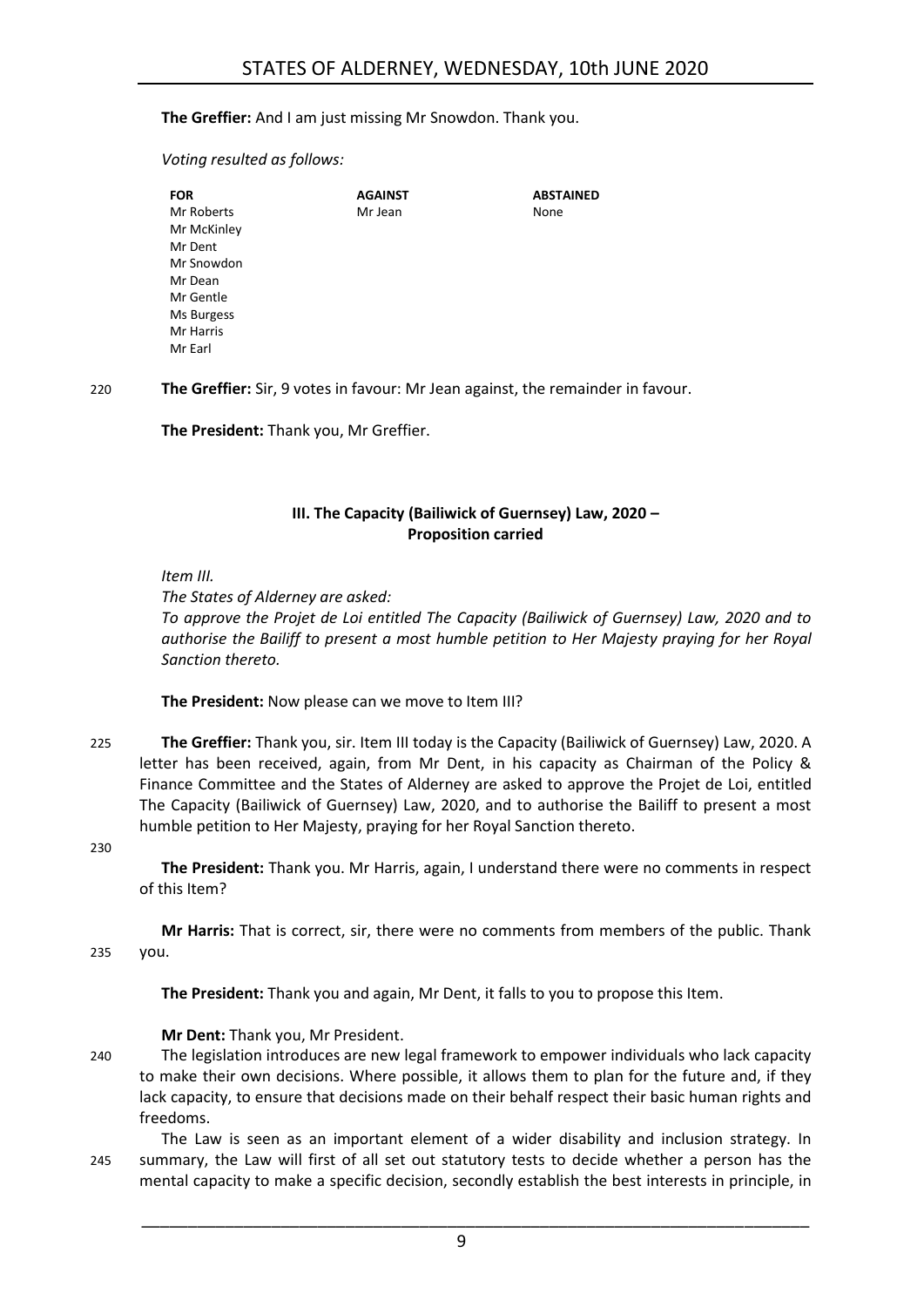**The Greffier:** And I am just missing Mr Snowdon. Thank you.

*Voting resulted as follows:*

| FOR         | <b>AGAINST</b> | <b>ABSTAINED</b> |
|-------------|----------------|------------------|
| Mr Roberts  | Mr Jean        | None             |
| Mr McKinley |                |                  |
| Mr Dent     |                |                  |
| Mr Snowdon  |                |                  |
| Mr Dean     |                |                  |
| Mr Gentle   |                |                  |
| Ms Burgess  |                |                  |
| Mr Harris   |                |                  |
| Mr Earl     |                |                  |

220 **The Greffier:** Sir, 9 votes in favour: Mr Jean against, the remainder in favour.

**The President:** Thank you, Mr Greffier.

### **III. The Capacity (Bailiwick of Guernsey) Law, 2020 – Proposition carried**

<span id="page-8-0"></span>*Item III.*

*The States of Alderney are asked:*

*To approve the Projet de Loi entitled The Capacity (Bailiwick of Guernsey) Law, 2020 and to authorise the Bailiff to present a most humble petition to Her Majesty praying for her Royal Sanction thereto.*

**The President:** Now please can we move to Item III?

225 **The Greffier:** Thank you, sir. Item III today is the Capacity (Bailiwick of Guernsey) Law, 2020. A letter has been received, again, from Mr Dent, in his capacity as Chairman of the Policy & Finance Committee and the States of Alderney are asked to approve the Projet de Loi, entitled The Capacity (Bailiwick of Guernsey) Law, 2020, and to authorise the Bailiff to present a most humble petition to Her Majesty, praying for her Royal Sanction thereto.

230

**The President:** Thank you. Mr Harris, again, I understand there were no comments in respect of this Item?

**Mr Harris:** That is correct, sir, there were no comments from members of the public. Thank 235 you.

**The President:** Thank you and again, Mr Dent, it falls to you to propose this Item.

**Mr Dent:** Thank you, Mr President.

240 The legislation introduces are new legal framework to empower individuals who lack capacity to make their own decisions. Where possible, it allows them to plan for the future and, if they lack capacity, to ensure that decisions made on their behalf respect their basic human rights and freedoms.

The Law is seen as an important element of a wider disability and inclusion strategy. In 245 summary, the Law will first of all set out statutory tests to decide whether a person has the mental capacity to make a specific decision, secondly establish the best interests in principle, in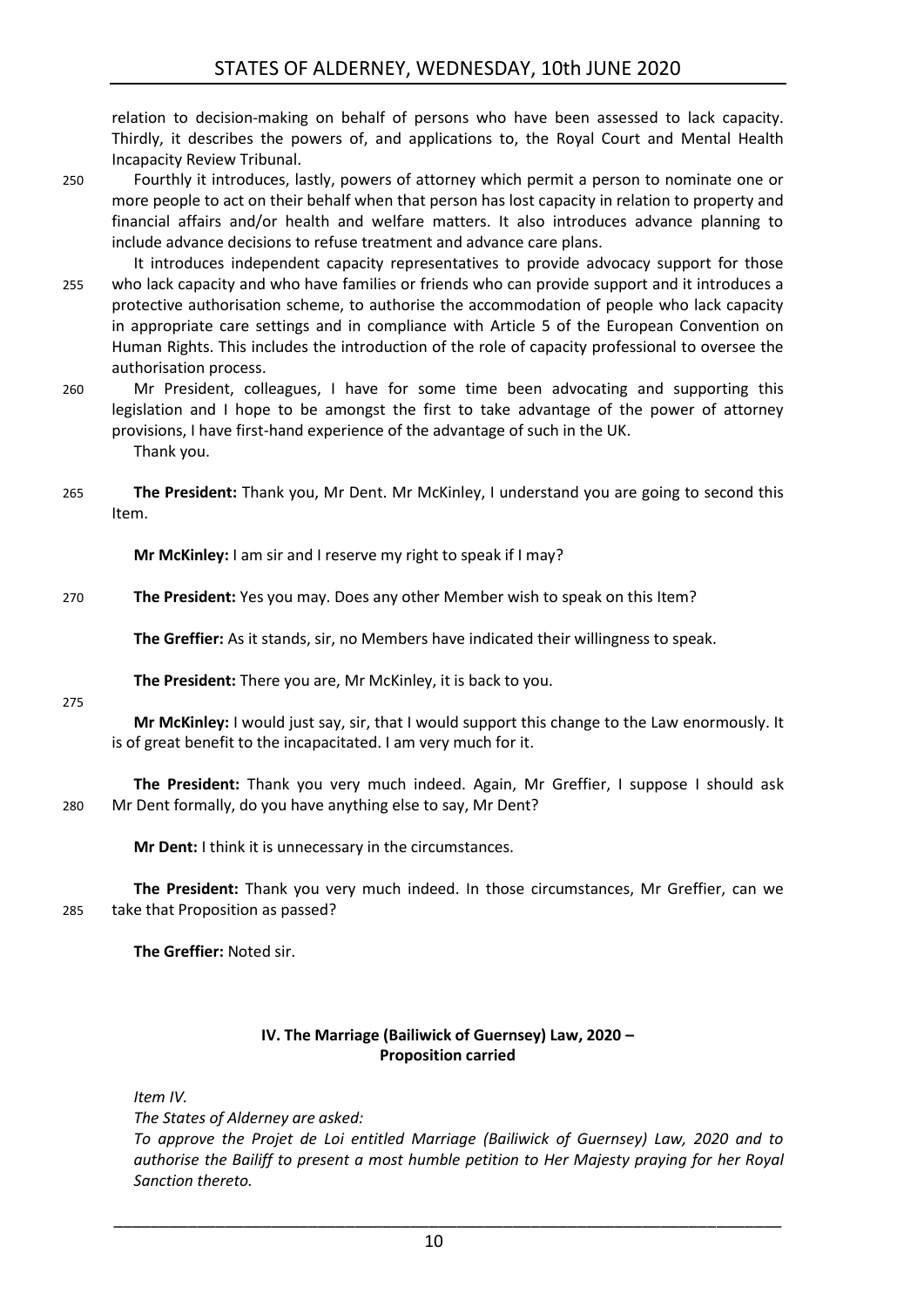relation to decision-making on behalf of persons who have been assessed to lack capacity. Thirdly, it describes the powers of, and applications to, the Royal Court and Mental Health Incapacity Review Tribunal.

- 250 Fourthly it introduces, lastly, powers of attorney which permit a person to nominate one or more people to act on their behalf when that person has lost capacity in relation to property and financial affairs and/or health and welfare matters. It also introduces advance planning to include advance decisions to refuse treatment and advance care plans.
- It introduces independent capacity representatives to provide advocacy support for those 255 who lack capacity and who have families or friends who can provide support and it introduces a protective authorisation scheme, to authorise the accommodation of people who lack capacity in appropriate care settings and in compliance with Article 5 of the European Convention on Human Rights. This includes the introduction of the role of capacity professional to oversee the authorisation process.
- 260 Mr President, colleagues, I have for some time been advocating and supporting this legislation and I hope to be amongst the first to take advantage of the power of attorney provisions, I have first-hand experience of the advantage of such in the UK. Thank you.
- 265 **The President:** Thank you, Mr Dent. Mr McKinley, I understand you are going to second this Item.

**Mr McKinley:** I am sir and I reserve my right to speak if I may?

270 **The President:** Yes you may. Does any other Member wish to speak on this Item?

**The Greffier:** As it stands, sir, no Members have indicated their willingness to speak.

**The President:** There you are, Mr McKinley, it is back to you.

275

**Mr McKinley:** I would just say, sir, that I would support this change to the Law enormously. It is of great benefit to the incapacitated. I am very much for it.

**The President:** Thank you very much indeed. Again, Mr Greffier, I suppose I should ask 280 Mr Dent formally, do you have anything else to say, Mr Dent?

**Mr Dent:** I think it is unnecessary in the circumstances.

**The President:** Thank you very much indeed. In those circumstances, Mr Greffier, can we 285 take that Proposition as passed?

**The Greffier:** Noted sir.

### **IV. The Marriage (Bailiwick of Guernsey) Law, 2020 – Proposition carried**

<span id="page-9-0"></span>*Item IV.*

*The States of Alderney are asked:*

*To approve the Projet de Loi entitled Marriage (Bailiwick of Guernsey) Law, 2020 and to authorise the Bailiff to present a most humble petition to Her Majesty praying for her Royal Sanction thereto.*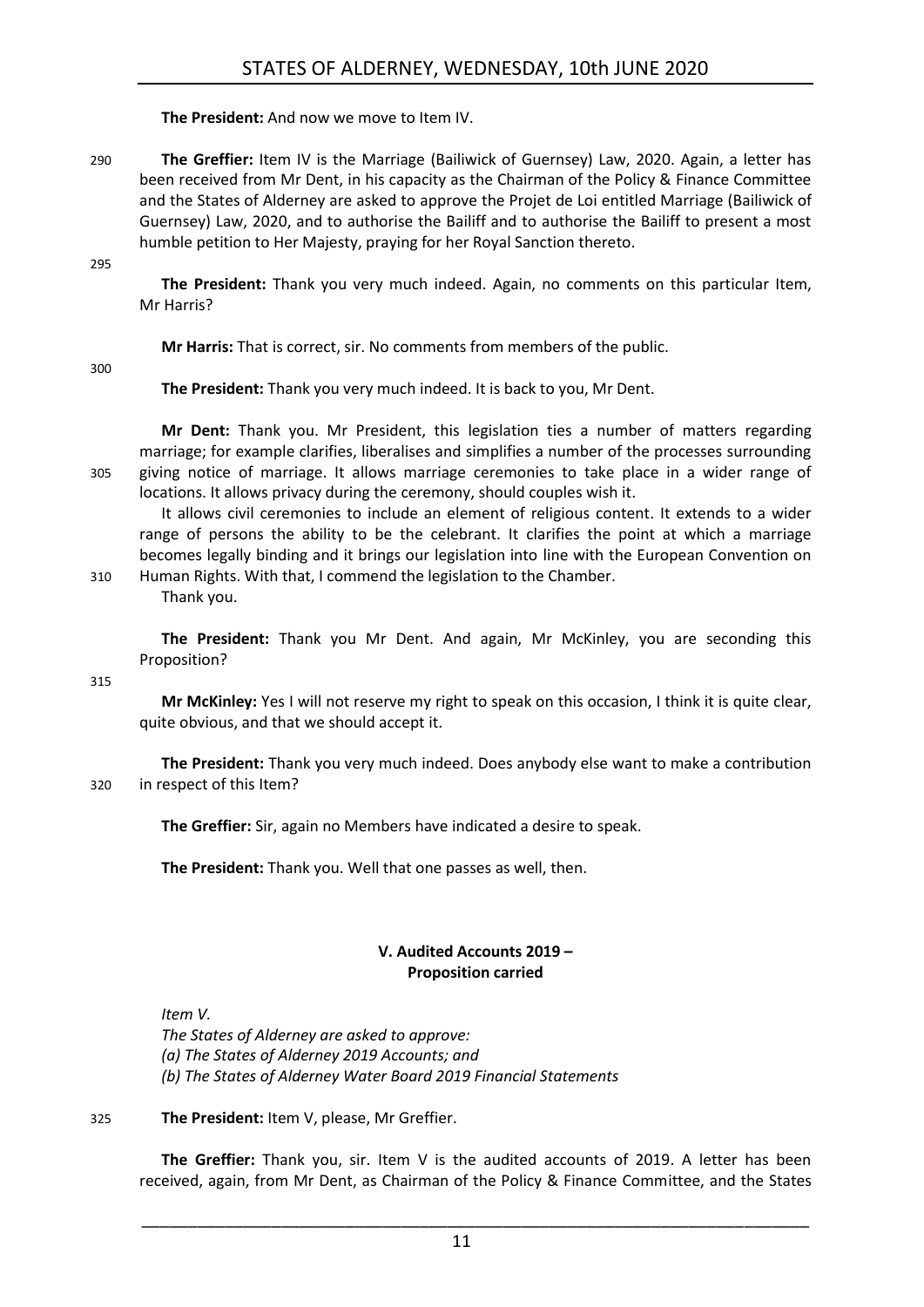**The President:** And now we move to Item IV.

290 **The Greffier:** Item IV is the Marriage (Bailiwick of Guernsey) Law, 2020. Again, a letter has been received from Mr Dent, in his capacity as the Chairman of the Policy & Finance Committee and the States of Alderney are asked to approve the Projet de Loi entitled Marriage (Bailiwick of Guernsey) Law, 2020, and to authorise the Bailiff and to authorise the Bailiff to present a most humble petition to Her Majesty, praying for her Royal Sanction thereto.

295

**The President:** Thank you very much indeed. Again, no comments on this particular Item, Mr Harris?

**Mr Harris:** That is correct, sir. No comments from members of the public.

300

**The President:** Thank you very much indeed. It is back to you, Mr Dent.

**Mr Dent:** Thank you. Mr President, this legislation ties a number of matters regarding marriage; for example clarifies, liberalises and simplifies a number of the processes surrounding 305 giving notice of marriage. It allows marriage ceremonies to take place in a wider range of locations. It allows privacy during the ceremony, should couples wish it.

It allows civil ceremonies to include an element of religious content. It extends to a wider range of persons the ability to be the celebrant. It clarifies the point at which a marriage becomes legally binding and it brings our legislation into line with the European Convention on 310 Human Rights. With that, I commend the legislation to the Chamber.

Thank you.

**The President:** Thank you Mr Dent. And again, Mr McKinley, you are seconding this Proposition?

315

**Mr McKinley:** Yes I will not reserve my right to speak on this occasion, I think it is quite clear, quite obvious, and that we should accept it.

**The President:** Thank you very much indeed. Does anybody else want to make a contribution 320 in respect of this Item?

**The Greffier:** Sir, again no Members have indicated a desire to speak.

**The President:** Thank you. Well that one passes as well, then.

### **V. Audited Accounts 2019 – Proposition carried**

<span id="page-10-0"></span>*Item V.*

*The States of Alderney are asked to approve: (a) The States of Alderney 2019 Accounts; and (b) The States of Alderney Water Board 2019 Financial Statements*

325 **The President:** Item V, please, Mr Greffier.

**The Greffier:** Thank you, sir. Item V is the audited accounts of 2019. A letter has been received, again, from Mr Dent, as Chairman of the Policy & Finance Committee, and the States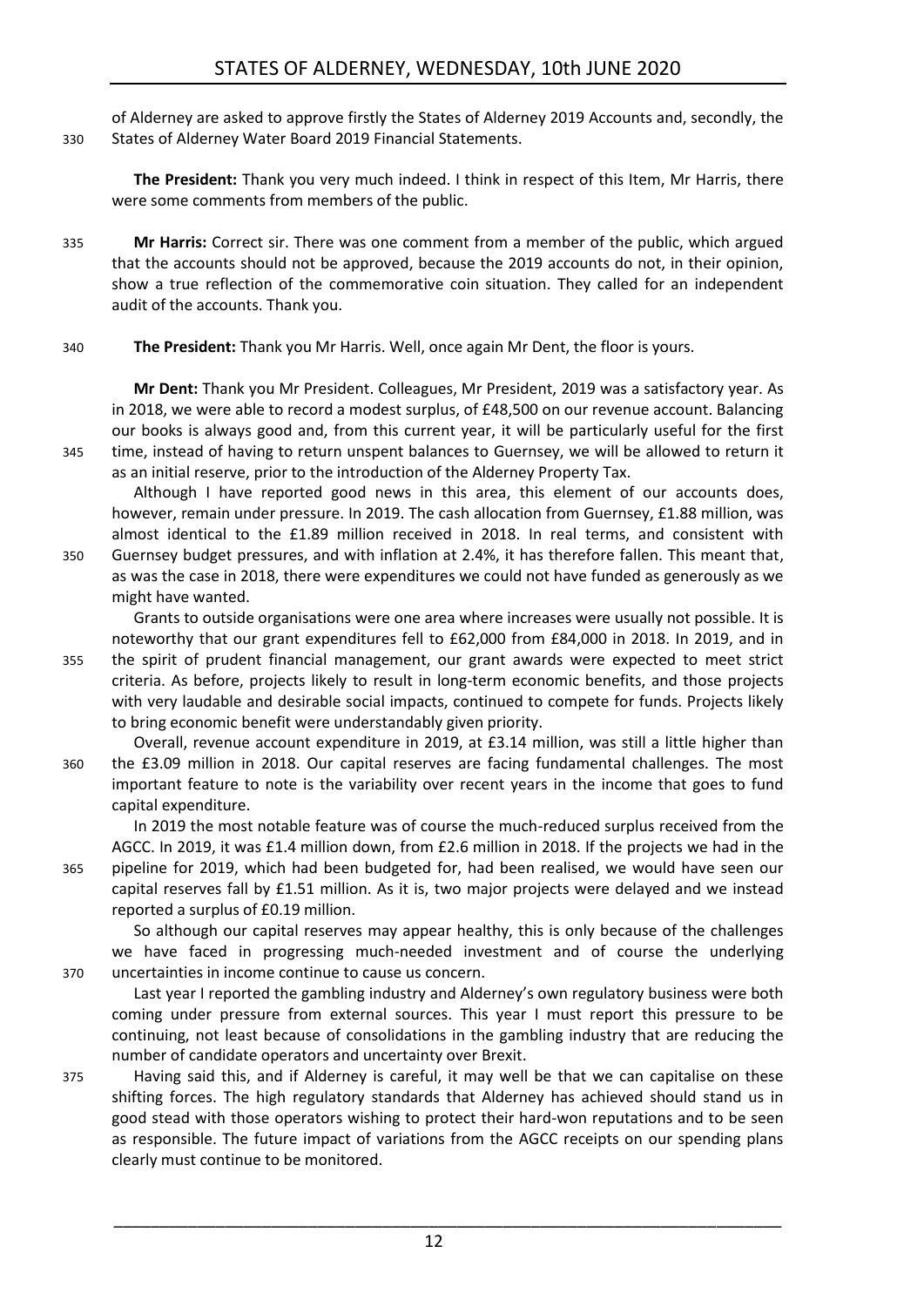of Alderney are asked to approve firstly the States of Alderney 2019 Accounts and, secondly, the 330 States of Alderney Water Board 2019 Financial Statements.

**The President:** Thank you very much indeed. I think in respect of this Item, Mr Harris, there were some comments from members of the public.

- 335 **Mr Harris:** Correct sir. There was one comment from a member of the public, which argued that the accounts should not be approved, because the 2019 accounts do not, in their opinion, show a true reflection of the commemorative coin situation. They called for an independent audit of the accounts. Thank you.
- 340 **The President:** Thank you Mr Harris. Well, once again Mr Dent, the floor is yours.

**Mr Dent:** Thank you Mr President. Colleagues, Mr President, 2019 was a satisfactory year. As in 2018, we were able to record a modest surplus, of £48,500 on our revenue account. Balancing our books is always good and, from this current year, it will be particularly useful for the first 345 time, instead of having to return unspent balances to Guernsey, we will be allowed to return it as an initial reserve, prior to the introduction of the Alderney Property Tax.

Although I have reported good news in this area, this element of our accounts does, however, remain under pressure. In 2019. The cash allocation from Guernsey, £1.88 million, was almost identical to the £1.89 million received in 2018. In real terms, and consistent with 350 Guernsey budget pressures, and with inflation at 2.4%, it has therefore fallen. This meant that,

as was the case in 2018, there were expenditures we could not have funded as generously as we might have wanted.

Grants to outside organisations were one area where increases were usually not possible. It is noteworthy that our grant expenditures fell to £62,000 from £84,000 in 2018. In 2019, and in 355 the spirit of prudent financial management, our grant awards were expected to meet strict criteria. As before, projects likely to result in long-term economic benefits, and those projects with very laudable and desirable social impacts, continued to compete for funds. Projects likely to bring economic benefit were understandably given priority.

Overall, revenue account expenditure in 2019, at £3.14 million, was still a little higher than 360 the £3.09 million in 2018. Our capital reserves are facing fundamental challenges. The most important feature to note is the variability over recent years in the income that goes to fund capital expenditure.

In 2019 the most notable feature was of course the much-reduced surplus received from the AGCC. In 2019, it was £1.4 million down, from £2.6 million in 2018. If the projects we had in the 365 pipeline for 2019, which had been budgeted for, had been realised, we would have seen our capital reserves fall by £1.51 million. As it is, two major projects were delayed and we instead reported a surplus of £0.19 million.

So although our capital reserves may appear healthy, this is only because of the challenges we have faced in progressing much-needed investment and of course the underlying 370 uncertainties in income continue to cause us concern.

Last year I reported the gambling industry and Alderney's own regulatory business were both coming under pressure from external sources. This year I must report this pressure to be continuing, not least because of consolidations in the gambling industry that are reducing the number of candidate operators and uncertainty over Brexit.

375 Having said this, and if Alderney is careful, it may well be that we can capitalise on these shifting forces. The high regulatory standards that Alderney has achieved should stand us in good stead with those operators wishing to protect their hard-won reputations and to be seen as responsible. The future impact of variations from the AGCC receipts on our spending plans clearly must continue to be monitored.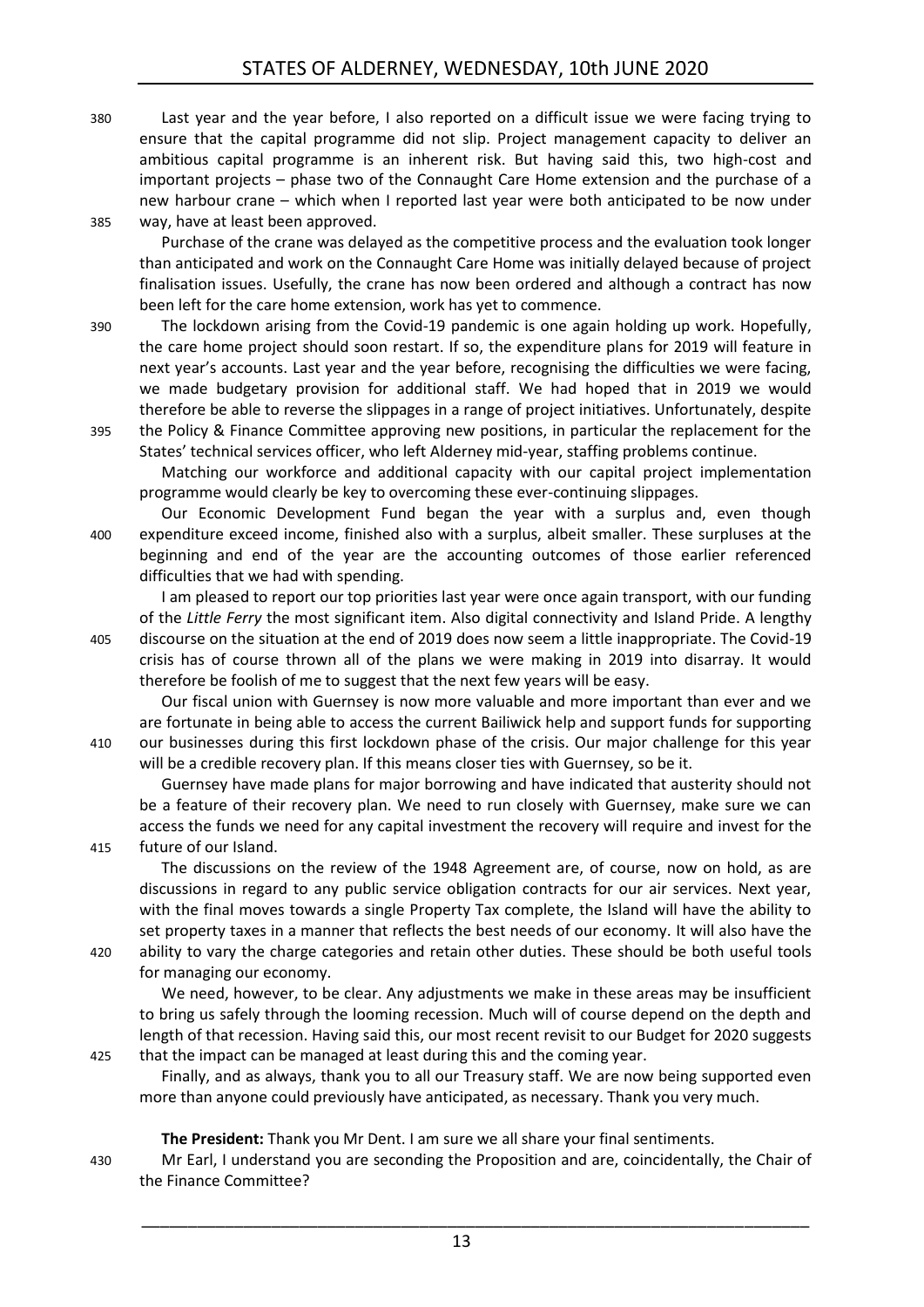380 Last year and the year before, I also reported on a difficult issue we were facing trying to ensure that the capital programme did not slip. Project management capacity to deliver an ambitious capital programme is an inherent risk. But having said this, two high-cost and important projects – phase two of the Connaught Care Home extension and the purchase of a new harbour crane – which when I reported last year were both anticipated to be now under 385 way, have at least been approved.

Purchase of the crane was delayed as the competitive process and the evaluation took longer than anticipated and work on the Connaught Care Home was initially delayed because of project finalisation issues. Usefully, the crane has now been ordered and although a contract has now been left for the care home extension, work has yet to commence.

- 390 The lockdown arising from the Covid-19 pandemic is one again holding up work. Hopefully, the care home project should soon restart. If so, the expenditure plans for 2019 will feature in next year's accounts. Last year and the year before, recognising the difficulties we were facing, we made budgetary provision for additional staff. We had hoped that in 2019 we would therefore be able to reverse the slippages in a range of project initiatives. Unfortunately, despite 395 the Policy & Finance Committee approving new positions, in particular the replacement for the
- States' technical services officer, who left Alderney mid-year, staffing problems continue. Matching our workforce and additional capacity with our capital project implementation

programme would clearly be key to overcoming these ever-continuing slippages.

Our Economic Development Fund began the year with a surplus and, even though 400 expenditure exceed income, finished also with a surplus, albeit smaller. These surpluses at the beginning and end of the year are the accounting outcomes of those earlier referenced difficulties that we had with spending.

I am pleased to report our top priorities last year were once again transport, with our funding of the *Little Ferry* the most significant item. Also digital connectivity and Island Pride. A lengthy 405 discourse on the situation at the end of 2019 does now seem a little inappropriate. The Covid-19 crisis has of course thrown all of the plans we were making in 2019 into disarray. It would therefore be foolish of me to suggest that the next few years will be easy.

Our fiscal union with Guernsey is now more valuable and more important than ever and we are fortunate in being able to access the current Bailiwick help and support funds for supporting 410 our businesses during this first lockdown phase of the crisis. Our major challenge for this year will be a credible recovery plan. If this means closer ties with Guernsey, so be it.

Guernsey have made plans for major borrowing and have indicated that austerity should not be a feature of their recovery plan. We need to run closely with Guernsey, make sure we can access the funds we need for any capital investment the recovery will require and invest for the 415 future of our Island.

The discussions on the review of the 1948 Agreement are, of course, now on hold, as are discussions in regard to any public service obligation contracts for our air services. Next year, with the final moves towards a single Property Tax complete, the Island will have the ability to set property taxes in a manner that reflects the best needs of our economy. It will also have the

420 ability to vary the charge categories and retain other duties. These should be both useful tools for managing our economy.

We need, however, to be clear. Any adjustments we make in these areas may be insufficient to bring us safely through the looming recession. Much will of course depend on the depth and length of that recession. Having said this, our most recent revisit to our Budget for 2020 suggests 425 that the impact can be managed at least during this and the coming year.

Finally, and as always, thank you to all our Treasury staff. We are now being supported even more than anyone could previously have anticipated, as necessary. Thank you very much.

**The President:** Thank you Mr Dent. I am sure we all share your final sentiments.

430 Mr Earl, I understand you are seconding the Proposition and are, coincidentally, the Chair of the Finance Committee?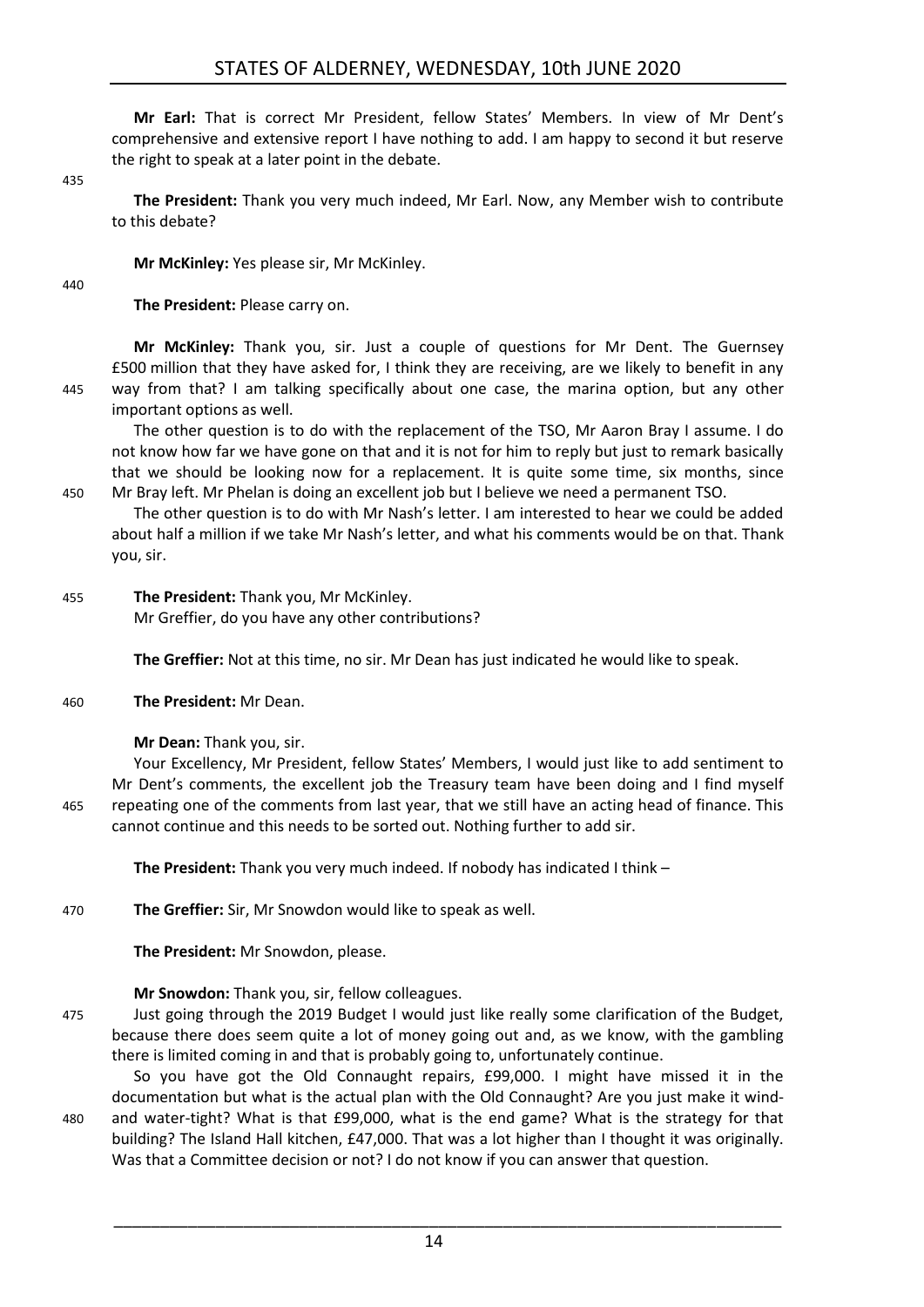**Mr Earl:** That is correct Mr President, fellow States' Members. In view of Mr Dent's comprehensive and extensive report I have nothing to add. I am happy to second it but reserve the right to speak at a later point in the debate.

435

**The President:** Thank you very much indeed, Mr Earl. Now, any Member wish to contribute to this debate?

**Mr McKinley:** Yes please sir, Mr McKinley.

 $440$ 

**The President:** Please carry on.

**Mr McKinley:** Thank you, sir. Just a couple of questions for Mr Dent. The Guernsey £500 million that they have asked for, I think they are receiving, are we likely to benefit in any 445 way from that? I am talking specifically about one case, the marina option, but any other important options as well.

The other question is to do with the replacement of the TSO, Mr Aaron Bray I assume. I do not know how far we have gone on that and it is not for him to reply but just to remark basically that we should be looking now for a replacement. It is quite some time, six months, since 450 Mr Bray left. Mr Phelan is doing an excellent job but I believe we need a permanent TSO.

The other question is to do with Mr Nash's letter. I am interested to hear we could be added about half a million if we take Mr Nash's letter, and what his comments would be on that. Thank you, sir.

455 **The President:** Thank you, Mr McKinley. Mr Greffier, do you have any other contributions?

**The Greffier:** Not at this time, no sir. Mr Dean has just indicated he would like to speak.

460 **The President:** Mr Dean.

**Mr Dean:** Thank you, sir.

Your Excellency, Mr President, fellow States' Members, I would just like to add sentiment to Mr Dent's comments, the excellent job the Treasury team have been doing and I find myself 465 repeating one of the comments from last year, that we still have an acting head of finance. This cannot continue and this needs to be sorted out. Nothing further to add sir.

**The President:** Thank you very much indeed. If nobody has indicated I think –

470 **The Greffier:** Sir, Mr Snowdon would like to speak as well.

**The President:** Mr Snowdon, please.

**Mr Snowdon:** Thank you, sir, fellow colleagues.

475 Just going through the 2019 Budget I would just like really some clarification of the Budget, because there does seem quite a lot of money going out and, as we know, with the gambling there is limited coming in and that is probably going to, unfortunately continue.

So you have got the Old Connaught repairs, £99,000. I might have missed it in the documentation but what is the actual plan with the Old Connaught? Are you just make it wind-480 and water-tight? What is that £99,000, what is the end game? What is the strategy for that building? The Island Hall kitchen, £47,000. That was a lot higher than I thought it was originally. Was that a Committee decision or not? I do not know if you can answer that question.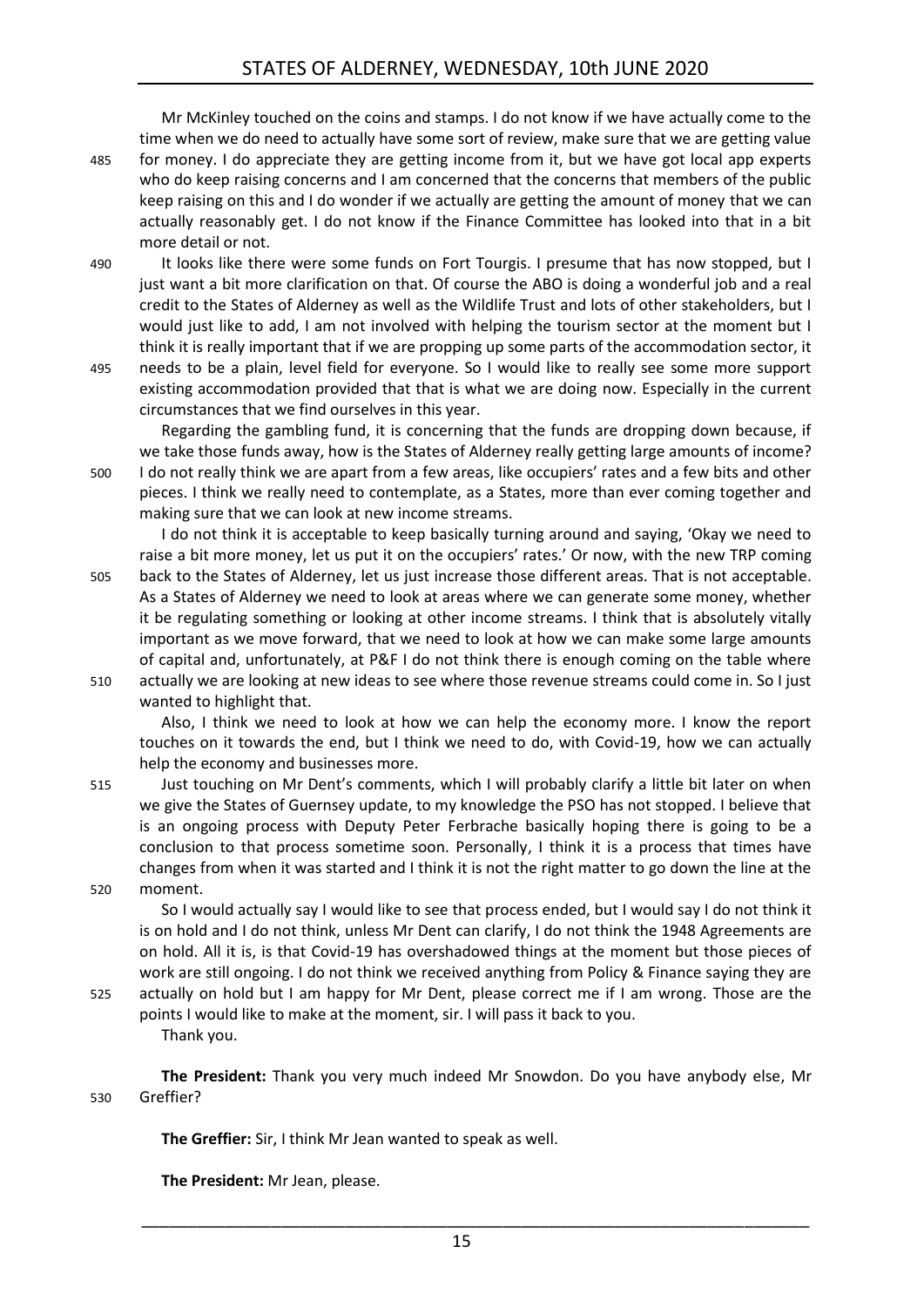Mr McKinley touched on the coins and stamps. I do not know if we have actually come to the time when we do need to actually have some sort of review, make sure that we are getting value 485 for money. I do appreciate they are getting income from it, but we have got local app experts who do keep raising concerns and I am concerned that the concerns that members of the public keep raising on this and I do wonder if we actually are getting the amount of money that we can actually reasonably get. I do not know if the Finance Committee has looked into that in a bit more detail or not.

- 490 It looks like there were some funds on Fort Tourgis. I presume that has now stopped, but I just want a bit more clarification on that. Of course the ABO is doing a wonderful job and a real credit to the States of Alderney as well as the Wildlife Trust and lots of other stakeholders, but I would just like to add, I am not involved with helping the tourism sector at the moment but I think it is really important that if we are propping up some parts of the accommodation sector, it 495 needs to be a plain, level field for everyone. So I would like to really see some more support
- existing accommodation provided that that is what we are doing now. Especially in the current circumstances that we find ourselves in this year.

Regarding the gambling fund, it is concerning that the funds are dropping down because, if we take those funds away, how is the States of Alderney really getting large amounts of income? 500 I do not really think we are apart from a few areas, like occupiers' rates and a few bits and other pieces. I think we really need to contemplate, as a States, more than ever coming together and making sure that we can look at new income streams.

I do not think it is acceptable to keep basically turning around and saying, 'Okay we need to raise a bit more money, let us put it on the occupiers' rates.' Or now, with the new TRP coming 505 back to the States of Alderney, let us just increase those different areas. That is not acceptable. As a States of Alderney we need to look at areas where we can generate some money, whether it be regulating something or looking at other income streams. I think that is absolutely vitally important as we move forward, that we need to look at how we can make some large amounts of capital and, unfortunately, at P&F I do not think there is enough coming on the table where

510 actually we are looking at new ideas to see where those revenue streams could come in. So I just wanted to highlight that.

Also, I think we need to look at how we can help the economy more. I know the report touches on it towards the end, but I think we need to do, with Covid-19, how we can actually help the economy and businesses more.

515 Just touching on Mr Dent's comments, which I will probably clarify a little bit later on when we give the States of Guernsey update, to my knowledge the PSO has not stopped. I believe that is an ongoing process with Deputy Peter Ferbrache basically hoping there is going to be a conclusion to that process sometime soon. Personally, I think it is a process that times have changes from when it was started and I think it is not the right matter to go down the line at the 520 moment.

So I would actually say I would like to see that process ended, but I would say I do not think it is on hold and I do not think, unless Mr Dent can clarify, I do not think the 1948 Agreements are on hold. All it is, is that Covid-19 has overshadowed things at the moment but those pieces of work are still ongoing. I do not think we received anything from Policy & Finance saying they are

525 actually on hold but I am happy for Mr Dent, please correct me if I am wrong. Those are the points I would like to make at the moment, sir. I will pass it back to you. Thank you.

**The President:** Thank you very much indeed Mr Snowdon. Do you have anybody else, Mr 530 Greffier?

**The Greffier:** Sir, I think Mr Jean wanted to speak as well.

**The President:** Mr Jean, please.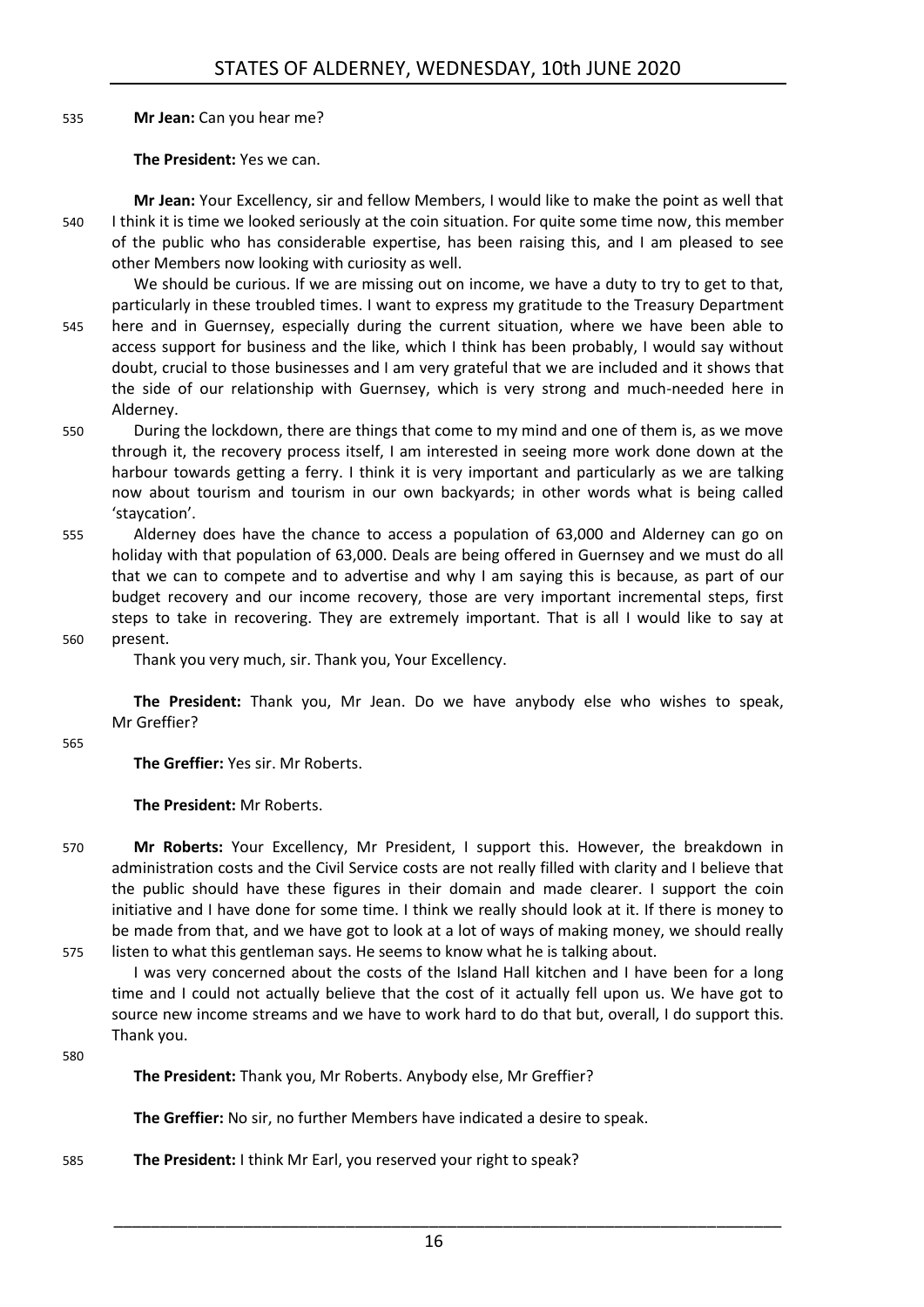535 **Mr Jean:** Can you hear me?

**The President:** Yes we can.

**Mr Jean:** Your Excellency, sir and fellow Members, I would like to make the point as well that 540 I think it is time we looked seriously at the coin situation. For quite some time now, this member of the public who has considerable expertise, has been raising this, and I am pleased to see other Members now looking with curiosity as well.

We should be curious. If we are missing out on income, we have a duty to try to get to that, particularly in these troubled times. I want to express my gratitude to the Treasury Department 545 here and in Guernsey, especially during the current situation, where we have been able to access support for business and the like, which I think has been probably, I would say without doubt, crucial to those businesses and I am very grateful that we are included and it shows that the side of our relationship with Guernsey, which is very strong and much-needed here in Alderney.

- 550 During the lockdown, there are things that come to my mind and one of them is, as we move through it, the recovery process itself, I am interested in seeing more work done down at the harbour towards getting a ferry. I think it is very important and particularly as we are talking now about tourism and tourism in our own backyards; in other words what is being called 'staycation'.
- 555 Alderney does have the chance to access a population of 63,000 and Alderney can go on holiday with that population of 63,000. Deals are being offered in Guernsey and we must do all that we can to compete and to advertise and why I am saying this is because, as part of our budget recovery and our income recovery, those are very important incremental steps, first steps to take in recovering. They are extremely important. That is all I would like to say at 560 present.

Thank you very much, sir. Thank you, Your Excellency.

**The President:** Thank you, Mr Jean. Do we have anybody else who wishes to speak, Mr Greffier?

565

**The Greffier:** Yes sir. Mr Roberts.

**The President:** Mr Roberts.

570 **Mr Roberts:** Your Excellency, Mr President, I support this. However, the breakdown in administration costs and the Civil Service costs are not really filled with clarity and I believe that the public should have these figures in their domain and made clearer. I support the coin initiative and I have done for some time. I think we really should look at it. If there is money to be made from that, and we have got to look at a lot of ways of making money, we should really 575 listen to what this gentleman says. He seems to know what he is talking about.

I was very concerned about the costs of the Island Hall kitchen and I have been for a long time and I could not actually believe that the cost of it actually fell upon us. We have got to source new income streams and we have to work hard to do that but, overall, I do support this. Thank you.

580

**The President:** Thank you, Mr Roberts. Anybody else, Mr Greffier?

**The Greffier:** No sir, no further Members have indicated a desire to speak.

585 **The President:** I think Mr Earl, you reserved your right to speak?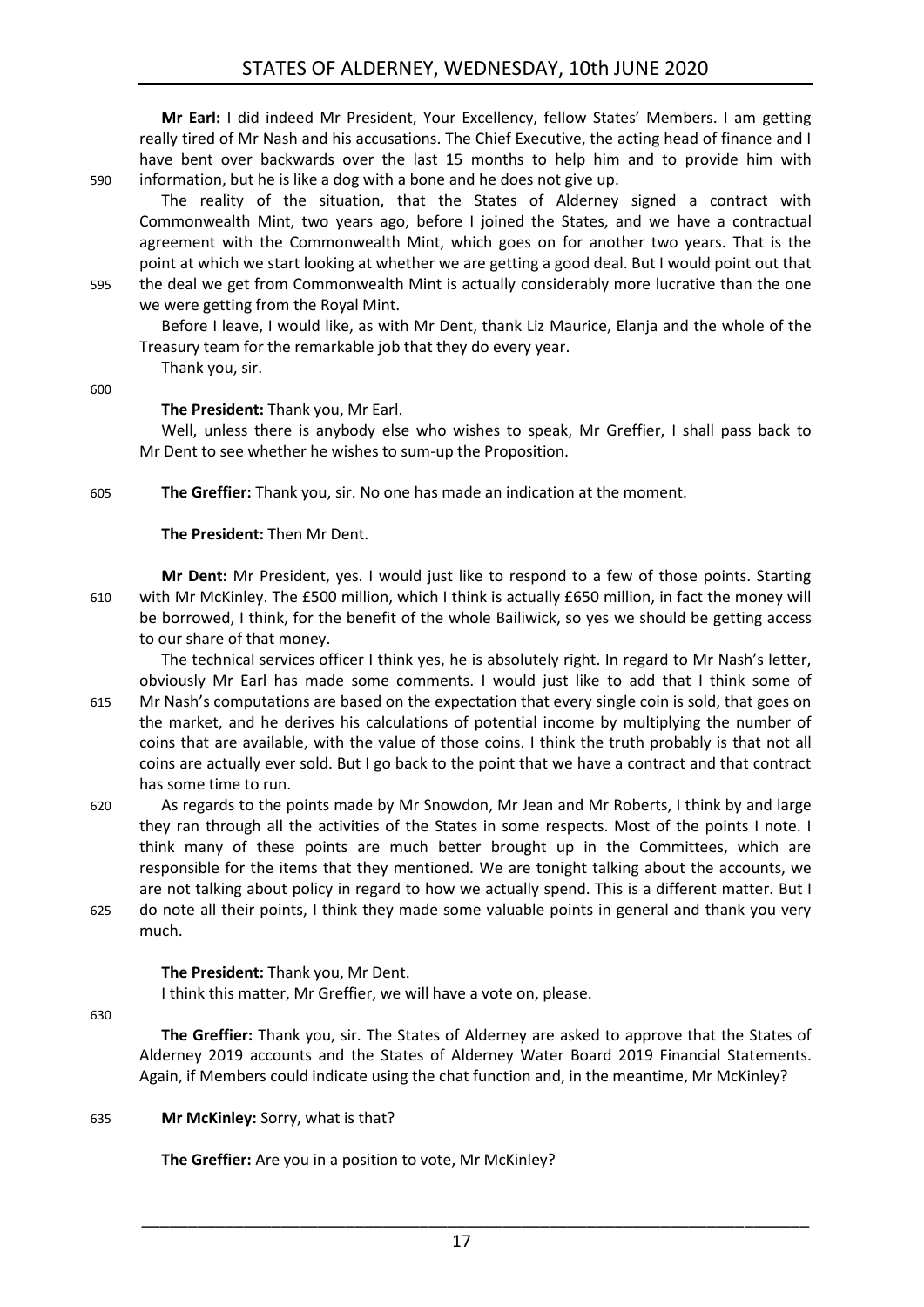**Mr Earl:** I did indeed Mr President, Your Excellency, fellow States' Members. I am getting really tired of Mr Nash and his accusations. The Chief Executive, the acting head of finance and I have bent over backwards over the last 15 months to help him and to provide him with 590 information, but he is like a dog with a bone and he does not give up.

The reality of the situation, that the States of Alderney signed a contract with Commonwealth Mint, two years ago, before I joined the States, and we have a contractual agreement with the Commonwealth Mint, which goes on for another two years. That is the point at which we start looking at whether we are getting a good deal. But I would point out that 595 the deal we get from Commonwealth Mint is actually considerably more lucrative than the one

we were getting from the Royal Mint.

Before I leave, I would like, as with Mr Dent, thank Liz Maurice, Elanja and the whole of the Treasury team for the remarkable job that they do every year.

Thank you, sir.

600

### **The President:** Thank you, Mr Earl.

Well, unless there is anybody else who wishes to speak, Mr Greffier, I shall pass back to Mr Dent to see whether he wishes to sum-up the Proposition.

605 **The Greffier:** Thank you, sir. No one has made an indication at the moment.

**The President:** Then Mr Dent.

**Mr Dent:** Mr President, yes. I would just like to respond to a few of those points. Starting 610 with Mr McKinley. The £500 million, which I think is actually £650 million, in fact the money will be borrowed, I think, for the benefit of the whole Bailiwick, so yes we should be getting access to our share of that money.

The technical services officer I think yes, he is absolutely right. In regard to Mr Nash's letter, obviously Mr Earl has made some comments. I would just like to add that I think some of 615 Mr Nash's computations are based on the expectation that every single coin is sold, that goes on

- the market, and he derives his calculations of potential income by multiplying the number of coins that are available, with the value of those coins. I think the truth probably is that not all coins are actually ever sold. But I go back to the point that we have a contract and that contract has some time to run.
- 620 As regards to the points made by Mr Snowdon, Mr Jean and Mr Roberts, I think by and large they ran through all the activities of the States in some respects. Most of the points I note. I think many of these points are much better brought up in the Committees, which are responsible for the items that they mentioned. We are tonight talking about the accounts, we are not talking about policy in regard to how we actually spend. This is a different matter. But I 625 do note all their points, I think they made some valuable points in general and thank you very much.

**The President:** Thank you, Mr Dent.

I think this matter, Mr Greffier, we will have a vote on, please.

630

**The Greffier:** Thank you, sir. The States of Alderney are asked to approve that the States of Alderney 2019 accounts and the States of Alderney Water Board 2019 Financial Statements. Again, if Members could indicate using the chat function and, in the meantime, Mr McKinley?

635 **Mr McKinley:** Sorry, what is that?

**The Greffier:** Are you in a position to vote, Mr McKinley?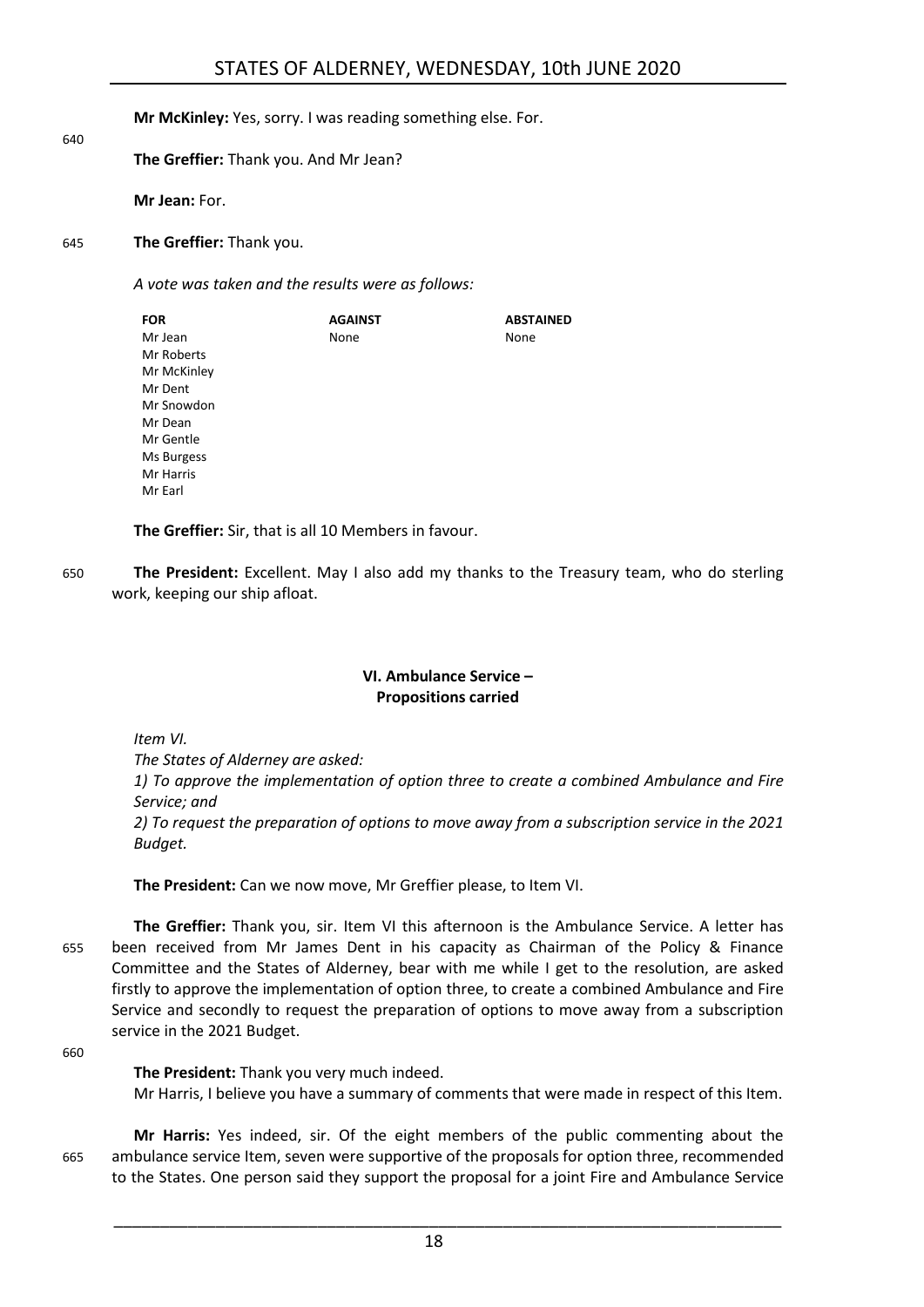**Mr McKinley:** Yes, sorry. I was reading something else. For.

### **The Greffier:** Thank you. And Mr Jean?

**Mr Jean:** For.

640

645 **The Greffier:** Thank you.

*A vote was taken and the results were as follows:*

| <b>AGAINST</b> | <b>ABSTAINED</b> |
|----------------|------------------|
| None           | None             |
|                |                  |
|                |                  |
|                |                  |
|                |                  |
|                |                  |
|                |                  |
|                |                  |
|                |                  |
|                |                  |
|                |                  |

**The Greffier:** Sir, that is all 10 Members in favour.

650 **The President:** Excellent. May I also add my thanks to the Treasury team, who do sterling work, keeping our ship afloat.

### **VI. Ambulance Service – Propositions carried**

<span id="page-17-0"></span>*Item VI.*

*The States of Alderney are asked:*

*1) To approve the implementation of option three to create a combined Ambulance and Fire Service; and*

*2) To request the preparation of options to move away from a subscription service in the 2021 Budget.*

**The President:** Can we now move, Mr Greffier please, to Item VI.

**The Greffier:** Thank you, sir. Item VI this afternoon is the Ambulance Service. A letter has 655 been received from Mr James Dent in his capacity as Chairman of the Policy & Finance Committee and the States of Alderney, bear with me while I get to the resolution, are asked firstly to approve the implementation of option three, to create a combined Ambulance and Fire Service and secondly to request the preparation of options to move away from a subscription service in the 2021 Budget.

660

**The President:** Thank you very much indeed. Mr Harris, I believe you have a summary of comments that were made in respect of this Item.

**Mr Harris:** Yes indeed, sir. Of the eight members of the public commenting about the 665 ambulance service Item, seven were supportive of the proposals for option three, recommended to the States. One person said they support the proposal for a joint Fire and Ambulance Service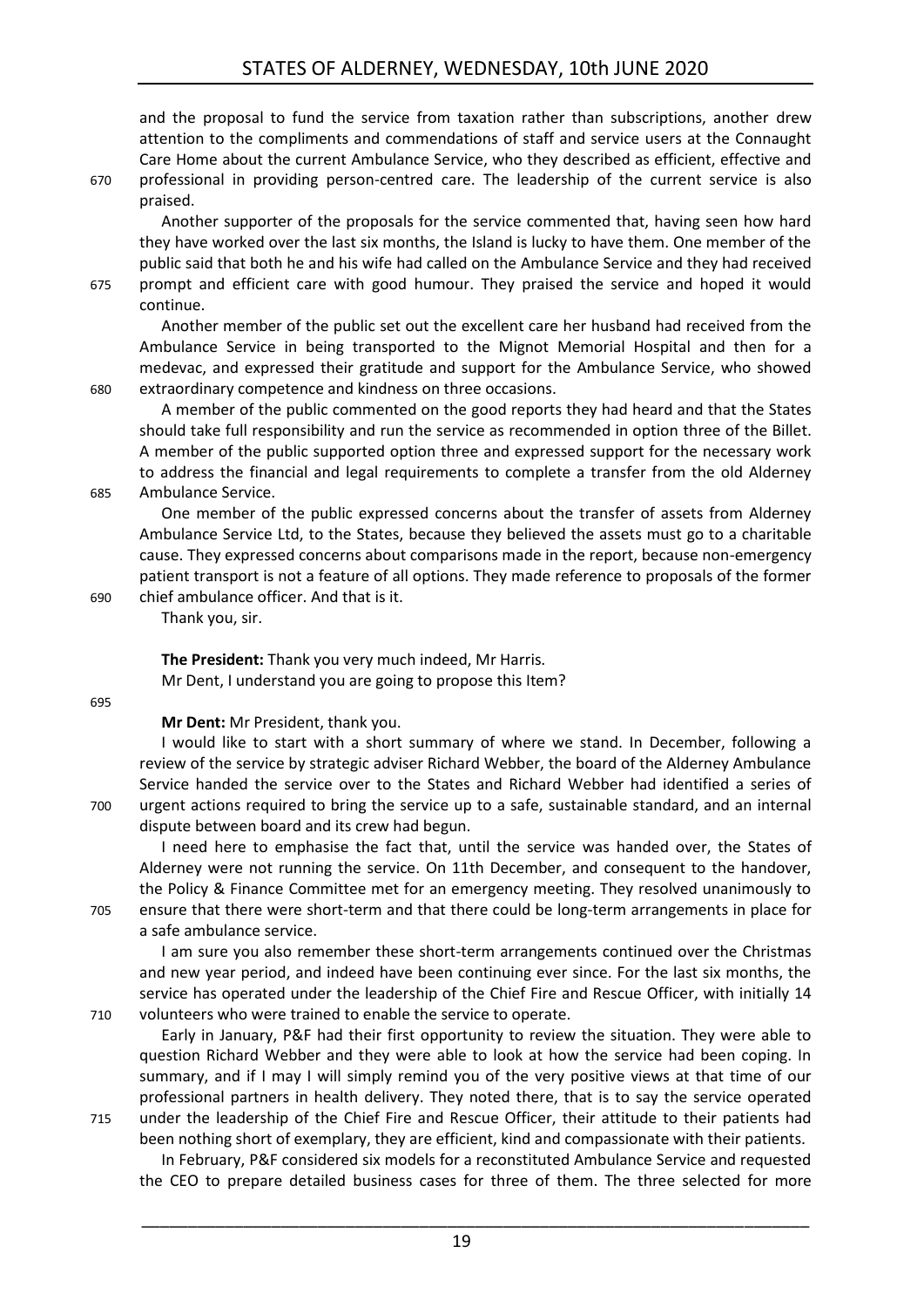and the proposal to fund the service from taxation rather than subscriptions, another drew attention to the compliments and commendations of staff and service users at the Connaught Care Home about the current Ambulance Service, who they described as efficient, effective and 670 professional in providing person-centred care. The leadership of the current service is also praised.

Another supporter of the proposals for the service commented that, having seen how hard they have worked over the last six months, the Island is lucky to have them. One member of the public said that both he and his wife had called on the Ambulance Service and they had received 675 prompt and efficient care with good humour. They praised the service and hoped it would continue.

Another member of the public set out the excellent care her husband had received from the Ambulance Service in being transported to the Mignot Memorial Hospital and then for a medevac, and expressed their gratitude and support for the Ambulance Service, who showed 680 extraordinary competence and kindness on three occasions.

A member of the public commented on the good reports they had heard and that the States should take full responsibility and run the service as recommended in option three of the Billet. A member of the public supported option three and expressed support for the necessary work to address the financial and legal requirements to complete a transfer from the old Alderney 685 Ambulance Service.

One member of the public expressed concerns about the transfer of assets from Alderney Ambulance Service Ltd, to the States, because they believed the assets must go to a charitable cause. They expressed concerns about comparisons made in the report, because non-emergency patient transport is not a feature of all options. They made reference to proposals of the former 690 chief ambulance officer. And that is it.

Thank you, sir.

**The President:** Thank you very much indeed, Mr Harris. Mr Dent, I understand you are going to propose this Item?

695

### **Mr Dent:** Mr President, thank you.

I would like to start with a short summary of where we stand. In December, following a review of the service by strategic adviser Richard Webber, the board of the Alderney Ambulance Service handed the service over to the States and Richard Webber had identified a series of 700 urgent actions required to bring the service up to a safe, sustainable standard, and an internal dispute between board and its crew had begun.

I need here to emphasise the fact that, until the service was handed over, the States of Alderney were not running the service. On 11th December, and consequent to the handover, the Policy & Finance Committee met for an emergency meeting. They resolved unanimously to 705 ensure that there were short-term and that there could be long-term arrangements in place for a safe ambulance service.

I am sure you also remember these short-term arrangements continued over the Christmas and new year period, and indeed have been continuing ever since. For the last six months, the service has operated under the leadership of the Chief Fire and Rescue Officer, with initially 14 710 volunteers who were trained to enable the service to operate.

Early in January, P&F had their first opportunity to review the situation. They were able to question Richard Webber and they were able to look at how the service had been coping. In summary, and if I may I will simply remind you of the very positive views at that time of our professional partners in health delivery. They noted there, that is to say the service operated

715 under the leadership of the Chief Fire and Rescue Officer, their attitude to their patients had been nothing short of exemplary, they are efficient, kind and compassionate with their patients.

In February, P&F considered six models for a reconstituted Ambulance Service and requested the CEO to prepare detailed business cases for three of them. The three selected for more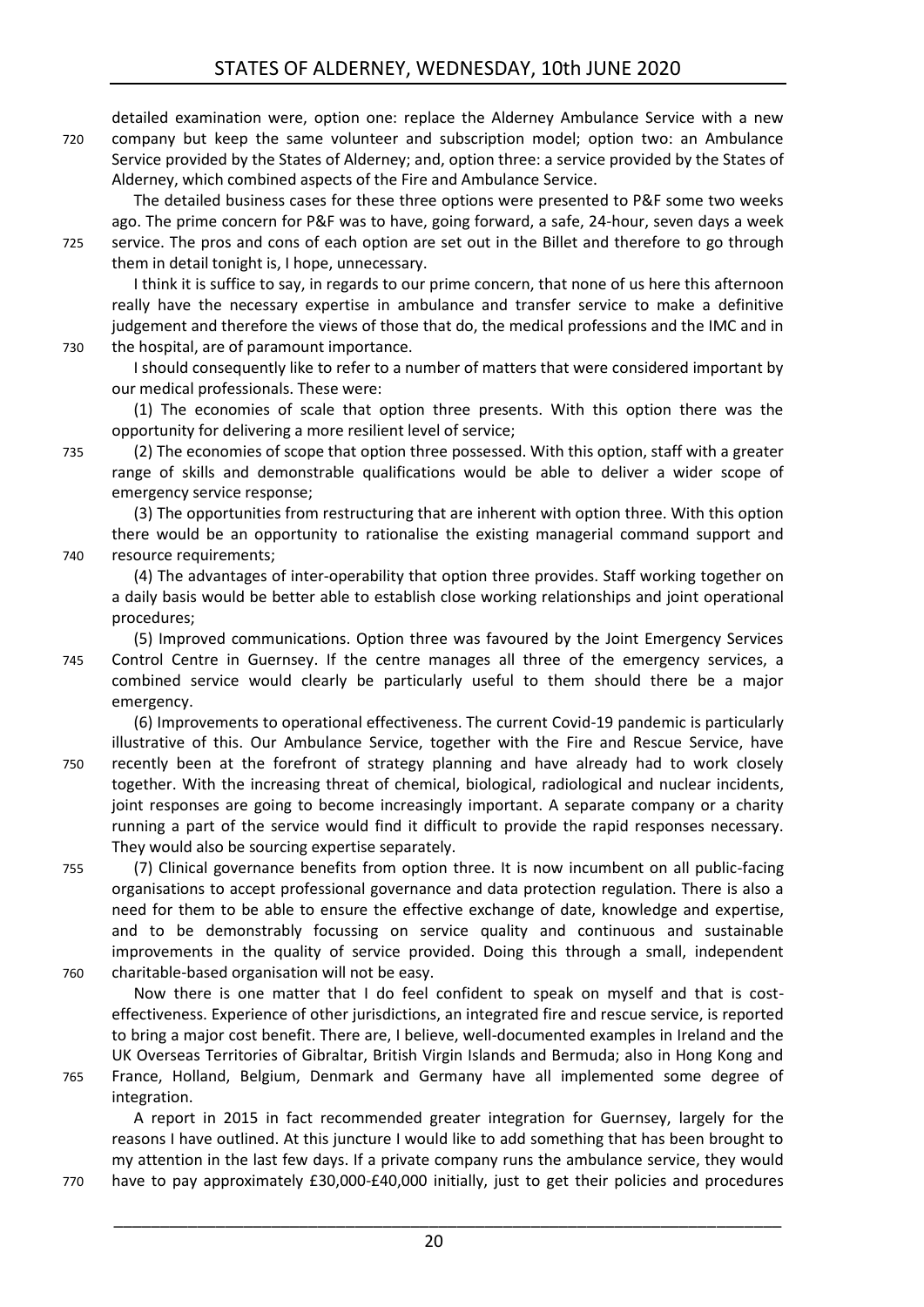detailed examination were, option one: replace the Alderney Ambulance Service with a new 720 company but keep the same volunteer and subscription model; option two: an Ambulance Service provided by the States of Alderney; and, option three: a service provided by the States of Alderney, which combined aspects of the Fire and Ambulance Service.

The detailed business cases for these three options were presented to P&F some two weeks ago. The prime concern for P&F was to have, going forward, a safe, 24-hour, seven days a week 725 service. The pros and cons of each option are set out in the Billet and therefore to go through

them in detail tonight is, I hope, unnecessary. I think it is suffice to say, in regards to our prime concern, that none of us here this afternoon really have the necessary expertise in ambulance and transfer service to make a definitive judgement and therefore the views of those that do, the medical professions and the IMC and in 730 the hospital, are of paramount importance.

I should consequently like to refer to a number of matters that were considered important by our medical professionals. These were:

(1) The economies of scale that option three presents. With this option there was the opportunity for delivering a more resilient level of service;

735 (2) The economies of scope that option three possessed. With this option, staff with a greater range of skills and demonstrable qualifications would be able to deliver a wider scope of emergency service response;

(3) The opportunities from restructuring that are inherent with option three. With this option there would be an opportunity to rationalise the existing managerial command support and 740 resource requirements;

(4) The advantages of inter-operability that option three provides. Staff working together on a daily basis would be better able to establish close working relationships and joint operational procedures;

- (5) Improved communications. Option three was favoured by the Joint Emergency Services 745 Control Centre in Guernsey. If the centre manages all three of the emergency services, a combined service would clearly be particularly useful to them should there be a major emergency.
- (6) Improvements to operational effectiveness. The current Covid-19 pandemic is particularly illustrative of this. Our Ambulance Service, together with the Fire and Rescue Service, have 750 recently been at the forefront of strategy planning and have already had to work closely together. With the increasing threat of chemical, biological, radiological and nuclear incidents, joint responses are going to become increasingly important. A separate company or a charity running a part of the service would find it difficult to provide the rapid responses necessary. They would also be sourcing expertise separately.
- 755 (7) Clinical governance benefits from option three. It is now incumbent on all public-facing organisations to accept professional governance and data protection regulation. There is also a need for them to be able to ensure the effective exchange of date, knowledge and expertise, and to be demonstrably focussing on service quality and continuous and sustainable improvements in the quality of service provided. Doing this through a small, independent 760 charitable-based organisation will not be easy.

Now there is one matter that I do feel confident to speak on myself and that is costeffectiveness. Experience of other jurisdictions, an integrated fire and rescue service, is reported to bring a major cost benefit. There are, I believe, well-documented examples in Ireland and the UK Overseas Territories of Gibraltar, British Virgin Islands and Bermuda; also in Hong Kong and

765 France, Holland, Belgium, Denmark and Germany have all implemented some degree of integration.

A report in 2015 in fact recommended greater integration for Guernsey, largely for the reasons I have outlined. At this juncture I would like to add something that has been brought to my attention in the last few days. If a private company runs the ambulance service, they would 770 have to pay approximately £30,000-£40,000 initially, just to get their policies and procedures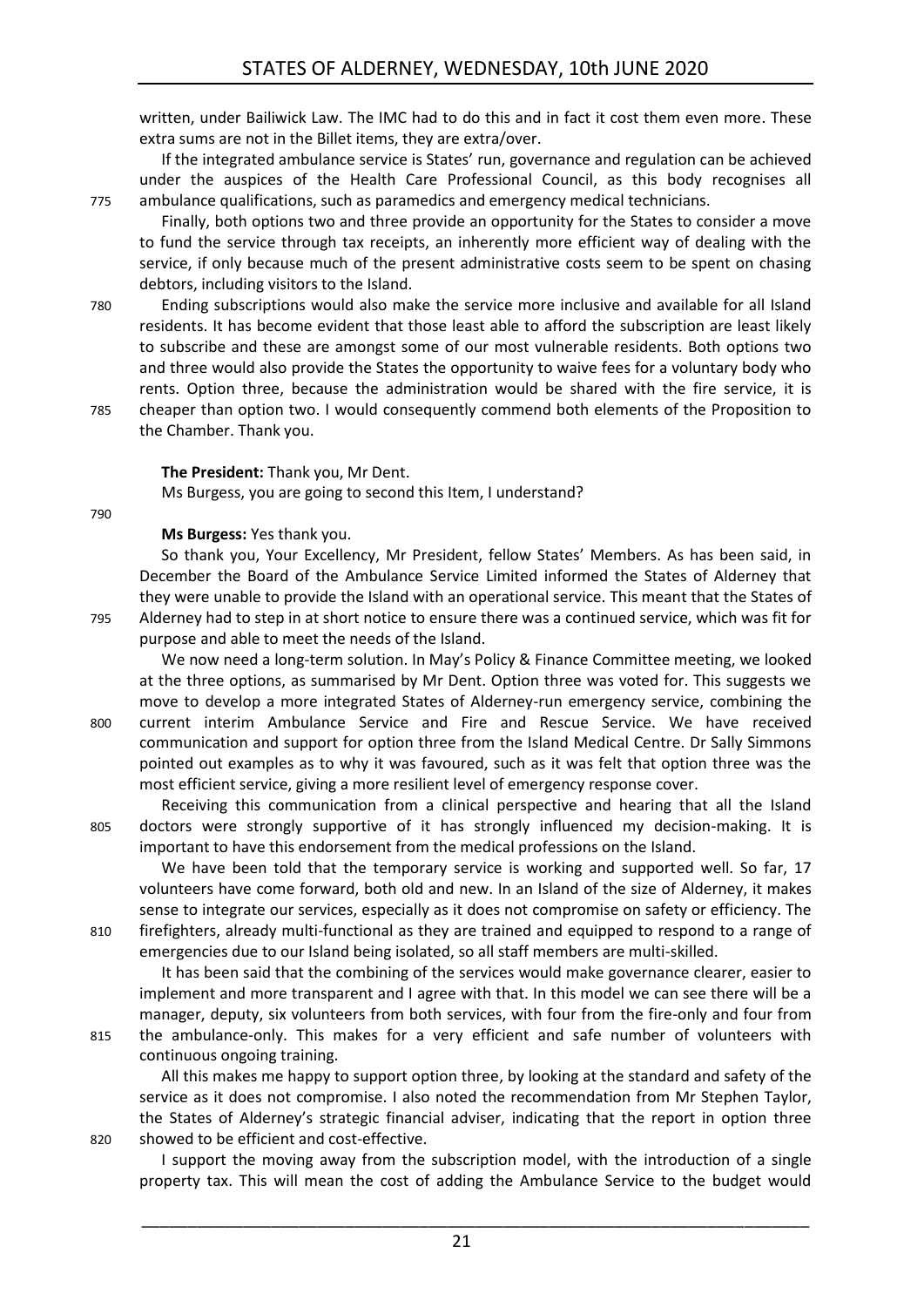written, under Bailiwick Law. The IMC had to do this and in fact it cost them even more. These extra sums are not in the Billet items, they are extra/over.

If the integrated ambulance service is States' run, governance and regulation can be achieved under the auspices of the Health Care Professional Council, as this body recognises all 775 ambulance qualifications, such as paramedics and emergency medical technicians.

Finally, both options two and three provide an opportunity for the States to consider a move to fund the service through tax receipts, an inherently more efficient way of dealing with the service, if only because much of the present administrative costs seem to be spent on chasing debtors, including visitors to the Island.

780 Ending subscriptions would also make the service more inclusive and available for all Island residents. It has become evident that those least able to afford the subscription are least likely to subscribe and these are amongst some of our most vulnerable residents. Both options two and three would also provide the States the opportunity to waive fees for a voluntary body who rents. Option three, because the administration would be shared with the fire service, it is 785 cheaper than option two. I would consequently commend both elements of the Proposition to the Chamber. Thank you.

**The President:** Thank you, Mr Dent.

Ms Burgess, you are going to second this Item, I understand?

790

**Ms Burgess:** Yes thank you.

So thank you, Your Excellency, Mr President, fellow States' Members. As has been said, in December the Board of the Ambulance Service Limited informed the States of Alderney that they were unable to provide the Island with an operational service. This meant that the States of 795 Alderney had to step in at short notice to ensure there was a continued service, which was fit for purpose and able to meet the needs of the Island.

We now need a long-term solution. In May's Policy & Finance Committee meeting, we looked at the three options, as summarised by Mr Dent. Option three was voted for. This suggests we move to develop a more integrated States of Alderney-run emergency service, combining the 800 current interim Ambulance Service and Fire and Rescue Service. We have received communication and support for option three from the Island Medical Centre. Dr Sally Simmons pointed out examples as to why it was favoured, such as it was felt that option three was the most efficient service, giving a more resilient level of emergency response cover.

Receiving this communication from a clinical perspective and hearing that all the Island 805 doctors were strongly supportive of it has strongly influenced my decision-making. It is important to have this endorsement from the medical professions on the Island.

We have been told that the temporary service is working and supported well. So far, 17 volunteers have come forward, both old and new. In an Island of the size of Alderney, it makes sense to integrate our services, especially as it does not compromise on safety or efficiency. The 810 firefighters, already multi-functional as they are trained and equipped to respond to a range of emergencies due to our Island being isolated, so all staff members are multi-skilled.

It has been said that the combining of the services would make governance clearer, easier to implement and more transparent and I agree with that. In this model we can see there will be a manager, deputy, six volunteers from both services, with four from the fire-only and four from 815 the ambulance-only. This makes for a very efficient and safe number of volunteers with

continuous ongoing training.

All this makes me happy to support option three, by looking at the standard and safety of the service as it does not compromise. I also noted the recommendation from Mr Stephen Taylor, the States of Alderney's strategic financial adviser, indicating that the report in option three 820 showed to be efficient and cost-effective.

I support the moving away from the subscription model, with the introduction of a single property tax. This will mean the cost of adding the Ambulance Service to the budget would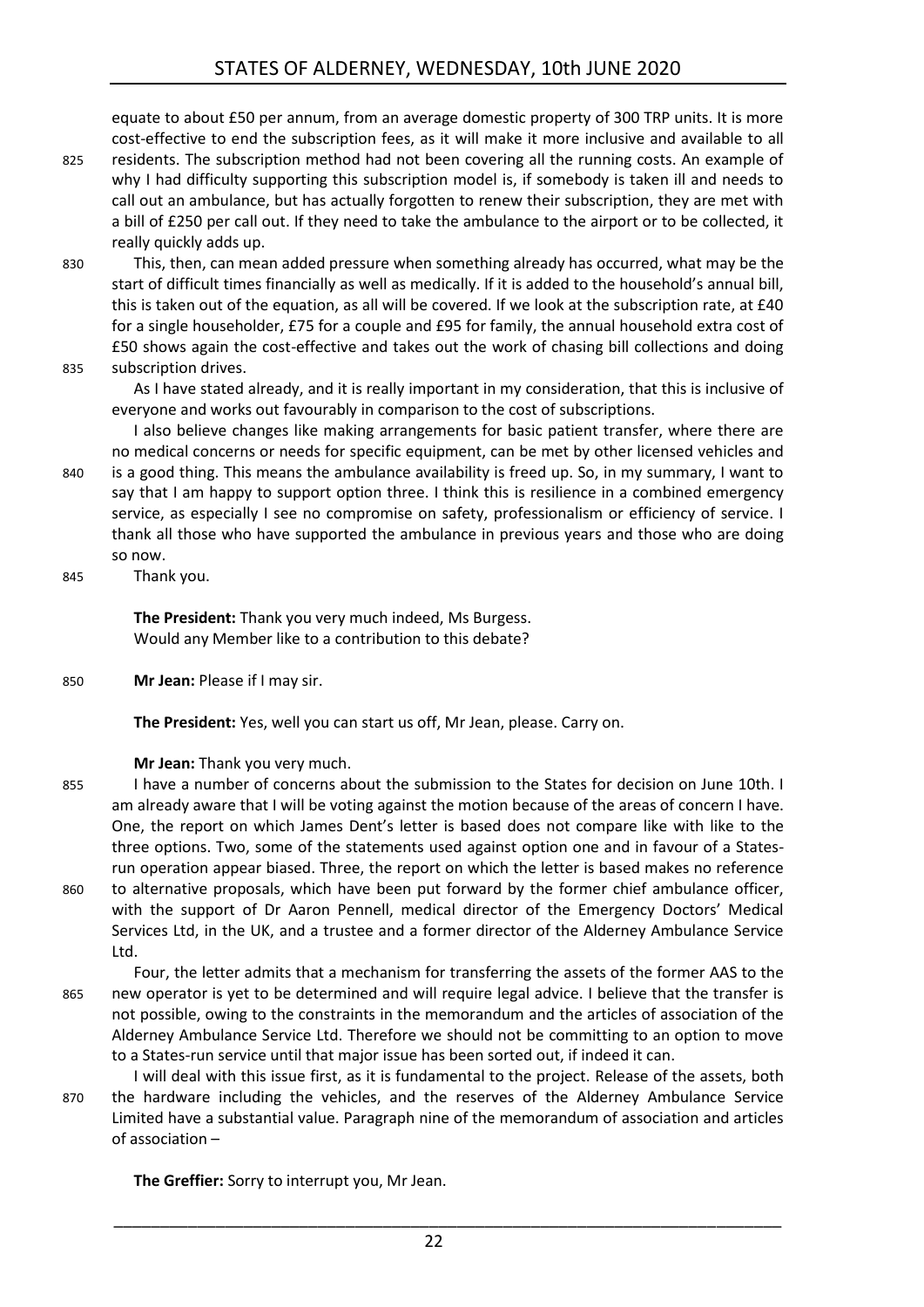equate to about £50 per annum, from an average domestic property of 300 TRP units. It is more cost-effective to end the subscription fees, as it will make it more inclusive and available to all

- 825 residents. The subscription method had not been covering all the running costs. An example of why I had difficulty supporting this subscription model is, if somebody is taken ill and needs to call out an ambulance, but has actually forgotten to renew their subscription, they are met with a bill of £250 per call out. If they need to take the ambulance to the airport or to be collected, it really quickly adds up.
- 830 This, then, can mean added pressure when something already has occurred, what may be the start of difficult times financially as well as medically. If it is added to the household's annual bill, this is taken out of the equation, as all will be covered. If we look at the subscription rate, at £40 for a single householder, £75 for a couple and £95 for family, the annual household extra cost of £50 shows again the cost-effective and takes out the work of chasing bill collections and doing 835 subscription drives.

As I have stated already, and it is really important in my consideration, that this is inclusive of everyone and works out favourably in comparison to the cost of subscriptions.

I also believe changes like making arrangements for basic patient transfer, where there are no medical concerns or needs for specific equipment, can be met by other licensed vehicles and 840 is a good thing. This means the ambulance availability is freed up. So, in my summary, I want to say that I am happy to support option three. I think this is resilience in a combined emergency service, as especially I see no compromise on safety, professionalism or efficiency of service. I thank all those who have supported the ambulance in previous years and those who are doing so now.

845 Thank you.

**The President:** Thank you very much indeed, Ms Burgess. Would any Member like to a contribution to this debate?

850 **Mr Jean:** Please if I may sir.

**The President:** Yes, well you can start us off, Mr Jean, please. Carry on.

### **Mr Jean:** Thank you very much.

- 855 I have a number of concerns about the submission to the States for decision on June 10th. I am already aware that I will be voting against the motion because of the areas of concern I have. One, the report on which James Dent's letter is based does not compare like with like to the three options. Two, some of the statements used against option one and in favour of a Statesrun operation appear biased. Three, the report on which the letter is based makes no reference 860 to alternative proposals, which have been put forward by the former chief ambulance officer,
	- with the support of Dr Aaron Pennell, medical director of the Emergency Doctors' Medical Services Ltd, in the UK, and a trustee and a former director of the Alderney Ambulance Service Ltd.
- Four, the letter admits that a mechanism for transferring the assets of the former AAS to the 865 new operator is yet to be determined and will require legal advice. I believe that the transfer is not possible, owing to the constraints in the memorandum and the articles of association of the Alderney Ambulance Service Ltd. Therefore we should not be committing to an option to move to a States-run service until that major issue has been sorted out, if indeed it can.
- I will deal with this issue first, as it is fundamental to the project. Release of the assets, both 870 the hardware including the vehicles, and the reserves of the Alderney Ambulance Service Limited have a substantial value. Paragraph nine of the memorandum of association and articles of association –

**The Greffier:** Sorry to interrupt you, Mr Jean.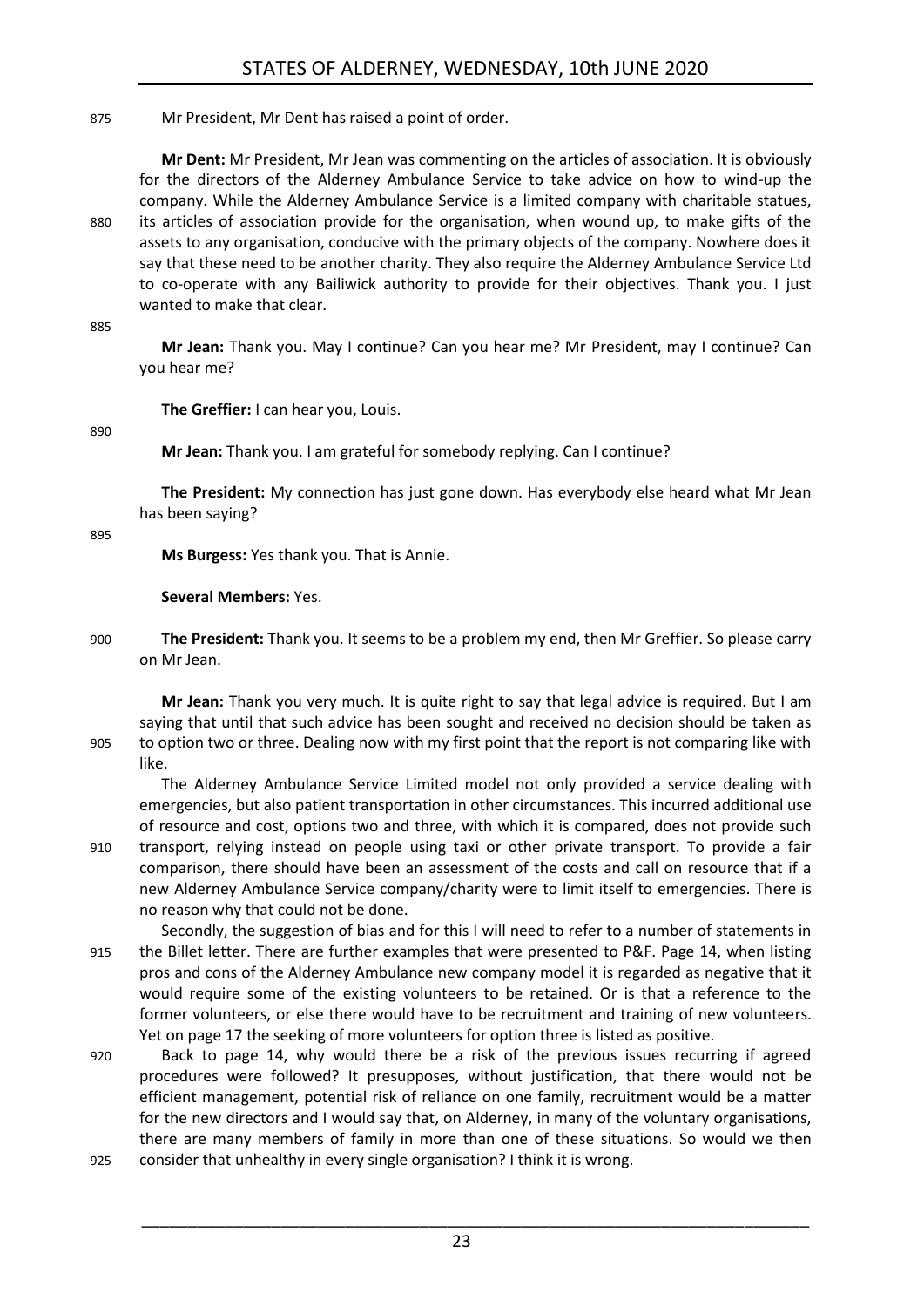### 875 Mr President, Mr Dent has raised a point of order.

**Mr Dent:** Mr President, Mr Jean was commenting on the articles of association. It is obviously for the directors of the Alderney Ambulance Service to take advice on how to wind-up the company. While the Alderney Ambulance Service is a limited company with charitable statues, 880 its articles of association provide for the organisation, when wound up, to make gifts of the assets to any organisation, conducive with the primary objects of the company. Nowhere does it say that these need to be another charity. They also require the Alderney Ambulance Service Ltd to co-operate with any Bailiwick authority to provide for their objectives. Thank you. I just wanted to make that clear.

#### 885

**Mr Jean:** Thank you. May I continue? Can you hear me? Mr President, may I continue? Can you hear me?

**The Greffier:** I can hear you, Louis.

890

**Mr Jean:** Thank you. I am grateful for somebody replying. Can I continue?

**The President:** My connection has just gone down. Has everybody else heard what Mr Jean has been saying?

895

**Ms Burgess:** Yes thank you. That is Annie.

### **Several Members:** Yes.

900 **The President:** Thank you. It seems to be a problem my end, then Mr Greffier. So please carry on Mr Jean.

**Mr Jean:** Thank you very much. It is quite right to say that legal advice is required. But I am saying that until that such advice has been sought and received no decision should be taken as 905 to option two or three. Dealing now with my first point that the report is not comparing like with like.

The Alderney Ambulance Service Limited model not only provided a service dealing with emergencies, but also patient transportation in other circumstances. This incurred additional use of resource and cost, options two and three, with which it is compared, does not provide such 910 transport, relying instead on people using taxi or other private transport. To provide a fair

comparison, there should have been an assessment of the costs and call on resource that if a new Alderney Ambulance Service company/charity were to limit itself to emergencies. There is no reason why that could not be done.

Secondly, the suggestion of bias and for this I will need to refer to a number of statements in 915 the Billet letter. There are further examples that were presented to P&F. Page 14, when listing pros and cons of the Alderney Ambulance new company model it is regarded as negative that it would require some of the existing volunteers to be retained. Or is that a reference to the former volunteers, or else there would have to be recruitment and training of new volunteers. Yet on page 17 the seeking of more volunteers for option three is listed as positive.

- 920 Back to page 14, why would there be a risk of the previous issues recurring if agreed procedures were followed? It presupposes, without justification, that there would not be efficient management, potential risk of reliance on one family, recruitment would be a matter for the new directors and I would say that, on Alderney, in many of the voluntary organisations, there are many members of family in more than one of these situations. So would we then 925 consider that unhealthy in every single organisation? I think it is wrong.
	- \_\_\_\_\_\_\_\_\_\_\_\_\_\_\_\_\_\_\_\_\_\_\_\_\_\_\_\_\_\_\_\_\_\_\_\_\_\_\_\_\_\_\_\_\_\_\_\_\_\_\_\_\_\_\_\_\_\_\_\_\_\_\_\_\_\_\_\_\_\_\_\_ 23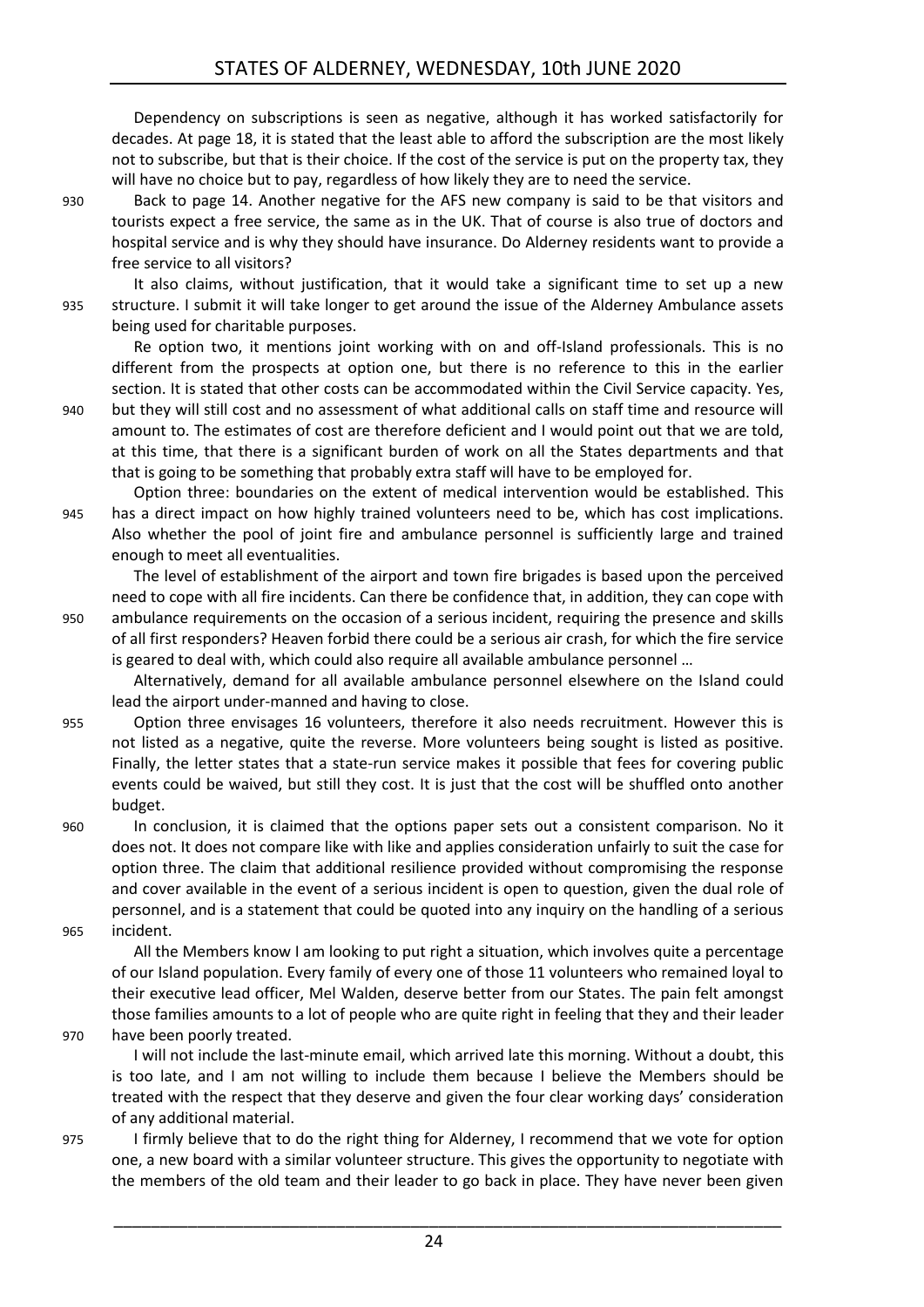Dependency on subscriptions is seen as negative, although it has worked satisfactorily for decades. At page 18, it is stated that the least able to afford the subscription are the most likely not to subscribe, but that is their choice. If the cost of the service is put on the property tax, they will have no choice but to pay, regardless of how likely they are to need the service.

930 Back to page 14. Another negative for the AFS new company is said to be that visitors and tourists expect a free service, the same as in the UK. That of course is also true of doctors and hospital service and is why they should have insurance. Do Alderney residents want to provide a free service to all visitors?

It also claims, without justification, that it would take a significant time to set up a new 935 structure. I submit it will take longer to get around the issue of the Alderney Ambulance assets being used for charitable purposes.

Re option two, it mentions joint working with on and off-Island professionals. This is no different from the prospects at option one, but there is no reference to this in the earlier section. It is stated that other costs can be accommodated within the Civil Service capacity. Yes,

940 but they will still cost and no assessment of what additional calls on staff time and resource will amount to. The estimates of cost are therefore deficient and I would point out that we are told, at this time, that there is a significant burden of work on all the States departments and that that is going to be something that probably extra staff will have to be employed for.

Option three: boundaries on the extent of medical intervention would be established. This 945 has a direct impact on how highly trained volunteers need to be, which has cost implications. Also whether the pool of joint fire and ambulance personnel is sufficiently large and trained enough to meet all eventualities.

The level of establishment of the airport and town fire brigades is based upon the perceived need to cope with all fire incidents. Can there be confidence that, in addition, they can cope with 950 ambulance requirements on the occasion of a serious incident, requiring the presence and skills of all first responders? Heaven forbid there could be a serious air crash, for which the fire service is geared to deal with, which could also require all available ambulance personnel …

Alternatively, demand for all available ambulance personnel elsewhere on the Island could lead the airport under-manned and having to close.

955 Option three envisages 16 volunteers, therefore it also needs recruitment. However this is not listed as a negative, quite the reverse. More volunteers being sought is listed as positive. Finally, the letter states that a state-run service makes it possible that fees for covering public events could be waived, but still they cost. It is just that the cost will be shuffled onto another budget.

960 In conclusion, it is claimed that the options paper sets out a consistent comparison. No it does not. It does not compare like with like and applies consideration unfairly to suit the case for option three. The claim that additional resilience provided without compromising the response and cover available in the event of a serious incident is open to question, given the dual role of personnel, and is a statement that could be quoted into any inquiry on the handling of a serious 965 incident.

All the Members know I am looking to put right a situation, which involves quite a percentage of our Island population. Every family of every one of those 11 volunteers who remained loyal to their executive lead officer, Mel Walden, deserve better from our States. The pain felt amongst those families amounts to a lot of people who are quite right in feeling that they and their leader 970 have been poorly treated.

I will not include the last-minute email, which arrived late this morning. Without a doubt, this is too late, and I am not willing to include them because I believe the Members should be treated with the respect that they deserve and given the four clear working days' consideration of any additional material.

975 I firmly believe that to do the right thing for Alderney, I recommend that we vote for option one, a new board with a similar volunteer structure. This gives the opportunity to negotiate with the members of the old team and their leader to go back in place. They have never been given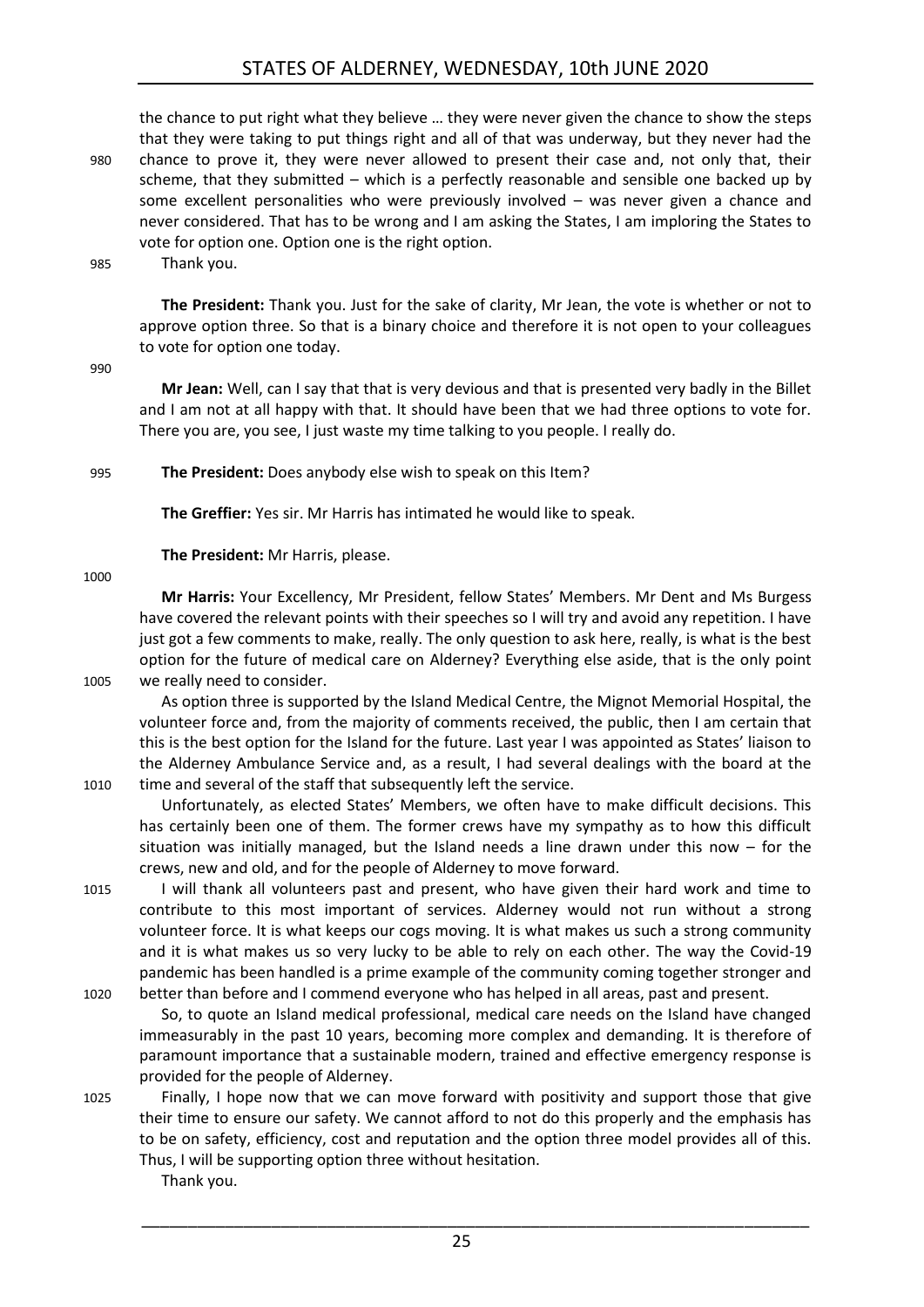### STATES OF ALDERNEY, WEDNESDAY, 10th JUNE 2020

the chance to put right what they believe … they were never given the chance to show the steps that they were taking to put things right and all of that was underway, but they never had the 980 chance to prove it, they were never allowed to present their case and, not only that, their scheme, that they submitted – which is a perfectly reasonable and sensible one backed up by some excellent personalities who were previously involved – was never given a chance and never considered. That has to be wrong and I am asking the States, I am imploring the States to vote for option one. Option one is the right option.

985 Thank you.

**The President:** Thank you. Just for the sake of clarity, Mr Jean, the vote is whether or not to approve option three. So that is a binary choice and therefore it is not open to your colleagues to vote for option one today.

990

**Mr Jean:** Well, can I say that that is very devious and that is presented very badly in the Billet and I am not at all happy with that. It should have been that we had three options to vote for. There you are, you see, I just waste my time talking to you people. I really do.

995 **The President:** Does anybody else wish to speak on this Item?

**The Greffier:** Yes sir. Mr Harris has intimated he would like to speak.

**The President:** Mr Harris, please.

1000

**Mr Harris:** Your Excellency, Mr President, fellow States' Members. Mr Dent and Ms Burgess have covered the relevant points with their speeches so I will try and avoid any repetition. I have just got a few comments to make, really. The only question to ask here, really, is what is the best option for the future of medical care on Alderney? Everything else aside, that is the only point 1005 we really need to consider.

As option three is supported by the Island Medical Centre, the Mignot Memorial Hospital, the volunteer force and, from the majority of comments received, the public, then I am certain that this is the best option for the Island for the future. Last year I was appointed as States' liaison to the Alderney Ambulance Service and, as a result, I had several dealings with the board at the 1010 time and several of the staff that subsequently left the service.

Unfortunately, as elected States' Members, we often have to make difficult decisions. This has certainly been one of them. The former crews have my sympathy as to how this difficult situation was initially managed, but the Island needs a line drawn under this now – for the crews, new and old, and for the people of Alderney to move forward.

1015 I will thank all volunteers past and present, who have given their hard work and time to contribute to this most important of services. Alderney would not run without a strong volunteer force. It is what keeps our cogs moving. It is what makes us such a strong community and it is what makes us so very lucky to be able to rely on each other. The way the Covid-19 pandemic has been handled is a prime example of the community coming together stronger and 1020 better than before and I commend everyone who has helped in all areas, past and present.

So, to quote an Island medical professional, medical care needs on the Island have changed immeasurably in the past 10 years, becoming more complex and demanding. It is therefore of paramount importance that a sustainable modern, trained and effective emergency response is provided for the people of Alderney.

1025 Finally, I hope now that we can move forward with positivity and support those that give their time to ensure our safety. We cannot afford to not do this properly and the emphasis has to be on safety, efficiency, cost and reputation and the option three model provides all of this. Thus, I will be supporting option three without hesitation.

Thank you.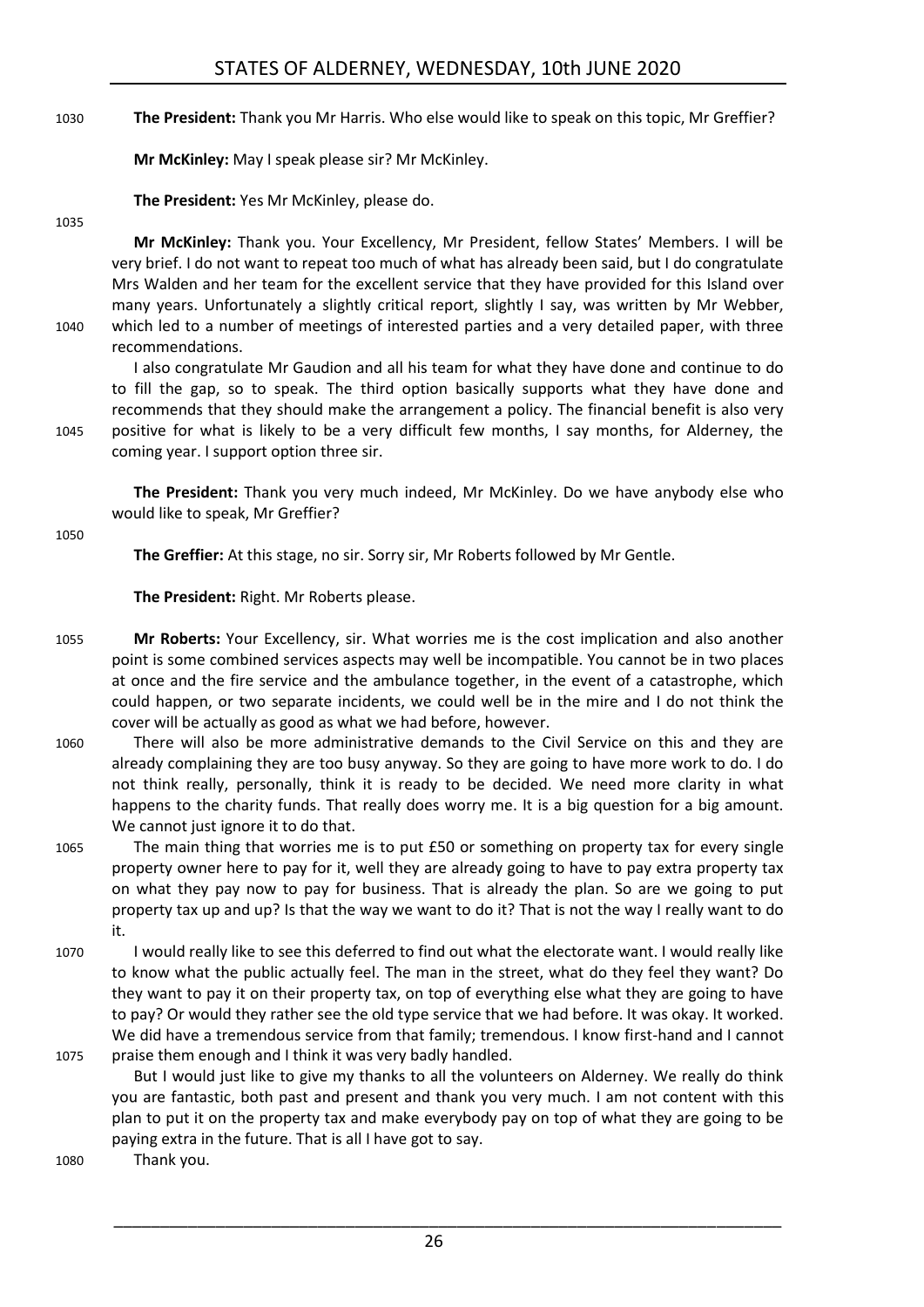1030 **The President:** Thank you Mr Harris. Who else would like to speak on this topic, Mr Greffier?

**Mr McKinley:** May I speak please sir? Mr McKinley.

**The President:** Yes Mr McKinley, please do.

#### 1035

**Mr McKinley:** Thank you. Your Excellency, Mr President, fellow States' Members. I will be very brief. I do not want to repeat too much of what has already been said, but I do congratulate Mrs Walden and her team for the excellent service that they have provided for this Island over many years. Unfortunately a slightly critical report, slightly I say, was written by Mr Webber, 1040 which led to a number of meetings of interested parties and a very detailed paper, with three recommendations.

I also congratulate Mr Gaudion and all his team for what they have done and continue to do to fill the gap, so to speak. The third option basically supports what they have done and recommends that they should make the arrangement a policy. The financial benefit is also very 1045 positive for what is likely to be a very difficult few months, I say months, for Alderney, the coming year. I support option three sir.

**The President:** Thank you very much indeed, Mr McKinley. Do we have anybody else who would like to speak, Mr Greffier?

1050

**The Greffier:** At this stage, no sir. Sorry sir, Mr Roberts followed by Mr Gentle.

**The President:** Right. Mr Roberts please.

- 1055 **Mr Roberts:** Your Excellency, sir. What worries me is the cost implication and also another point is some combined services aspects may well be incompatible. You cannot be in two places at once and the fire service and the ambulance together, in the event of a catastrophe, which could happen, or two separate incidents, we could well be in the mire and I do not think the cover will be actually as good as what we had before, however.
- 1060 There will also be more administrative demands to the Civil Service on this and they are already complaining they are too busy anyway. So they are going to have more work to do. I do not think really, personally, think it is ready to be decided. We need more clarity in what happens to the charity funds. That really does worry me. It is a big question for a big amount. We cannot just ignore it to do that.
- 1065 The main thing that worries me is to put £50 or something on property tax for every single property owner here to pay for it, well they are already going to have to pay extra property tax on what they pay now to pay for business. That is already the plan. So are we going to put property tax up and up? Is that the way we want to do it? That is not the way I really want to do it.
- 1070 I would really like to see this deferred to find out what the electorate want. I would really like to know what the public actually feel. The man in the street, what do they feel they want? Do they want to pay it on their property tax, on top of everything else what they are going to have to pay? Or would they rather see the old type service that we had before. It was okay. It worked. We did have a tremendous service from that family; tremendous. I know first-hand and I cannot 1075 praise them enough and I think it was very badly handled.
	- But I would just like to give my thanks to all the volunteers on Alderney. We really do think you are fantastic, both past and present and thank you very much. I am not content with this plan to put it on the property tax and make everybody pay on top of what they are going to be paying extra in the future. That is all I have got to say.

1080 Thank you.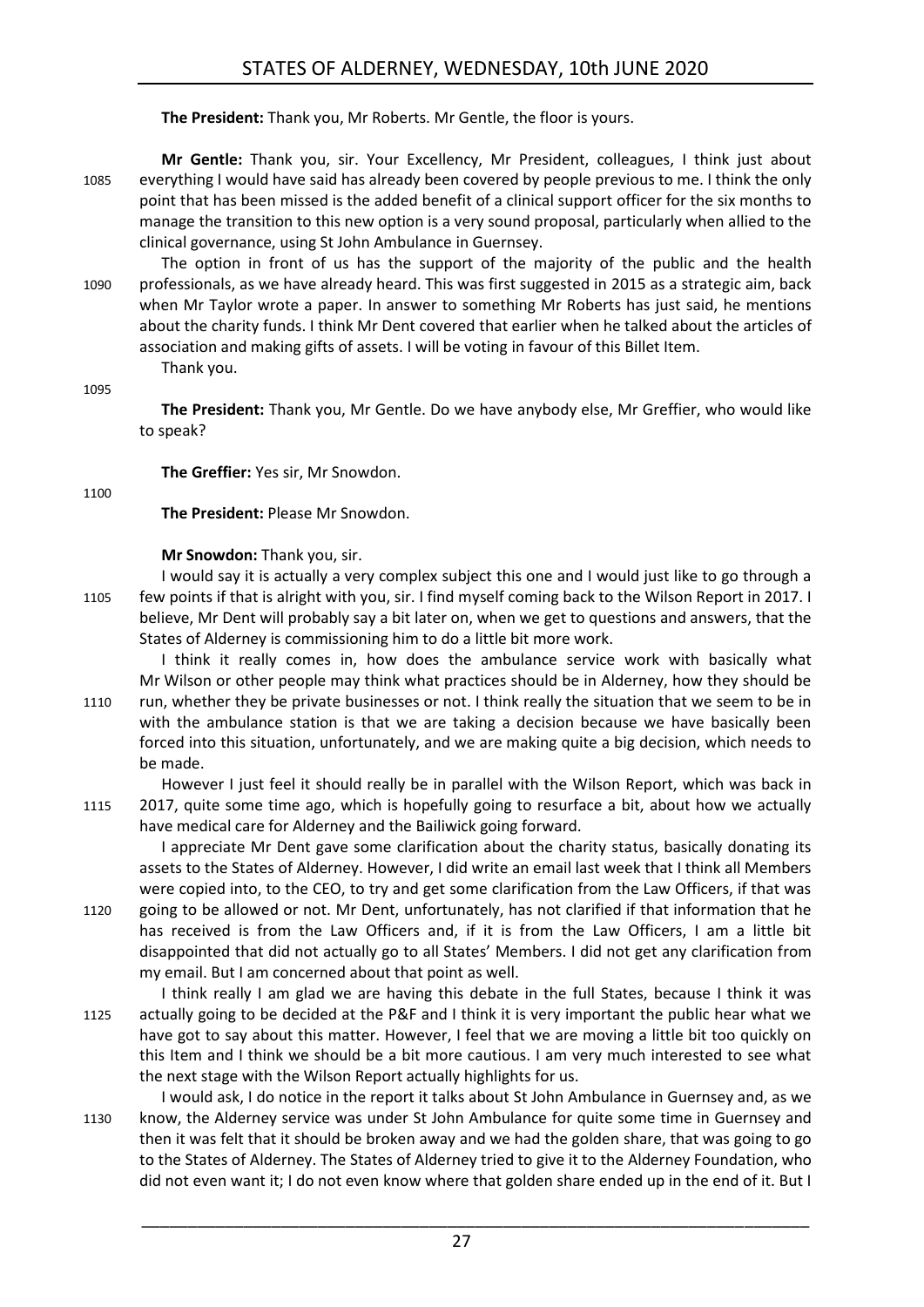**The President:** Thank you, Mr Roberts. Mr Gentle, the floor is yours.

**Mr Gentle:** Thank you, sir. Your Excellency, Mr President, colleagues, I think just about 1085 everything I would have said has already been covered by people previous to me. I think the only point that has been missed is the added benefit of a clinical support officer for the six months to manage the transition to this new option is a very sound proposal, particularly when allied to the clinical governance, using St John Ambulance in Guernsey.

The option in front of us has the support of the majority of the public and the health 1090 professionals, as we have already heard. This was first suggested in 2015 as a strategic aim, back when Mr Taylor wrote a paper. In answer to something Mr Roberts has just said, he mentions about the charity funds. I think Mr Dent covered that earlier when he talked about the articles of association and making gifts of assets. I will be voting in favour of this Billet Item.

Thank you.

1095

**The President:** Thank you, Mr Gentle. Do we have anybody else, Mr Greffier, who would like to speak?

**The Greffier:** Yes sir, Mr Snowdon.

1100

**The President:** Please Mr Snowdon.

**Mr Snowdon:** Thank you, sir.

I would say it is actually a very complex subject this one and I would just like to go through a 1105 few points if that is alright with you, sir. I find myself coming back to the Wilson Report in 2017. I believe, Mr Dent will probably say a bit later on, when we get to questions and answers, that the States of Alderney is commissioning him to do a little bit more work.

I think it really comes in, how does the ambulance service work with basically what Mr Wilson or other people may think what practices should be in Alderney, how they should be 1110 run, whether they be private businesses or not. I think really the situation that we seem to be in with the ambulance station is that we are taking a decision because we have basically been forced into this situation, unfortunately, and we are making quite a big decision, which needs to be made.

However I just feel it should really be in parallel with the Wilson Report, which was back in 1115 2017, quite some time ago, which is hopefully going to resurface a bit, about how we actually have medical care for Alderney and the Bailiwick going forward.

I appreciate Mr Dent gave some clarification about the charity status, basically donating its assets to the States of Alderney. However, I did write an email last week that I think all Members were copied into, to the CEO, to try and get some clarification from the Law Officers, if that was

1120 going to be allowed or not. Mr Dent, unfortunately, has not clarified if that information that he has received is from the Law Officers and, if it is from the Law Officers, I am a little bit disappointed that did not actually go to all States' Members. I did not get any clarification from my email. But I am concerned about that point as well.

- I think really I am glad we are having this debate in the full States, because I think it was 1125 actually going to be decided at the P&F and I think it is very important the public hear what we have got to say about this matter. However, I feel that we are moving a little bit too quickly on this Item and I think we should be a bit more cautious. I am very much interested to see what the next stage with the Wilson Report actually highlights for us.
- I would ask, I do notice in the report it talks about St John Ambulance in Guernsey and, as we 1130 know, the Alderney service was under St John Ambulance for quite some time in Guernsey and then it was felt that it should be broken away and we had the golden share, that was going to go to the States of Alderney. The States of Alderney tried to give it to the Alderney Foundation, who did not even want it; I do not even know where that golden share ended up in the end of it. But I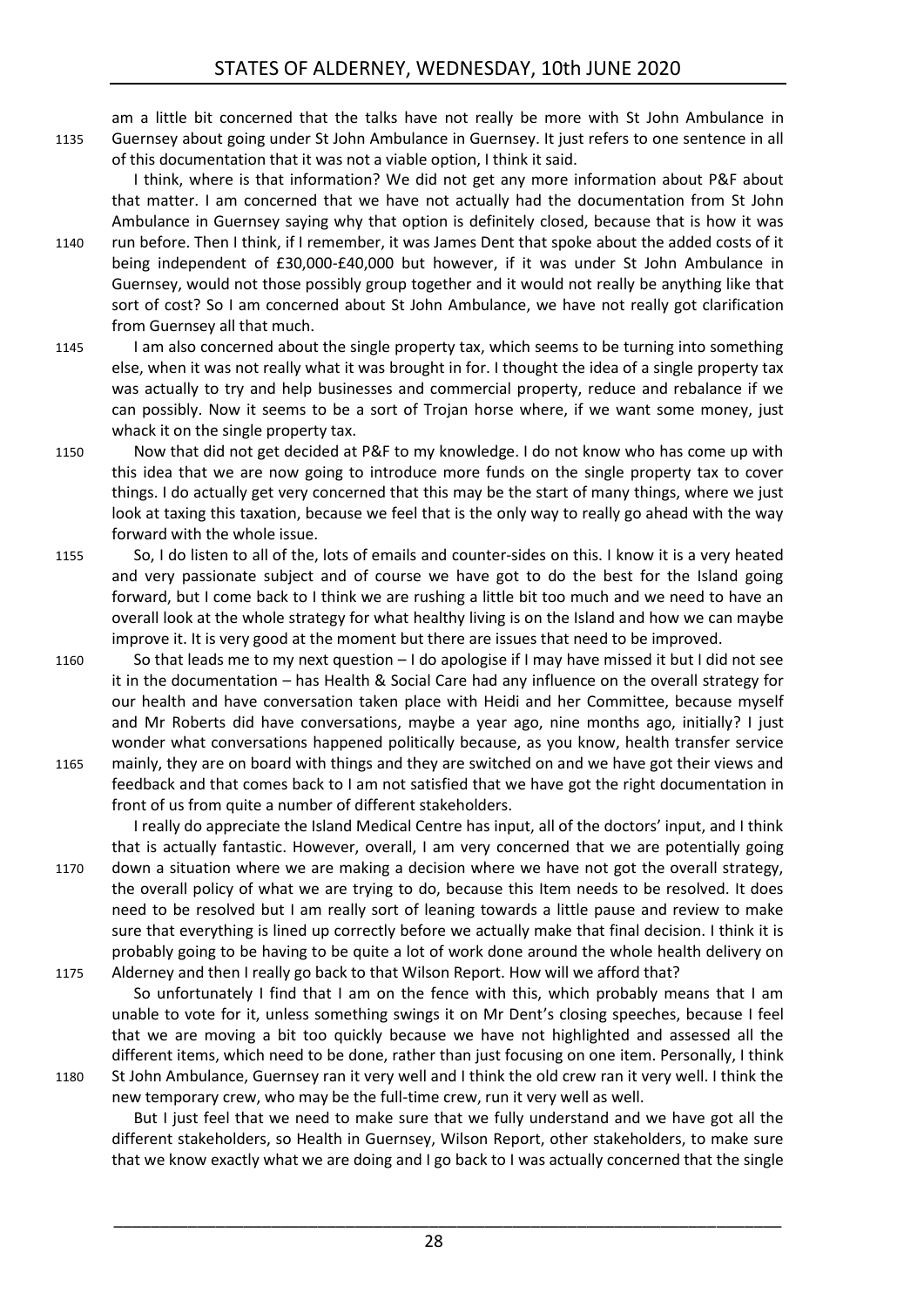am a little bit concerned that the talks have not really be more with St John Ambulance in 1135 Guernsey about going under St John Ambulance in Guernsey. It just refers to one sentence in all of this documentation that it was not a viable option, I think it said.

I think, where is that information? We did not get any more information about P&F about that matter. I am concerned that we have not actually had the documentation from St John Ambulance in Guernsey saying why that option is definitely closed, because that is how it was

- 1140 run before. Then I think, if I remember, it was James Dent that spoke about the added costs of it being independent of £30,000-£40,000 but however, if it was under St John Ambulance in Guernsey, would not those possibly group together and it would not really be anything like that sort of cost? So I am concerned about St John Ambulance, we have not really got clarification from Guernsey all that much.
- 1145 I am also concerned about the single property tax, which seems to be turning into something else, when it was not really what it was brought in for. I thought the idea of a single property tax was actually to try and help businesses and commercial property, reduce and rebalance if we can possibly. Now it seems to be a sort of Trojan horse where, if we want some money, just whack it on the single property tax.
- 1150 Now that did not get decided at P&F to my knowledge. I do not know who has come up with this idea that we are now going to introduce more funds on the single property tax to cover things. I do actually get very concerned that this may be the start of many things, where we just look at taxing this taxation, because we feel that is the only way to really go ahead with the way forward with the whole issue.
- 1155 So, I do listen to all of the, lots of emails and counter-sides on this. I know it is a very heated and very passionate subject and of course we have got to do the best for the Island going forward, but I come back to I think we are rushing a little bit too much and we need to have an overall look at the whole strategy for what healthy living is on the Island and how we can maybe improve it. It is very good at the moment but there are issues that need to be improved.
- 1160 So that leads me to my next question I do apologise if I may have missed it but I did not see it in the documentation – has Health & Social Care had any influence on the overall strategy for our health and have conversation taken place with Heidi and her Committee, because myself and Mr Roberts did have conversations, maybe a year ago, nine months ago, initially? I just wonder what conversations happened politically because, as you know, health transfer service 1165 mainly, they are on board with things and they are switched on and we have got their views and feedback and that comes back to I am not satisfied that we have got the right documentation in front of us from quite a number of different stakeholders.
- I really do appreciate the Island Medical Centre has input, all of the doctors' input, and I think that is actually fantastic. However, overall, I am very concerned that we are potentially going 1170 down a situation where we are making a decision where we have not got the overall strategy, the overall policy of what we are trying to do, because this Item needs to be resolved. It does need to be resolved but I am really sort of leaning towards a little pause and review to make sure that everything is lined up correctly before we actually make that final decision. I think it is probably going to be having to be quite a lot of work done around the whole health delivery on 1175 Alderney and then I really go back to that Wilson Report. How will we afford that?
- So unfortunately I find that I am on the fence with this, which probably means that I am unable to vote for it, unless something swings it on Mr Dent's closing speeches, because I feel that we are moving a bit too quickly because we have not highlighted and assessed all the different items, which need to be done, rather than just focusing on one item. Personally, I think 1180 St John Ambulance, Guernsey ran it very well and I think the old crew ran it very well. I think the

new temporary crew, who may be the full-time crew, run it very well as well.

But I just feel that we need to make sure that we fully understand and we have got all the different stakeholders, so Health in Guernsey, Wilson Report, other stakeholders, to make sure that we know exactly what we are doing and I go back to I was actually concerned that the single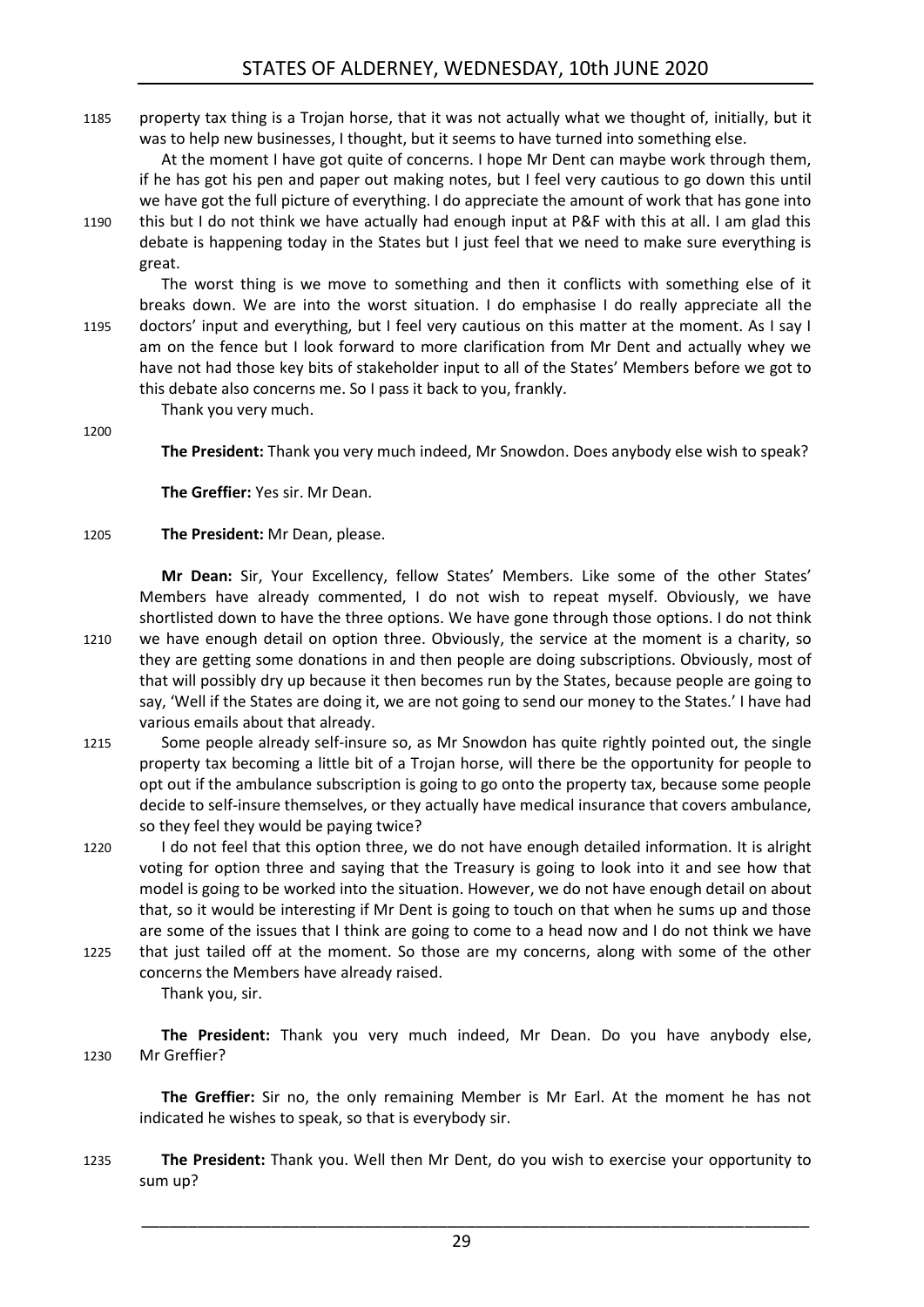1185 property tax thing is a Trojan horse, that it was not actually what we thought of, initially, but it was to help new businesses, I thought, but it seems to have turned into something else.

At the moment I have got quite of concerns. I hope Mr Dent can maybe work through them, if he has got his pen and paper out making notes, but I feel very cautious to go down this until we have got the full picture of everything. I do appreciate the amount of work that has gone into

1190 this but I do not think we have actually had enough input at P&F with this at all. I am glad this debate is happening today in the States but I just feel that we need to make sure everything is great.

The worst thing is we move to something and then it conflicts with something else of it breaks down. We are into the worst situation. I do emphasise I do really appreciate all the 1195 doctors' input and everything, but I feel very cautious on this matter at the moment. As I say I am on the fence but I look forward to more clarification from Mr Dent and actually whey we have not had those key bits of stakeholder input to all of the States' Members before we got to this debate also concerns me. So I pass it back to you, frankly.

1200

**The President:** Thank you very much indeed, Mr Snowdon. Does anybody else wish to speak?

**The Greffier:** Yes sir. Mr Dean.

### 1205 **The President:** Mr Dean, please.

Thank you very much.

**Mr Dean:** Sir, Your Excellency, fellow States' Members. Like some of the other States' Members have already commented, I do not wish to repeat myself. Obviously, we have shortlisted down to have the three options. We have gone through those options. I do not think

- 1210 we have enough detail on option three. Obviously, the service at the moment is a charity, so they are getting some donations in and then people are doing subscriptions. Obviously, most of that will possibly dry up because it then becomes run by the States, because people are going to say, 'Well if the States are doing it, we are not going to send our money to the States.' I have had various emails about that already.
- 1215 Some people already self-insure so, as Mr Snowdon has quite rightly pointed out, the single property tax becoming a little bit of a Trojan horse, will there be the opportunity for people to opt out if the ambulance subscription is going to go onto the property tax, because some people decide to self-insure themselves, or they actually have medical insurance that covers ambulance, so they feel they would be paying twice?
- 1220 I do not feel that this option three, we do not have enough detailed information. It is alright voting for option three and saying that the Treasury is going to look into it and see how that model is going to be worked into the situation. However, we do not have enough detail on about that, so it would be interesting if Mr Dent is going to touch on that when he sums up and those are some of the issues that I think are going to come to a head now and I do not think we have
- 1225 that just tailed off at the moment. So those are my concerns, along with some of the other concerns the Members have already raised. Thank you, sir.

**The President:** Thank you very much indeed, Mr Dean. Do you have anybody else, 1230 Mr Greffier?

**The Greffier:** Sir no, the only remaining Member is Mr Earl. At the moment he has not indicated he wishes to speak, so that is everybody sir.

1235 **The President:** Thank you. Well then Mr Dent, do you wish to exercise your opportunity to sum up?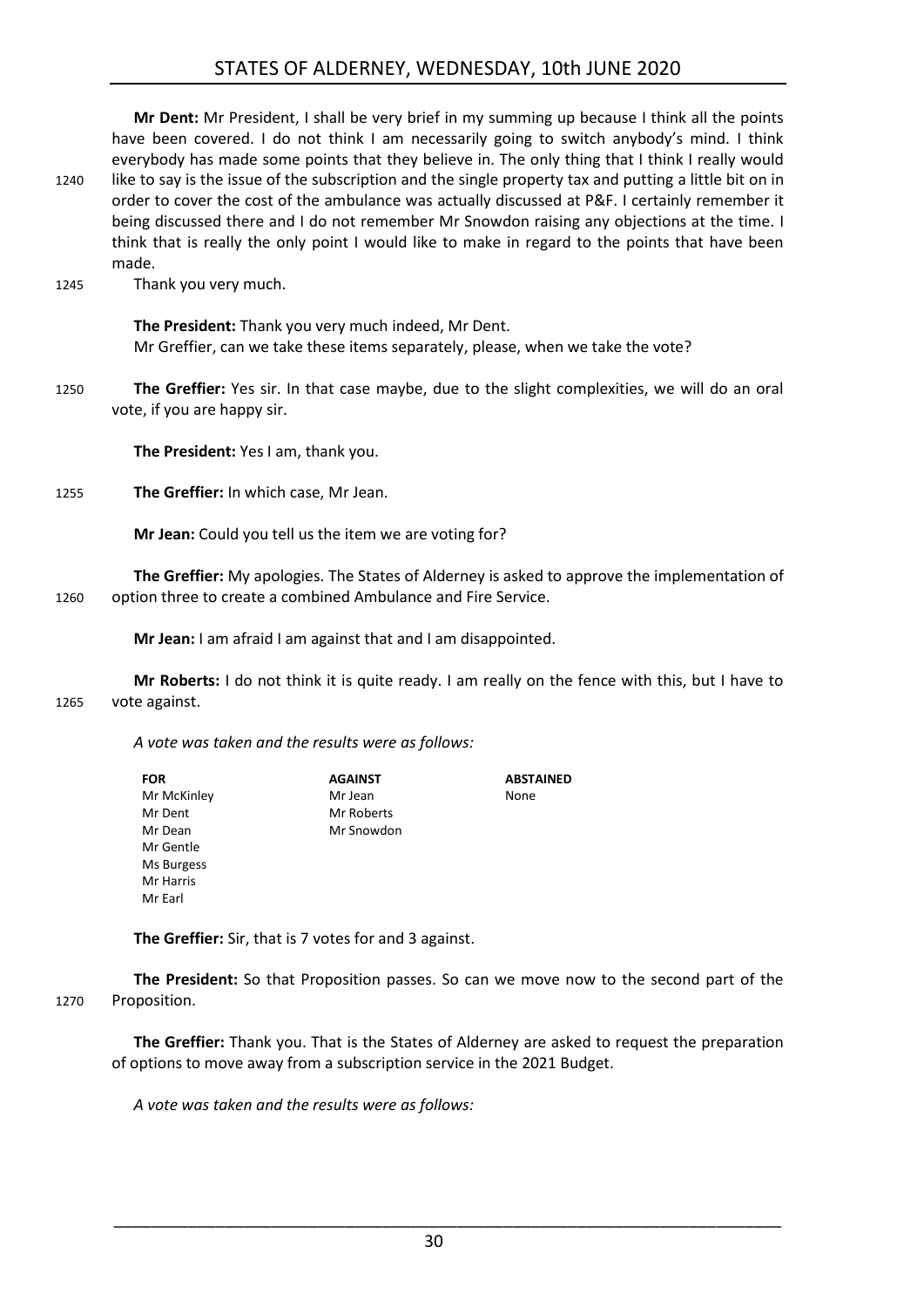### STATES OF ALDERNEY, WEDNESDAY, 10th JUNE 2020

**Mr Dent:** Mr President, I shall be very brief in my summing up because I think all the points have been covered. I do not think I am necessarily going to switch anybody's mind. I think everybody has made some points that they believe in. The only thing that I think I really would 1240 like to say is the issue of the subscription and the single property tax and putting a little bit on in order to cover the cost of the ambulance was actually discussed at P&F. I certainly remember it being discussed there and I do not remember Mr Snowdon raising any objections at the time. I think that is really the only point I would like to make in regard to the points that have been made.

1245 Thank you very much.

**The President:** Thank you very much indeed, Mr Dent. Mr Greffier, can we take these items separately, please, when we take the vote?

1250 **The Greffier:** Yes sir. In that case maybe, due to the slight complexities, we will do an oral vote, if you are happy sir.

**The President:** Yes I am, thank you.

1255 **The Greffier:** In which case, Mr Jean.

**Mr Jean:** Could you tell us the item we are voting for?

**The Greffier:** My apologies. The States of Alderney is asked to approve the implementation of 1260 option three to create a combined Ambulance and Fire Service.

**Mr Jean:** I am afraid I am against that and I am disappointed.

**Mr Roberts:** I do not think it is quite ready. I am really on the fence with this, but I have to 1265 vote against.

*A vote was taken and the results were as follows:*

| <b>FOR</b>  | <b>AGAINST</b> | <b>ABSTAINED</b> |
|-------------|----------------|------------------|
| Mr McKinley | Mr Jean        | None             |
| Mr Dent     | Mr Roberts     |                  |
| Mr Dean     | Mr Snowdon     |                  |
| Mr Gentle   |                |                  |
| Ms Burgess  |                |                  |
| Mr Harris   |                |                  |
| Mr Earl     |                |                  |

**The Greffier:** Sir, that is 7 votes for and 3 against.

**The President:** So that Proposition passes. So can we move now to the second part of the 1270 Proposition.

**The Greffier:** Thank you. That is the States of Alderney are asked to request the preparation of options to move away from a subscription service in the 2021 Budget.

*A vote was taken and the results were as follows:*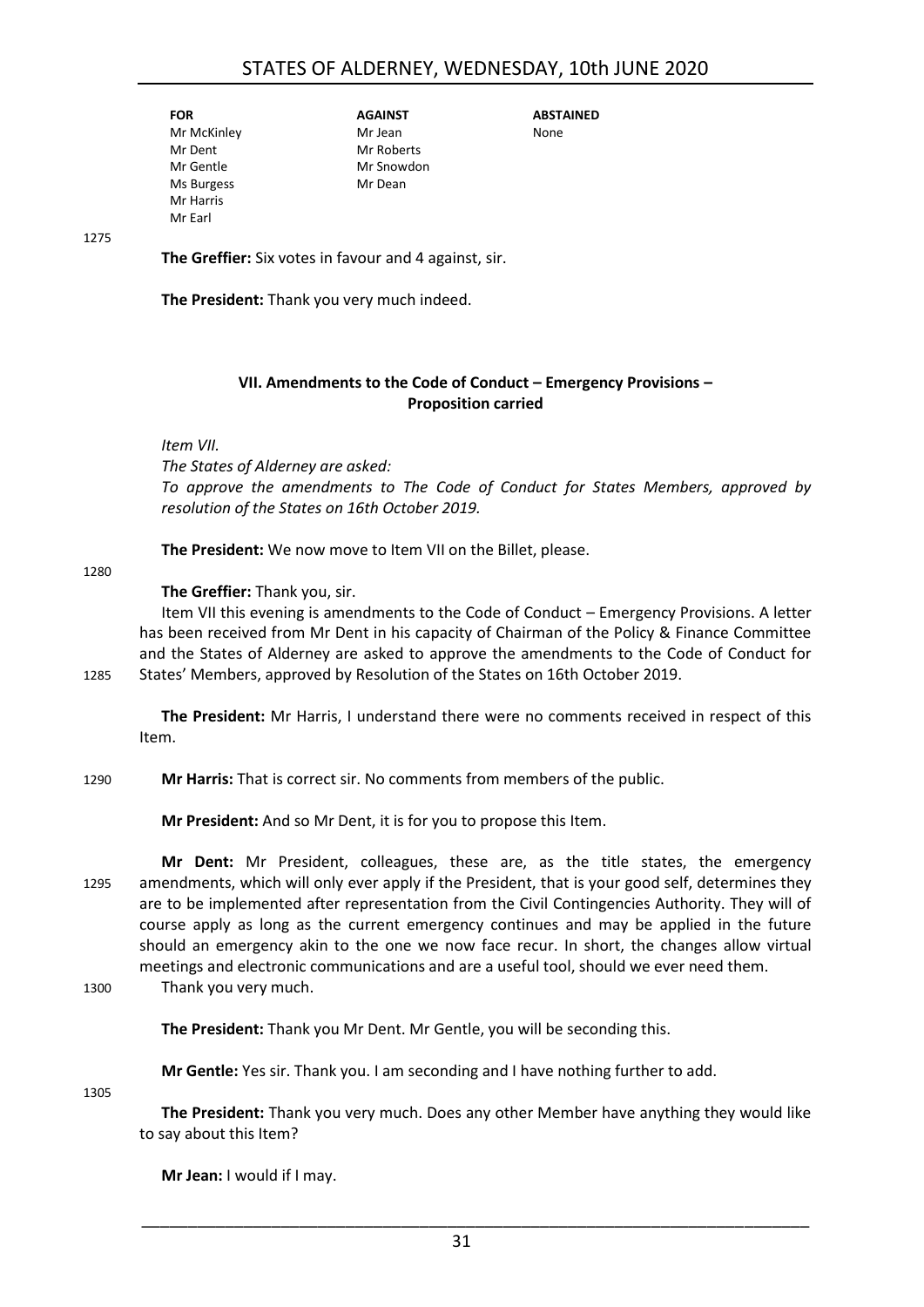| FOR         |
|-------------|
| Mr McKinley |
| Mr Dent     |
| Mr Gentle   |
| Ms Burgess  |
| Mr Harris   |
| Mr Farl     |

**AGAINST** Mr Jean Mr Roberts Mr Snowdon Mr Dean

**ABSTAINED** None

1275

**The Greffier:** Six votes in favour and 4 against, sir.

**The President:** Thank you very much indeed.

### **VII. Amendments to the Code of Conduct – Emergency Provisions – Proposition carried**

<span id="page-30-0"></span>*Item VII.*

*The States of Alderney are asked: To approve the amendments to The Code of Conduct for States Members, approved by resolution of the States on 16th October 2019.*

**The President:** We now move to Item VII on the Billet, please.

1280

### **The Greffier:** Thank you, sir.

Item VII this evening is amendments to the Code of Conduct – Emergency Provisions. A letter has been received from Mr Dent in his capacity of Chairman of the Policy & Finance Committee and the States of Alderney are asked to approve the amendments to the Code of Conduct for 1285 States' Members, approved by Resolution of the States on 16th October 2019.

**The President:** Mr Harris, I understand there were no comments received in respect of this Item.

1290 **Mr Harris:** That is correct sir. No comments from members of the public.

**Mr President:** And so Mr Dent, it is for you to propose this Item.

**Mr Dent:** Mr President, colleagues, these are, as the title states, the emergency 1295 amendments, which will only ever apply if the President, that is your good self, determines they are to be implemented after representation from the Civil Contingencies Authority. They will of course apply as long as the current emergency continues and may be applied in the future should an emergency akin to the one we now face recur. In short, the changes allow virtual meetings and electronic communications and are a useful tool, should we ever need them.

1300 Thank you very much.

**The President:** Thank you Mr Dent. Mr Gentle, you will be seconding this.

**Mr Gentle:** Yes sir. Thank you. I am seconding and I have nothing further to add.

1305

**The President:** Thank you very much. Does any other Member have anything they would like to say about this Item?

**Mr Jean:** I would if I may.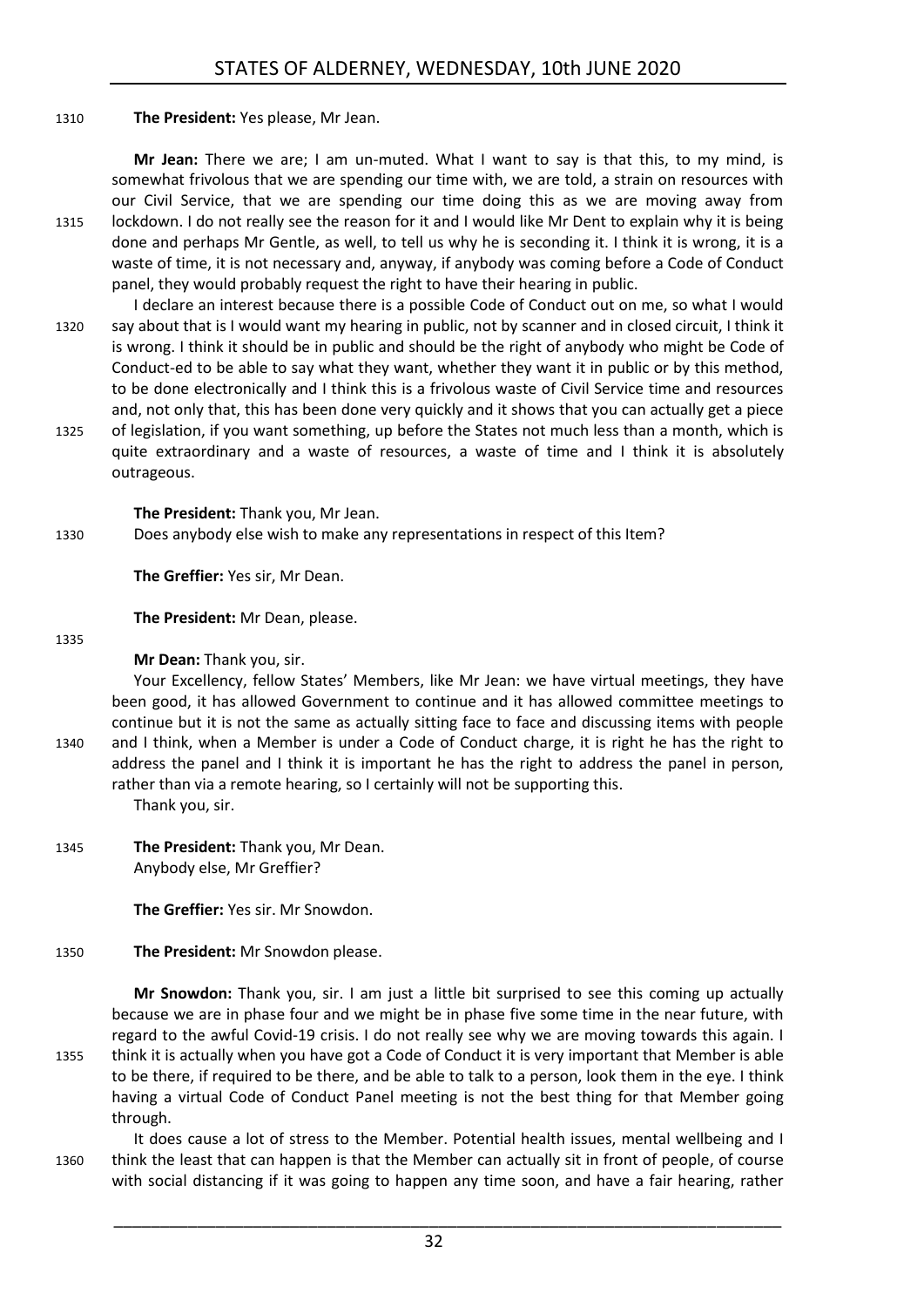### 1310 **The President:** Yes please, Mr Jean.

**Mr Jean:** There we are; I am un-muted. What I want to say is that this, to my mind, is somewhat frivolous that we are spending our time with, we are told, a strain on resources with our Civil Service, that we are spending our time doing this as we are moving away from 1315 lockdown. I do not really see the reason for it and I would like Mr Dent to explain why it is being done and perhaps Mr Gentle, as well, to tell us why he is seconding it. I think it is wrong, it is a waste of time, it is not necessary and, anyway, if anybody was coming before a Code of Conduct panel, they would probably request the right to have their hearing in public.

- I declare an interest because there is a possible Code of Conduct out on me, so what I would 1320 say about that is I would want my hearing in public, not by scanner and in closed circuit, I think it is wrong. I think it should be in public and should be the right of anybody who might be Code of Conduct-ed to be able to say what they want, whether they want it in public or by this method, to be done electronically and I think this is a frivolous waste of Civil Service time and resources and, not only that, this has been done very quickly and it shows that you can actually get a piece
- 1325 of legislation, if you want something, up before the States not much less than a month, which is quite extraordinary and a waste of resources, a waste of time and I think it is absolutely outrageous.

**The President:** Thank you, Mr Jean.

1330 Does anybody else wish to make any representations in respect of this Item?

**The Greffier:** Yes sir, Mr Dean.

**The President:** Mr Dean, please.

1335

**Mr Dean:** Thank you, sir.

Your Excellency, fellow States' Members, like Mr Jean: we have virtual meetings, they have been good, it has allowed Government to continue and it has allowed committee meetings to continue but it is not the same as actually sitting face to face and discussing items with people 1340 and I think, when a Member is under a Code of Conduct charge, it is right he has the right to address the panel and I think it is important he has the right to address the panel in person, rather than via a remote hearing, so I certainly will not be supporting this.

Thank you, sir.

1345 **The President:** Thank you, Mr Dean. Anybody else, Mr Greffier?

**The Greffier:** Yes sir. Mr Snowdon.

1350 **The President:** Mr Snowdon please.

**Mr Snowdon:** Thank you, sir. I am just a little bit surprised to see this coming up actually because we are in phase four and we might be in phase five some time in the near future, with regard to the awful Covid-19 crisis. I do not really see why we are moving towards this again. I 1355 think it is actually when you have got a Code of Conduct it is very important that Member is able to be there, if required to be there, and be able to talk to a person, look them in the eye. I think having a virtual Code of Conduct Panel meeting is not the best thing for that Member going through.

It does cause a lot of stress to the Member. Potential health issues, mental wellbeing and I 1360 think the least that can happen is that the Member can actually sit in front of people, of course with social distancing if it was going to happen any time soon, and have a fair hearing, rather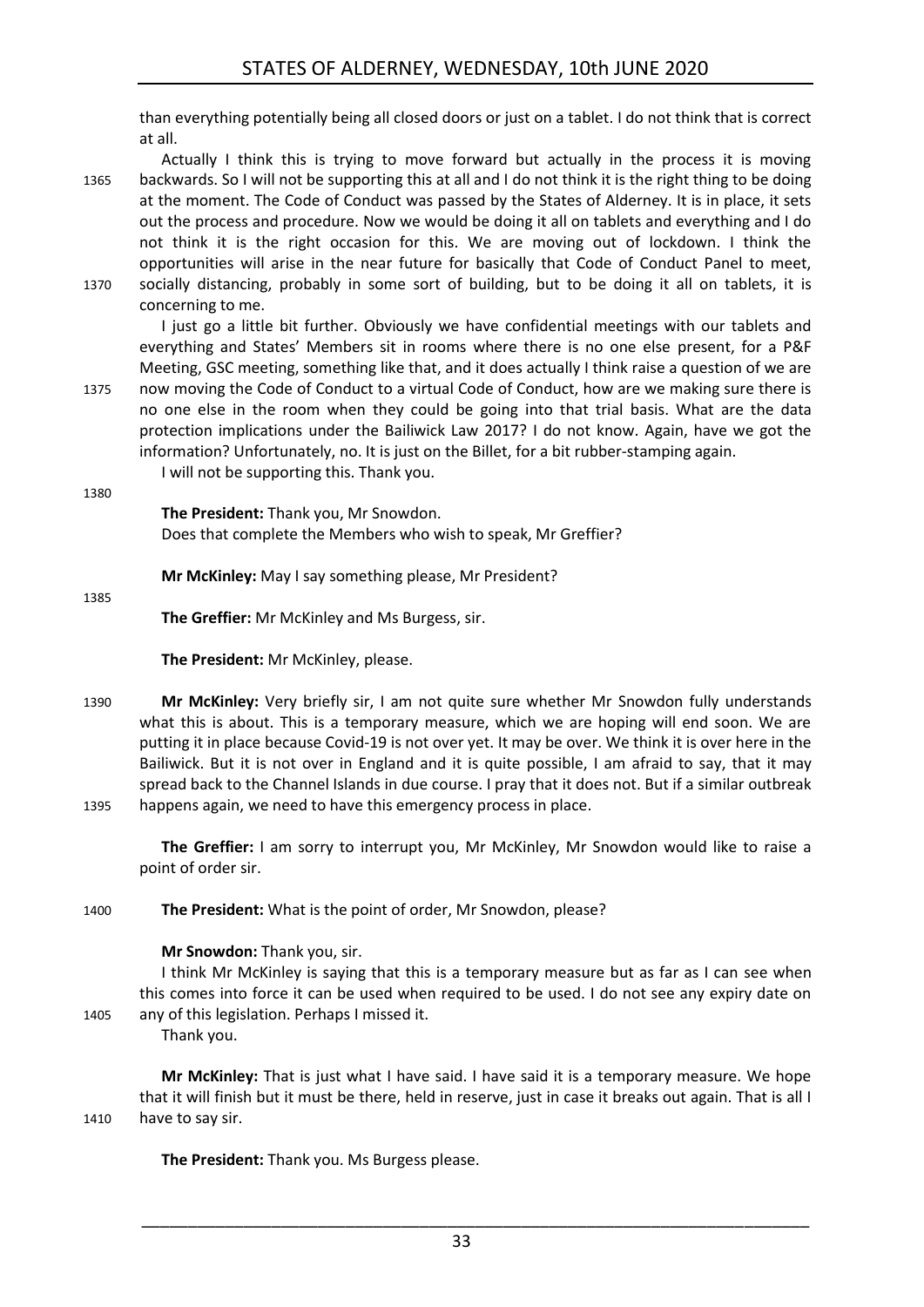than everything potentially being all closed doors or just on a tablet. I do not think that is correct at all.

Actually I think this is trying to move forward but actually in the process it is moving 1365 backwards. So I will not be supporting this at all and I do not think it is the right thing to be doing at the moment. The Code of Conduct was passed by the States of Alderney. It is in place, it sets out the process and procedure. Now we would be doing it all on tablets and everything and I do not think it is the right occasion for this. We are moving out of lockdown. I think the opportunities will arise in the near future for basically that Code of Conduct Panel to meet, 1370 socially distancing, probably in some sort of building, but to be doing it all on tablets, it is concerning to me.

I just go a little bit further. Obviously we have confidential meetings with our tablets and everything and States' Members sit in rooms where there is no one else present, for a P&F Meeting, GSC meeting, something like that, and it does actually I think raise a question of we are 1375 now moving the Code of Conduct to a virtual Code of Conduct, how are we making sure there is no one else in the room when they could be going into that trial basis. What are the data protection implications under the Bailiwick Law 2017? I do not know. Again, have we got the information? Unfortunately, no. It is just on the Billet, for a bit rubber-stamping again.

I will not be supporting this. Thank you.

1380

**The President:** Thank you, Mr Snowdon. Does that complete the Members who wish to speak, Mr Greffier?

**Mr McKinley:** May I say something please, Mr President?

1385

**The Greffier:** Mr McKinley and Ms Burgess, sir.

**The President:** Mr McKinley, please.

1390 **Mr McKinley:** Very briefly sir, I am not quite sure whether Mr Snowdon fully understands what this is about. This is a temporary measure, which we are hoping will end soon. We are putting it in place because Covid-19 is not over yet. It may be over. We think it is over here in the Bailiwick. But it is not over in England and it is quite possible, I am afraid to say, that it may spread back to the Channel Islands in due course. I pray that it does not. But if a similar outbreak 1395 happens again, we need to have this emergency process in place.

**The Greffier:** I am sorry to interrupt you, Mr McKinley, Mr Snowdon would like to raise a point of order sir.

1400 **The President:** What is the point of order, Mr Snowdon, please?

### **Mr Snowdon:** Thank you, sir.

I think Mr McKinley is saying that this is a temporary measure but as far as I can see when this comes into force it can be used when required to be used. I do not see any expiry date on 1405 any of this legislation. Perhaps I missed it.

Thank you.

**Mr McKinley:** That is just what I have said. I have said it is a temporary measure. We hope that it will finish but it must be there, held in reserve, just in case it breaks out again. That is all I 1410 have to say sir.

**The President:** Thank you. Ms Burgess please.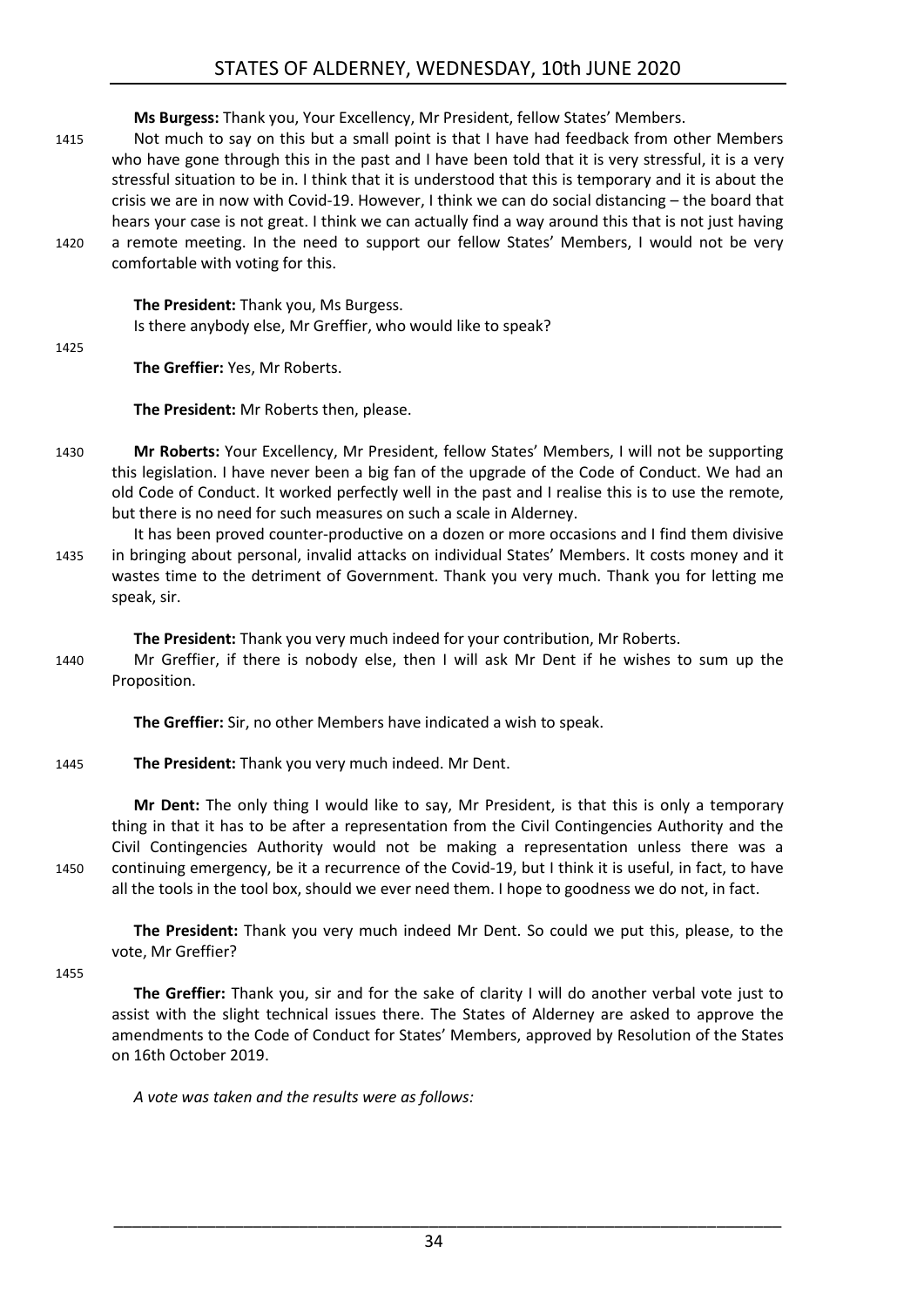**Ms Burgess:** Thank you, Your Excellency, Mr President, fellow States' Members.

1415 Not much to say on this but a small point is that I have had feedback from other Members who have gone through this in the past and I have been told that it is very stressful, it is a very stressful situation to be in. I think that it is understood that this is temporary and it is about the crisis we are in now with Covid-19. However, I think we can do social distancing – the board that hears your case is not great. I think we can actually find a way around this that is not just having 1420 a remote meeting. In the need to support our fellow States' Members, I would not be very comfortable with voting for this.

**The President:** Thank you, Ms Burgess. Is there anybody else, Mr Greffier, who would like to speak?

1425

**The Greffier:** Yes, Mr Roberts.

**The President:** Mr Roberts then, please.

- 1430 **Mr Roberts:** Your Excellency, Mr President, fellow States' Members, I will not be supporting this legislation. I have never been a big fan of the upgrade of the Code of Conduct. We had an old Code of Conduct. It worked perfectly well in the past and I realise this is to use the remote, but there is no need for such measures on such a scale in Alderney.
- It has been proved counter-productive on a dozen or more occasions and I find them divisive 1435 in bringing about personal, invalid attacks on individual States' Members. It costs money and it wastes time to the detriment of Government. Thank you very much. Thank you for letting me speak, sir.

**The President:** Thank you very much indeed for your contribution, Mr Roberts.

1440 Mr Greffier, if there is nobody else, then I will ask Mr Dent if he wishes to sum up the Proposition.

**The Greffier:** Sir, no other Members have indicated a wish to speak.

### 1445 **The President:** Thank you very much indeed. Mr Dent.

**Mr Dent:** The only thing I would like to say, Mr President, is that this is only a temporary thing in that it has to be after a representation from the Civil Contingencies Authority and the Civil Contingencies Authority would not be making a representation unless there was a 1450 continuing emergency, be it a recurrence of the Covid-19, but I think it is useful, in fact, to have all the tools in the tool box, should we ever need them. I hope to goodness we do not, in fact.

**The President:** Thank you very much indeed Mr Dent. So could we put this, please, to the vote, Mr Greffier?

1455

**The Greffier:** Thank you, sir and for the sake of clarity I will do another verbal vote just to assist with the slight technical issues there. The States of Alderney are asked to approve the amendments to the Code of Conduct for States' Members, approved by Resolution of the States on 16th October 2019.

*A vote was taken and the results were as follows:*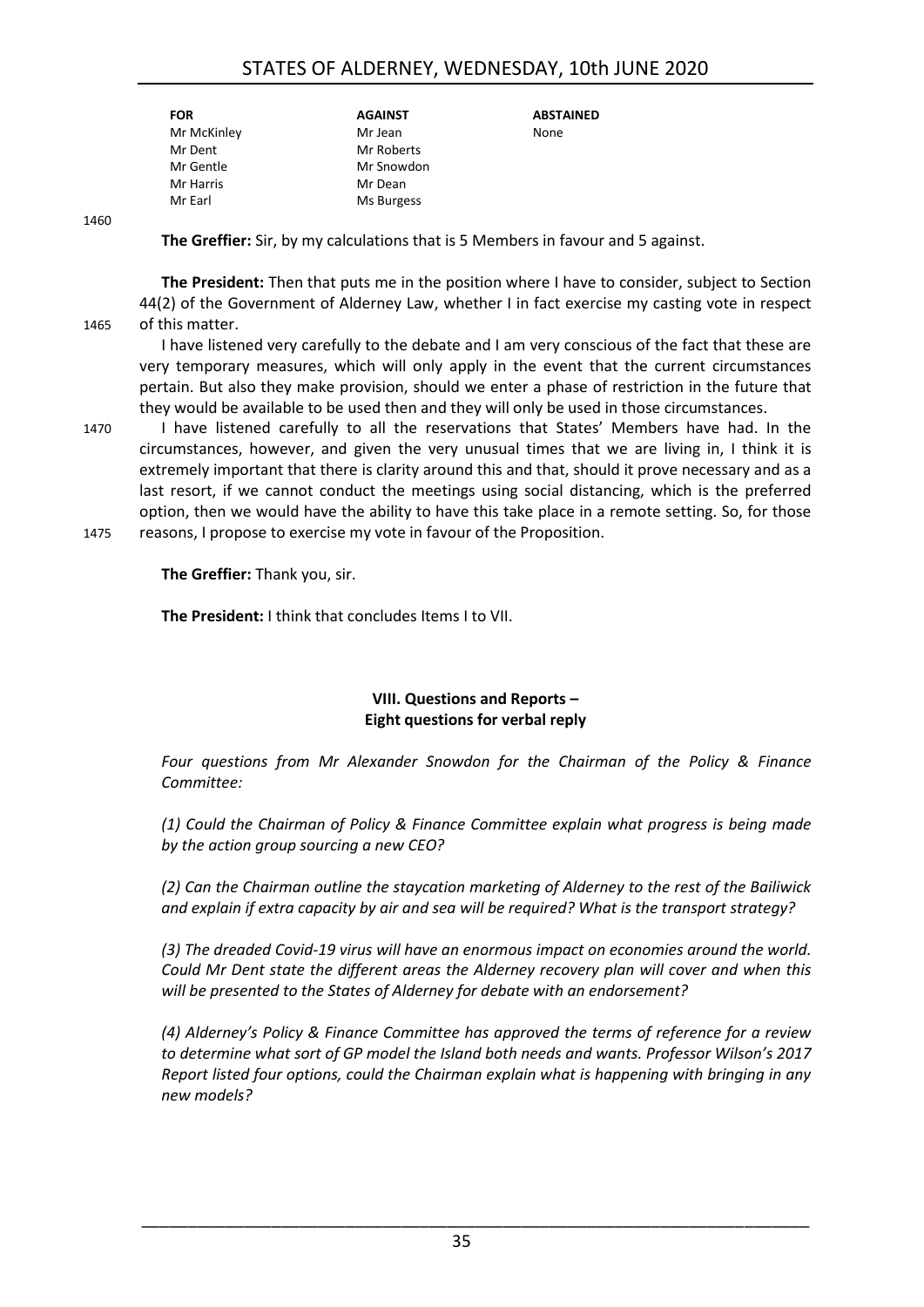### STATES OF ALDERNEY, WEDNESDAY, 10th JUNE 2020

| <b>FOR</b>  | <b>AGAINST</b> | <b>ABSTAINED</b> |
|-------------|----------------|------------------|
| Mr McKinley | Mr Jean        | None             |
| Mr Dent     | Mr Roberts     |                  |
| Mr Gentle   | Mr Snowdon     |                  |
| Mr Harris   | Mr Dean        |                  |
| Mr Earl     | Ms Burgess     |                  |
|             |                |                  |

1460

**The Greffier:** Sir, by my calculations that is 5 Members in favour and 5 against.

**The President:** Then that puts me in the position where I have to consider, subject to Section 44(2) of the Government of Alderney Law, whether I in fact exercise my casting vote in respect 1465 of this matter.

I have listened very carefully to the debate and I am very conscious of the fact that these are very temporary measures, which will only apply in the event that the current circumstances pertain. But also they make provision, should we enter a phase of restriction in the future that they would be available to be used then and they will only be used in those circumstances.

1470 I have listened carefully to all the reservations that States' Members have had. In the circumstances, however, and given the very unusual times that we are living in, I think it is extremely important that there is clarity around this and that, should it prove necessary and as a last resort, if we cannot conduct the meetings using social distancing, which is the preferred option, then we would have the ability to have this take place in a remote setting. So, for those 1475 reasons, I propose to exercise my vote in favour of the Proposition.

**The Greffier:** Thank you, sir.

**The President:** I think that concludes Items I to VII.

### **VIII. Questions and Reports – Eight questions for verbal reply**

<span id="page-34-0"></span>*Four questions from Mr Alexander Snowdon for the Chairman of the Policy & Finance Committee:*

*(1) Could the Chairman of Policy & Finance Committee explain what progress is being made by the action group sourcing a new CEO?*

*(2) Can the Chairman outline the staycation marketing of Alderney to the rest of the Bailiwick and explain if extra capacity by air and sea will be required? What is the transport strategy?*

*(3) The dreaded Covid-19 virus will have an enormous impact on economies around the world. Could Mr Dent state the different areas the Alderney recovery plan will cover and when this will be presented to the States of Alderney for debate with an endorsement?*

*(4) Alderney's Policy & Finance Committee has approved the terms of reference for a review to determine what sort of GP model the Island both needs and wants. Professor Wilson's 2017 Report listed four options, could the Chairman explain what is happening with bringing in any new models?*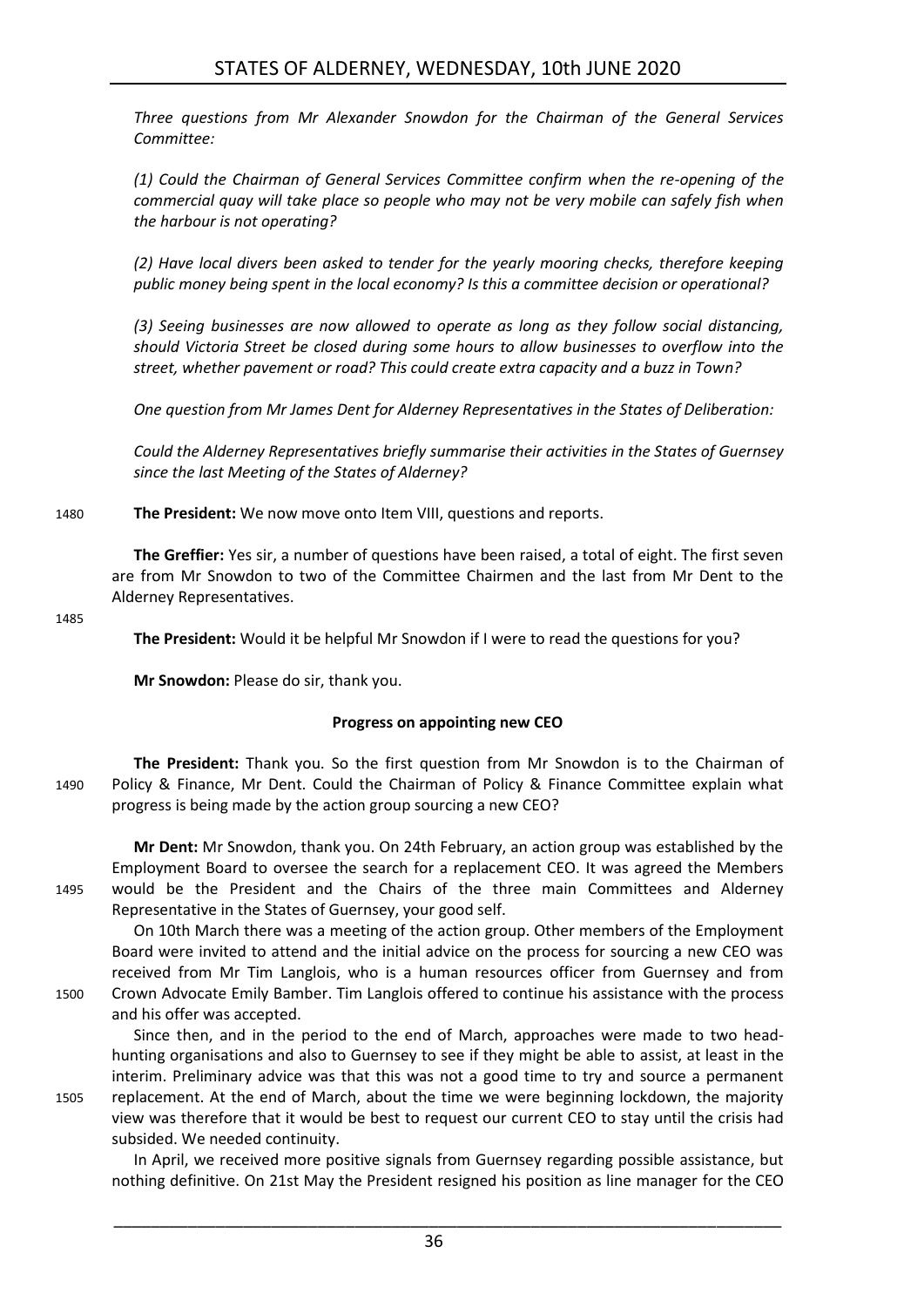*Three questions from Mr Alexander Snowdon for the Chairman of the General Services Committee:*

*(1) Could the Chairman of General Services Committee confirm when the re-opening of the commercial quay will take place so people who may not be very mobile can safely fish when the harbour is not operating?*

*(2) Have local divers been asked to tender for the yearly mooring checks, therefore keeping public money being spent in the local economy? Is this a committee decision or operational?*

*(3) Seeing businesses are now allowed to operate as long as they follow social distancing, should Victoria Street be closed during some hours to allow businesses to overflow into the street, whether pavement or road? This could create extra capacity and a buzz in Town?*

*One question from Mr James Dent for Alderney Representatives in the States of Deliberation:*

*Could the Alderney Representatives briefly summarise their activities in the States of Guernsey since the last Meeting of the States of Alderney?*

1480 **The President:** We now move onto Item VIII, questions and reports.

**The Greffier:** Yes sir, a number of questions have been raised, a total of eight. The first seven are from Mr Snowdon to two of the Committee Chairmen and the last from Mr Dent to the Alderney Representatives.

1485

**The President:** Would it be helpful Mr Snowdon if I were to read the questions for you?

<span id="page-35-0"></span>**Mr Snowdon:** Please do sir, thank you.

subsided. We needed continuity.

### **Progress on appointing new CEO**

**The President:** Thank you. So the first question from Mr Snowdon is to the Chairman of 1490 Policy & Finance, Mr Dent. Could the Chairman of Policy & Finance Committee explain what progress is being made by the action group sourcing a new CEO?

**Mr Dent:** Mr Snowdon, thank you. On 24th February, an action group was established by the Employment Board to oversee the search for a replacement CEO. It was agreed the Members 1495 would be the President and the Chairs of the three main Committees and Alderney Representative in the States of Guernsey, your good self.

On 10th March there was a meeting of the action group. Other members of the Employment Board were invited to attend and the initial advice on the process for sourcing a new CEO was received from Mr Tim Langlois, who is a human resources officer from Guernsey and from 1500 Crown Advocate Emily Bamber. Tim Langlois offered to continue his assistance with the process and his offer was accepted.

Since then, and in the period to the end of March, approaches were made to two headhunting organisations and also to Guernsey to see if they might be able to assist, at least in the interim. Preliminary advice was that this was not a good time to try and source a permanent 1505 replacement. At the end of March, about the time we were beginning lockdown, the majority view was therefore that it would be best to request our current CEO to stay until the crisis had

In April, we received more positive signals from Guernsey regarding possible assistance, but nothing definitive. On 21st May the President resigned his position as line manager for the CEO

\_\_\_\_\_\_\_\_\_\_\_\_\_\_\_\_\_\_\_\_\_\_\_\_\_\_\_\_\_\_\_\_\_\_\_\_\_\_\_\_\_\_\_\_\_\_\_\_\_\_\_\_\_\_\_\_\_\_\_\_\_\_\_\_\_\_\_\_\_\_\_\_

36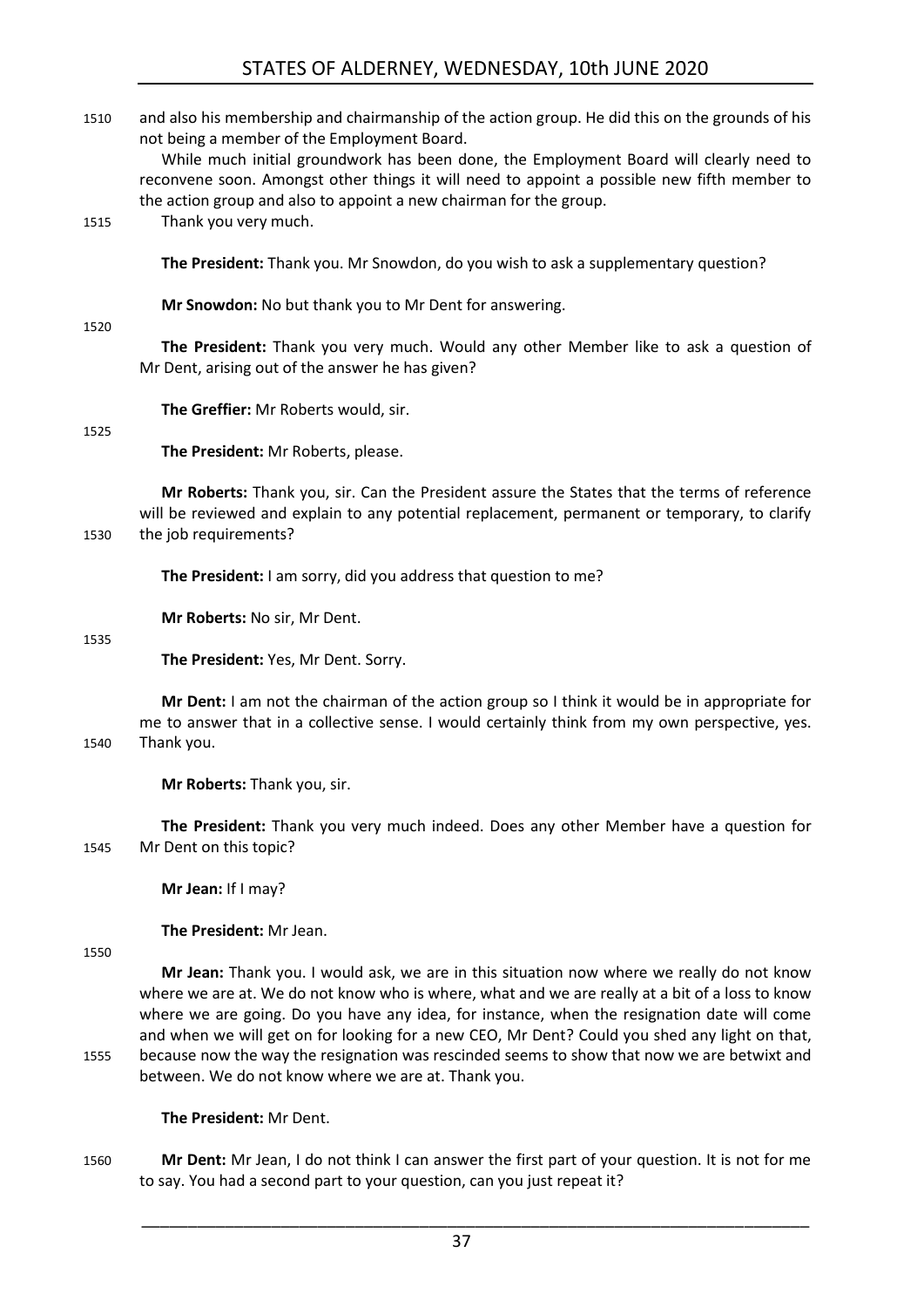### STATES OF ALDERNEY, WEDNESDAY, 10th JUNE 2020

| 1510 | and also his membership and chairmanship of the action group. He did this on the grounds of his<br>not being a member of the Employment Board.                                                                                                              |
|------|-------------------------------------------------------------------------------------------------------------------------------------------------------------------------------------------------------------------------------------------------------------|
|      | While much initial groundwork has been done, the Employment Board will clearly need to<br>reconvene soon. Amongst other things it will need to appoint a possible new fifth member to<br>the action group and also to appoint a new chairman for the group. |
| 1515 | Thank you very much.                                                                                                                                                                                                                                        |
|      | The President: Thank you. Mr Snowdon, do you wish to ask a supplementary question?                                                                                                                                                                          |
| 1520 | Mr Snowdon: No but thank you to Mr Dent for answering.                                                                                                                                                                                                      |
|      | The President: Thank you very much. Would any other Member like to ask a question of<br>Mr Dent, arising out of the answer he has given?                                                                                                                    |
| 1525 | The Greffier: Mr Roberts would, sir.                                                                                                                                                                                                                        |
|      | The President: Mr Roberts, please.                                                                                                                                                                                                                          |
| 1530 | Mr Roberts: Thank you, sir. Can the President assure the States that the terms of reference<br>will be reviewed and explain to any potential replacement, permanent or temporary, to clarify<br>the job requirements?                                       |
|      | The President: I am sorry, did you address that question to me?                                                                                                                                                                                             |
| 1535 | Mr Roberts: No sir, Mr Dent.                                                                                                                                                                                                                                |
|      | The President: Yes, Mr Dent. Sorry.                                                                                                                                                                                                                         |
| 1540 | Mr Dent: I am not the chairman of the action group so I think it would be in appropriate for<br>me to answer that in a collective sense. I would certainly think from my own perspective, yes.<br>Thank you.                                                |
|      | Mr Roberts: Thank you, sir.                                                                                                                                                                                                                                 |

**The President:** Thank you very much indeed. Does any other Member have a question for 1545 Mr Dent on this topic?

**Mr Jean:** If I may?

**The President:** Mr Jean.

1550

**Mr Jean:** Thank you. I would ask, we are in this situation now where we really do not know where we are at. We do not know who is where, what and we are really at a bit of a loss to know where we are going. Do you have any idea, for instance, when the resignation date will come and when we will get on for looking for a new CEO, Mr Dent? Could you shed any light on that, 1555 because now the way the resignation was rescinded seems to show that now we are betwixt and between. We do not know where we are at. Thank you.

**The President:** Mr Dent.

1560 **Mr Dent:** Mr Jean, I do not think I can answer the first part of your question. It is not for me to say. You had a second part to your question, can you just repeat it?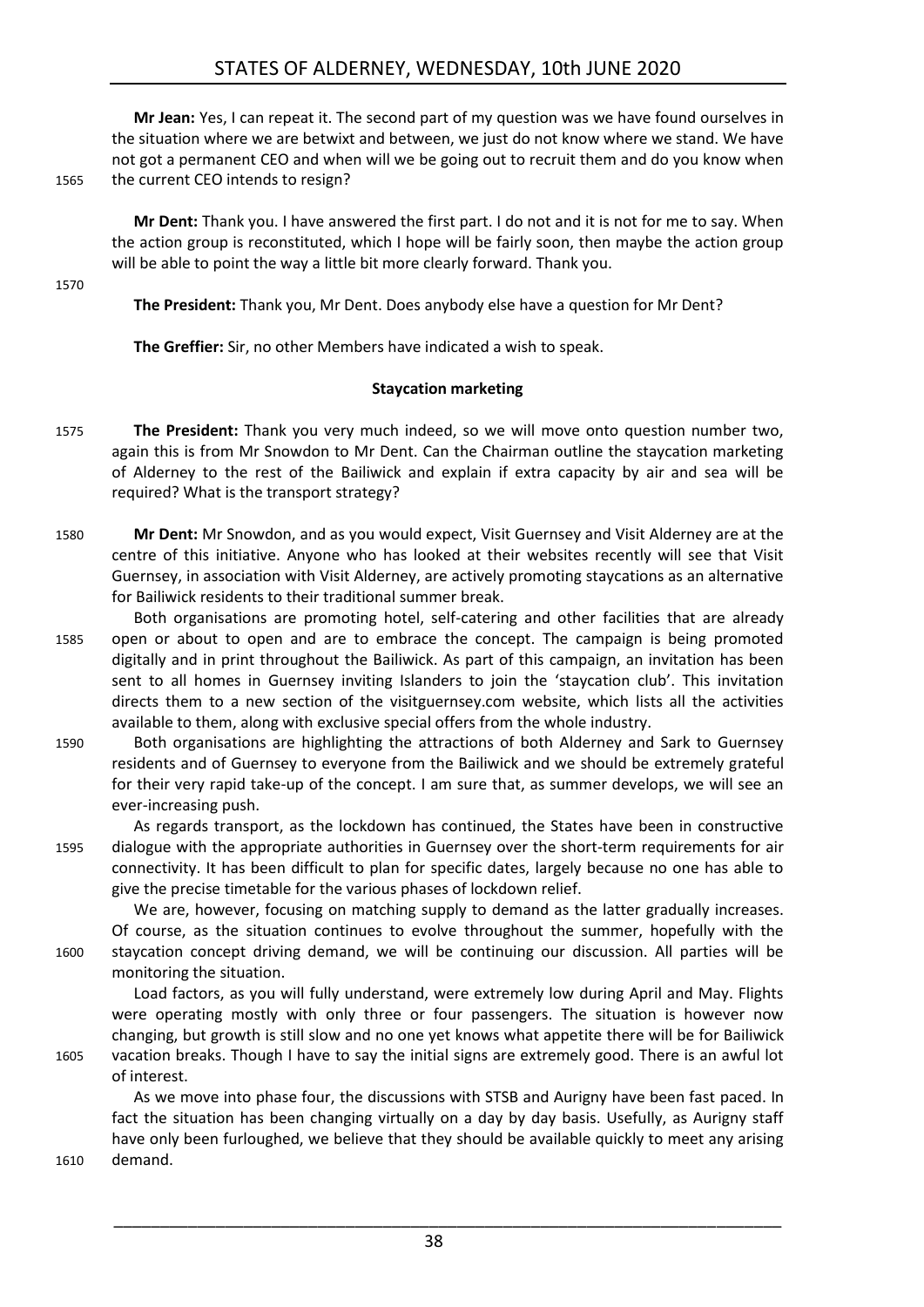**Mr Jean:** Yes, I can repeat it. The second part of my question was we have found ourselves in the situation where we are betwixt and between, we just do not know where we stand. We have not got a permanent CEO and when will we be going out to recruit them and do you know when 1565 the current CEO intends to resign?

**Mr Dent:** Thank you. I have answered the first part. I do not and it is not for me to say. When the action group is reconstituted, which I hope will be fairly soon, then maybe the action group will be able to point the way a little bit more clearly forward. Thank you.

1570

**The President:** Thank you, Mr Dent. Does anybody else have a question for Mr Dent?

<span id="page-37-0"></span>**The Greffier:** Sir, no other Members have indicated a wish to speak.

### **Staycation marketing**

- 1575 **The President:** Thank you very much indeed, so we will move onto question number two, again this is from Mr Snowdon to Mr Dent. Can the Chairman outline the staycation marketing of Alderney to the rest of the Bailiwick and explain if extra capacity by air and sea will be required? What is the transport strategy?
- 1580 **Mr Dent:** Mr Snowdon, and as you would expect, Visit Guernsey and Visit Alderney are at the centre of this initiative. Anyone who has looked at their websites recently will see that Visit Guernsey, in association with Visit Alderney, are actively promoting staycations as an alternative for Bailiwick residents to their traditional summer break.
- Both organisations are promoting hotel, self-catering and other facilities that are already 1585 open or about to open and are to embrace the concept. The campaign is being promoted digitally and in print throughout the Bailiwick. As part of this campaign, an invitation has been sent to all homes in Guernsey inviting Islanders to join the 'staycation club'. This invitation directs them to a new section of the visitguernsey.com website, which lists all the activities available to them, along with exclusive special offers from the whole industry.
- 1590 Both organisations are highlighting the attractions of both Alderney and Sark to Guernsey residents and of Guernsey to everyone from the Bailiwick and we should be extremely grateful for their very rapid take-up of the concept. I am sure that, as summer develops, we will see an ever-increasing push.
- As regards transport, as the lockdown has continued, the States have been in constructive 1595 dialogue with the appropriate authorities in Guernsey over the short-term requirements for air connectivity. It has been difficult to plan for specific dates, largely because no one has able to give the precise timetable for the various phases of lockdown relief.

We are, however, focusing on matching supply to demand as the latter gradually increases. Of course, as the situation continues to evolve throughout the summer, hopefully with the 1600 staycation concept driving demand, we will be continuing our discussion. All parties will be monitoring the situation.

Load factors, as you will fully understand, were extremely low during April and May. Flights were operating mostly with only three or four passengers. The situation is however now changing, but growth is still slow and no one yet knows what appetite there will be for Bailiwick 1605 vacation breaks. Though I have to say the initial signs are extremely good. There is an awful lot of interest.

As we move into phase four, the discussions with STSB and Aurigny have been fast paced. In fact the situation has been changing virtually on a day by day basis. Usefully, as Aurigny staff have only been furloughed, we believe that they should be available quickly to meet any arising 1610 demand.

38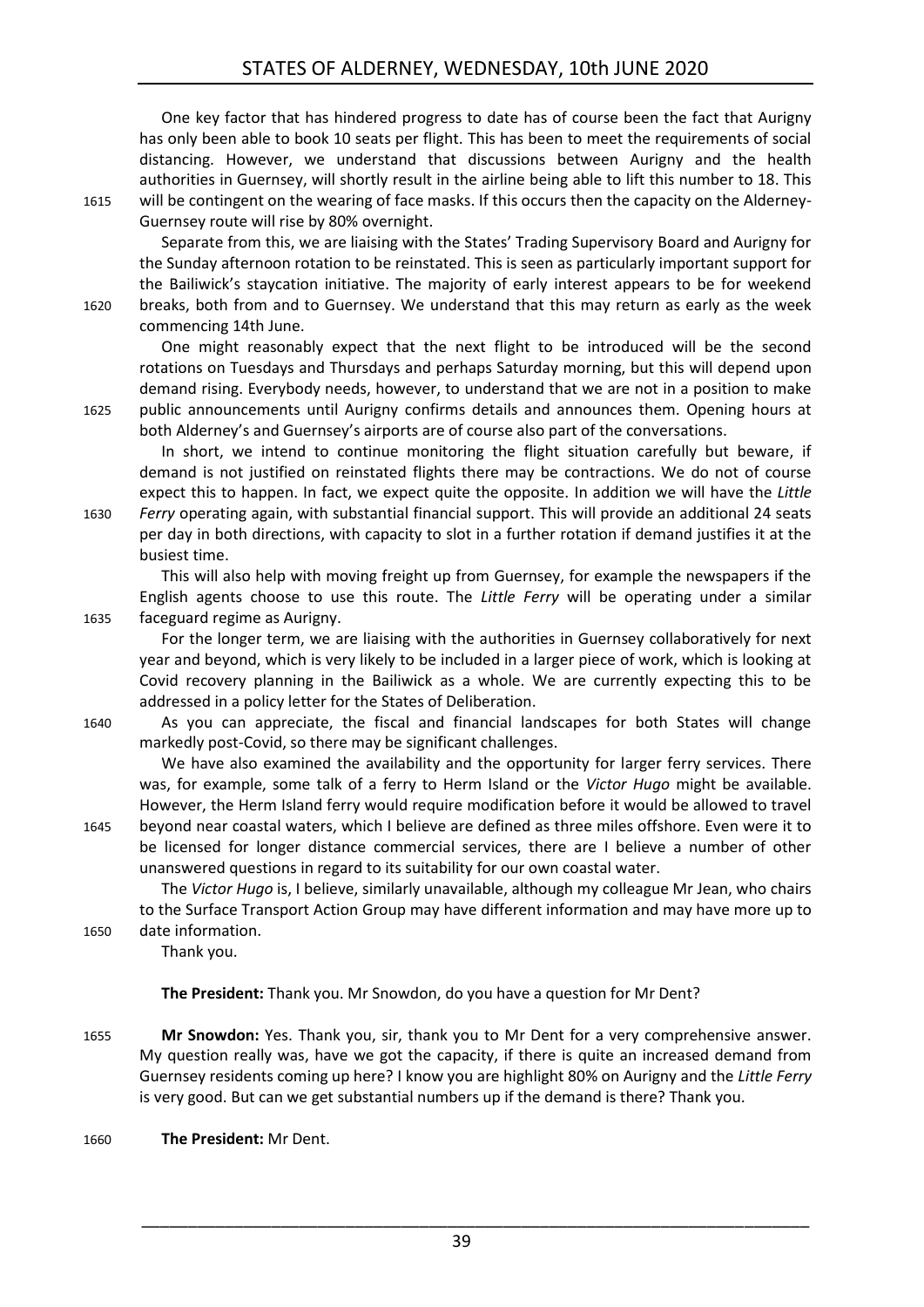One key factor that has hindered progress to date has of course been the fact that Aurigny has only been able to book 10 seats per flight. This has been to meet the requirements of social distancing. However, we understand that discussions between Aurigny and the health authorities in Guernsey, will shortly result in the airline being able to lift this number to 18. This 1615 will be contingent on the wearing of face masks. If this occurs then the capacity on the Alderney-Guernsey route will rise by 80% overnight.

Separate from this, we are liaising with the States' Trading Supervisory Board and Aurigny for the Sunday afternoon rotation to be reinstated. This is seen as particularly important support for the Bailiwick's staycation initiative. The majority of early interest appears to be for weekend 1620 breaks, both from and to Guernsey. We understand that this may return as early as the week commencing 14th June.

One might reasonably expect that the next flight to be introduced will be the second rotations on Tuesdays and Thursdays and perhaps Saturday morning, but this will depend upon demand rising. Everybody needs, however, to understand that we are not in a position to make 1625 public announcements until Aurigny confirms details and announces them. Opening hours at both Alderney's and Guernsey's airports are of course also part of the conversations.

In short, we intend to continue monitoring the flight situation carefully but beware, if demand is not justified on reinstated flights there may be contractions. We do not of course expect this to happen. In fact, we expect quite the opposite. In addition we will have the *Little*  1630 *Ferry* operating again, with substantial financial support. This will provide an additional 24 seats per day in both directions, with capacity to slot in a further rotation if demand justifies it at the

busiest time.

This will also help with moving freight up from Guernsey, for example the newspapers if the English agents choose to use this route. The *Little Ferry* will be operating under a similar 1635 faceguard regime as Aurigny.

For the longer term, we are liaising with the authorities in Guernsey collaboratively for next year and beyond, which is very likely to be included in a larger piece of work, which is looking at Covid recovery planning in the Bailiwick as a whole. We are currently expecting this to be addressed in a policy letter for the States of Deliberation.

1640 As you can appreciate, the fiscal and financial landscapes for both States will change markedly post-Covid, so there may be significant challenges.

We have also examined the availability and the opportunity for larger ferry services. There was, for example, some talk of a ferry to Herm Island or the *Victor Hugo* might be available. However, the Herm Island ferry would require modification before it would be allowed to travel 1645 beyond near coastal waters, which I believe are defined as three miles offshore. Even were it to be licensed for longer distance commercial services, there are I believe a number of other unanswered questions in regard to its suitability for our own coastal water.

The *Victor Hugo* is, I believe, similarly unavailable, although my colleague Mr Jean, who chairs to the Surface Transport Action Group may have different information and may have more up to 1650 date information.

Thank you.

**The President:** Thank you. Mr Snowdon, do you have a question for Mr Dent?

1655 **Mr Snowdon:** Yes. Thank you, sir, thank you to Mr Dent for a very comprehensive answer. My question really was, have we got the capacity, if there is quite an increased demand from Guernsey residents coming up here? I know you are highlight 80% on Aurigny and the *Little Ferry*  is very good. But can we get substantial numbers up if the demand is there? Thank you.

1660 **The President:** Mr Dent.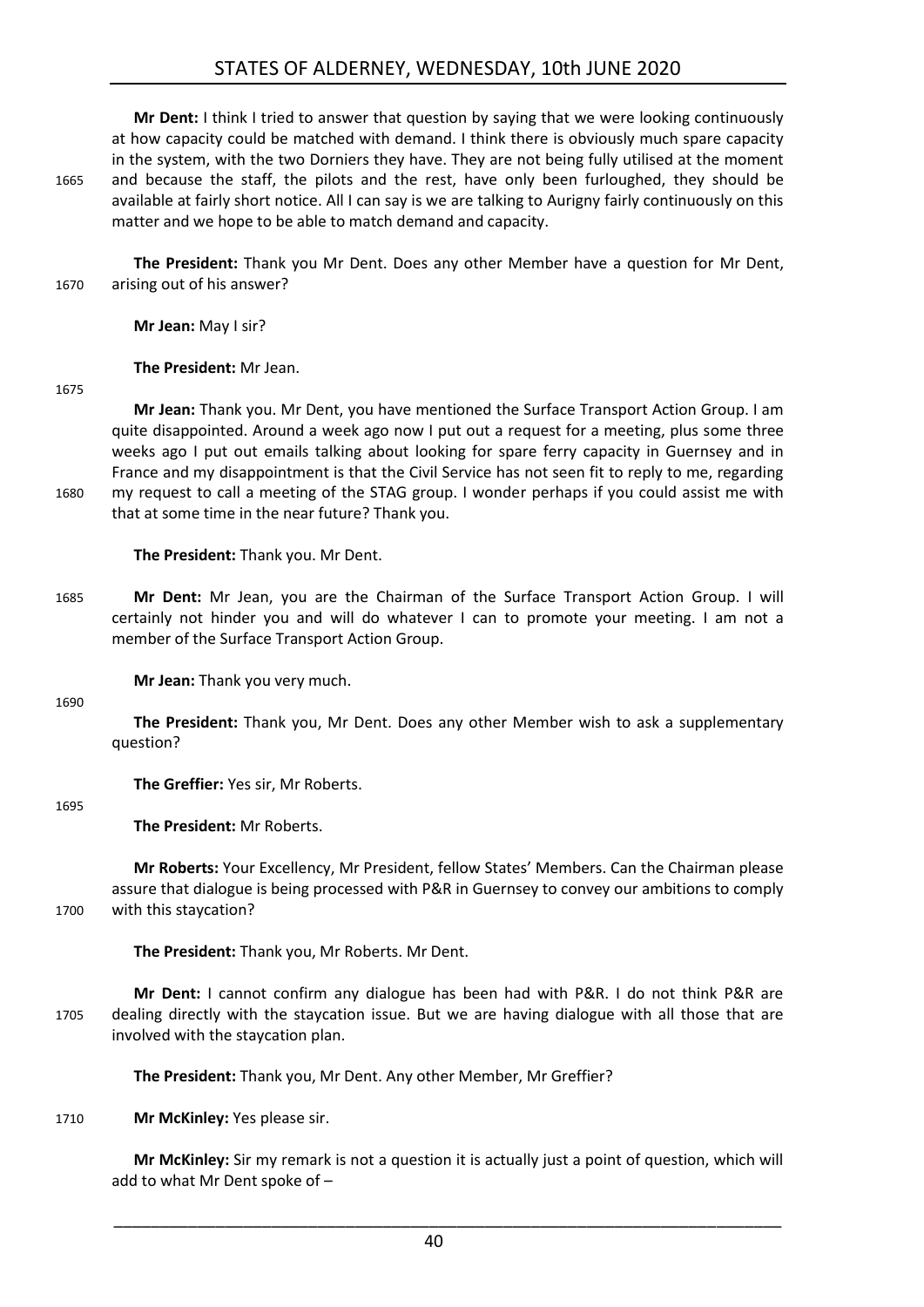### STATES OF ALDERNEY, WEDNESDAY, 10th JUNE 2020

**Mr Dent:** I think I tried to answer that question by saying that we were looking continuously at how capacity could be matched with demand. I think there is obviously much spare capacity in the system, with the two Dorniers they have. They are not being fully utilised at the moment 1665 and because the staff, the pilots and the rest, have only been furloughed, they should be available at fairly short notice. All I can say is we are talking to Aurigny fairly continuously on this matter and we hope to be able to match demand and capacity.

**The President:** Thank you Mr Dent. Does any other Member have a question for Mr Dent, 1670 arising out of his answer?

**Mr Jean:** May I sir?

**The President:** Mr Jean.

1675

**Mr Jean:** Thank you. Mr Dent, you have mentioned the Surface Transport Action Group. I am quite disappointed. Around a week ago now I put out a request for a meeting, plus some three weeks ago I put out emails talking about looking for spare ferry capacity in Guernsey and in France and my disappointment is that the Civil Service has not seen fit to reply to me, regarding 1680 my request to call a meeting of the STAG group. I wonder perhaps if you could assist me with that at some time in the near future? Thank you.

**The President:** Thank you. Mr Dent.

1685 **Mr Dent:** Mr Jean, you are the Chairman of the Surface Transport Action Group. I will certainly not hinder you and will do whatever I can to promote your meeting. I am not a member of the Surface Transport Action Group.

**Mr Jean:** Thank you very much.

1690

**The President:** Thank you, Mr Dent. Does any other Member wish to ask a supplementary question?

**The Greffier:** Yes sir, Mr Roberts.

1695

**The President:** Mr Roberts.

**Mr Roberts:** Your Excellency, Mr President, fellow States' Members. Can the Chairman please assure that dialogue is being processed with P&R in Guernsey to convey our ambitions to comply 1700 with this staycation?

**The President:** Thank you, Mr Roberts. Mr Dent.

**Mr Dent:** I cannot confirm any dialogue has been had with P&R. I do not think P&R are 1705 dealing directly with the staycation issue. But we are having dialogue with all those that are involved with the staycation plan.

**The President:** Thank you, Mr Dent. Any other Member, Mr Greffier?

1710 **Mr McKinley:** Yes please sir.

**Mr McKinley:** Sir my remark is not a question it is actually just a point of question, which will add to what Mr Dent spoke of –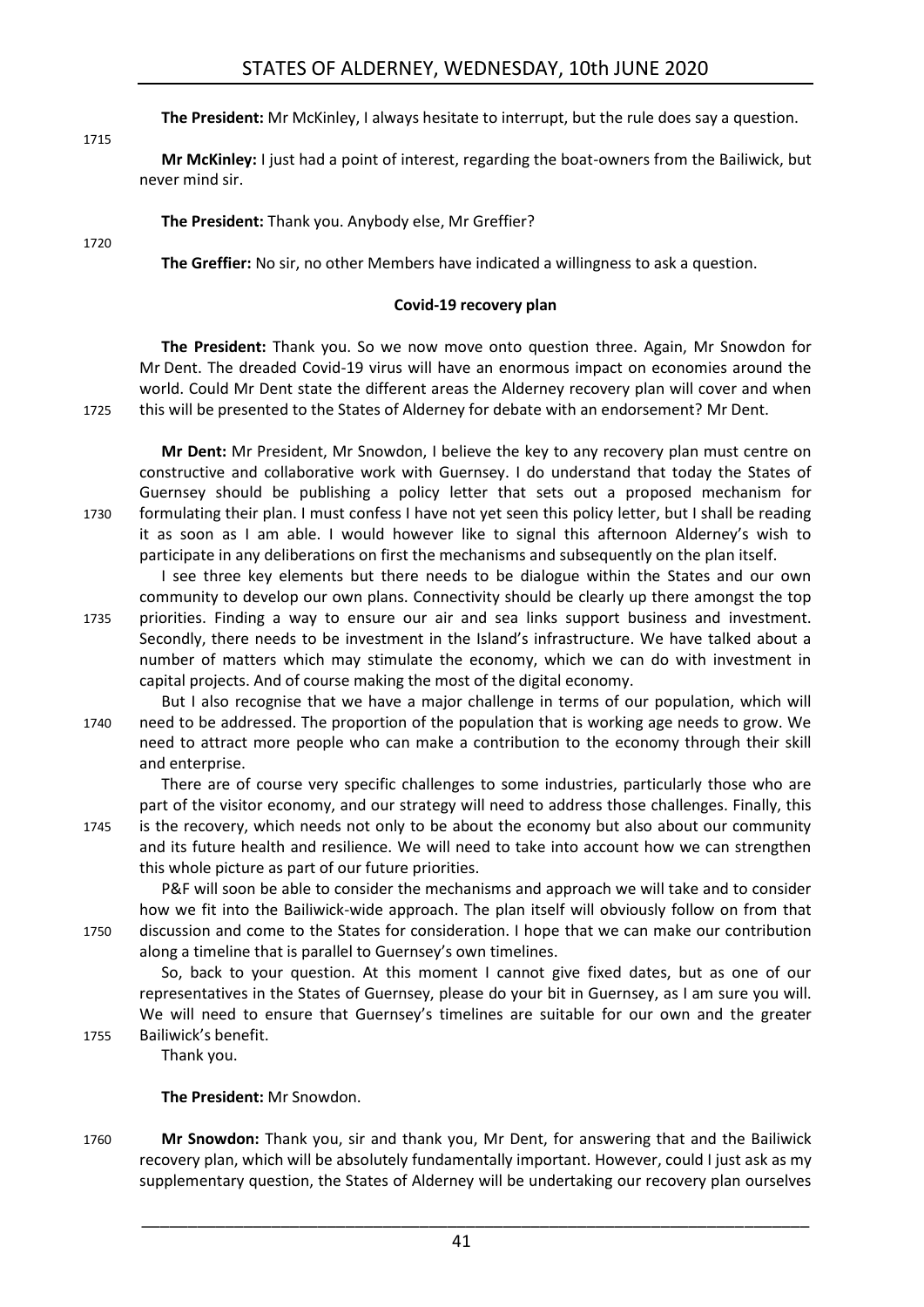**The President:** Mr McKinley, I always hesitate to interrupt, but the rule does say a question.

**Mr McKinley:** I just had a point of interest, regarding the boat-owners from the Bailiwick, but never mind sir.

**The President:** Thank you. Anybody else, Mr Greffier?

1715

1720

<span id="page-40-0"></span>**The Greffier:** No sir, no other Members have indicated a willingness to ask a question.

### **Covid-19 recovery plan**

**The President:** Thank you. So we now move onto question three. Again, Mr Snowdon for Mr Dent. The dreaded Covid-19 virus will have an enormous impact on economies around the world. Could Mr Dent state the different areas the Alderney recovery plan will cover and when 1725 this will be presented to the States of Alderney for debate with an endorsement? Mr Dent.

**Mr Dent:** Mr President, Mr Snowdon, I believe the key to any recovery plan must centre on constructive and collaborative work with Guernsey. I do understand that today the States of Guernsey should be publishing a policy letter that sets out a proposed mechanism for 1730 formulating their plan. I must confess I have not yet seen this policy letter, but I shall be reading it as soon as I am able. I would however like to signal this afternoon Alderney's wish to participate in any deliberations on first the mechanisms and subsequently on the plan itself.

I see three key elements but there needs to be dialogue within the States and our own community to develop our own plans. Connectivity should be clearly up there amongst the top 1735 priorities. Finding a way to ensure our air and sea links support business and investment. Secondly, there needs to be investment in the Island's infrastructure. We have talked about a number of matters which may stimulate the economy, which we can do with investment in capital projects. And of course making the most of the digital economy.

But I also recognise that we have a major challenge in terms of our population, which will 1740 need to be addressed. The proportion of the population that is working age needs to grow. We need to attract more people who can make a contribution to the economy through their skill and enterprise.

There are of course very specific challenges to some industries, particularly those who are part of the visitor economy, and our strategy will need to address those challenges. Finally, this 1745 is the recovery, which needs not only to be about the economy but also about our community and its future health and resilience. We will need to take into account how we can strengthen this whole picture as part of our future priorities.

P&F will soon be able to consider the mechanisms and approach we will take and to consider how we fit into the Bailiwick-wide approach. The plan itself will obviously follow on from that 1750 discussion and come to the States for consideration. I hope that we can make our contribution along a timeline that is parallel to Guernsey's own timelines.

So, back to your question. At this moment I cannot give fixed dates, but as one of our representatives in the States of Guernsey, please do your bit in Guernsey, as I am sure you will. We will need to ensure that Guernsey's timelines are suitable for our own and the greater 1755 Bailiwick's benefit.

Thank you.

### **The President:** Mr Snowdon.

1760 **Mr Snowdon:** Thank you, sir and thank you, Mr Dent, for answering that and the Bailiwick recovery plan, which will be absolutely fundamentally important. However, could I just ask as my supplementary question, the States of Alderney will be undertaking our recovery plan ourselves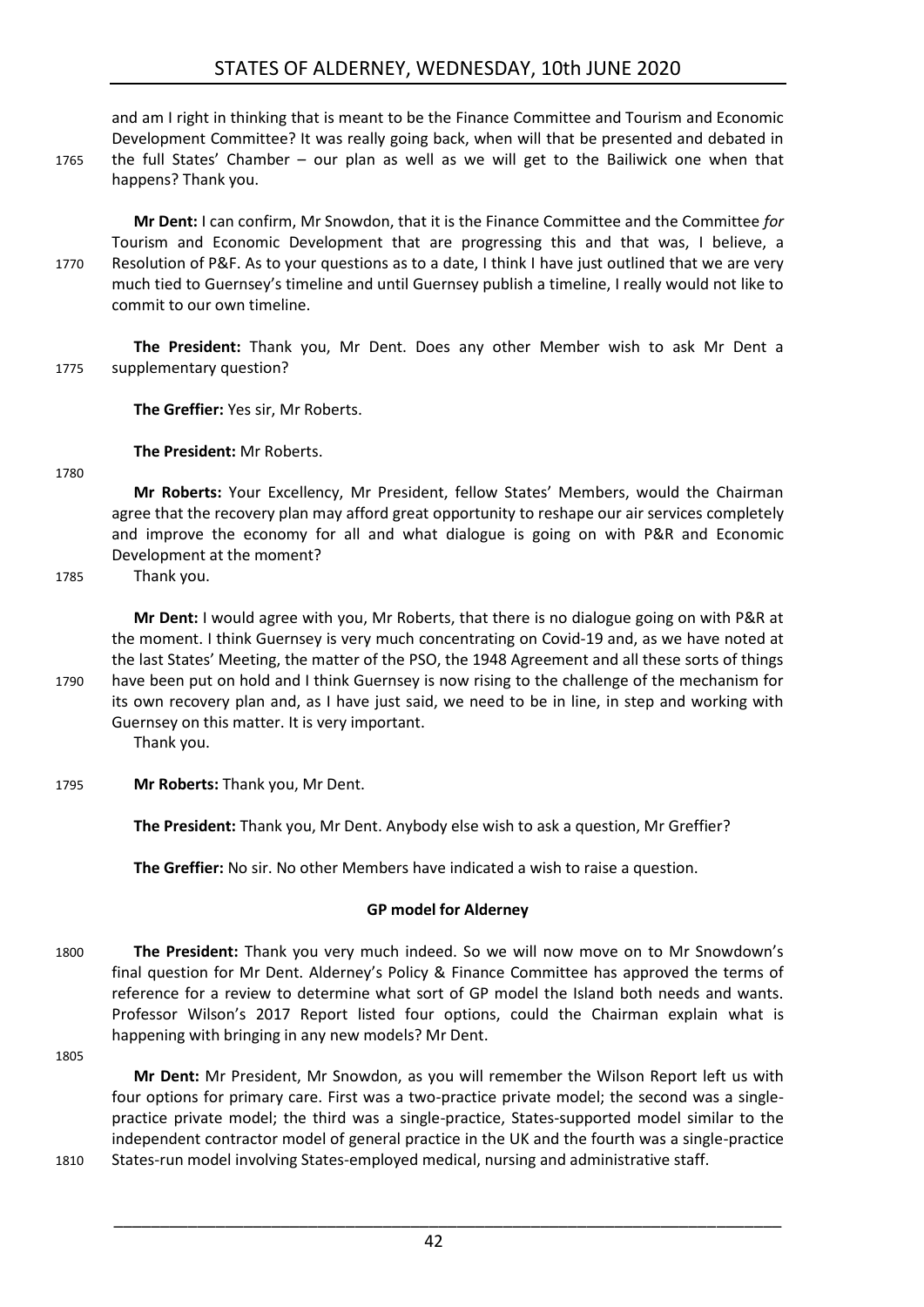and am I right in thinking that is meant to be the Finance Committee and Tourism and Economic Development Committee? It was really going back, when will that be presented and debated in 1765 the full States' Chamber – our plan as well as we will get to the Bailiwick one when that happens? Thank you.

**Mr Dent:** I can confirm, Mr Snowdon, that it is the Finance Committee and the Committee *for*  Tourism and Economic Development that are progressing this and that was, I believe, a 1770 Resolution of P&F. As to your questions as to a date, I think I have just outlined that we are very much tied to Guernsey's timeline and until Guernsey publish a timeline, I really would not like to commit to our own timeline.

**The President:** Thank you, Mr Dent. Does any other Member wish to ask Mr Dent a 1775 supplementary question?

**The Greffier:** Yes sir, Mr Roberts.

**The President:** Mr Roberts.

1780

**Mr Roberts:** Your Excellency, Mr President, fellow States' Members, would the Chairman agree that the recovery plan may afford great opportunity to reshape our air services completely and improve the economy for all and what dialogue is going on with P&R and Economic Development at the moment?

1785 Thank you.

**Mr Dent:** I would agree with you, Mr Roberts, that there is no dialogue going on with P&R at the moment. I think Guernsey is very much concentrating on Covid-19 and, as we have noted at the last States' Meeting, the matter of the PSO, the 1948 Agreement and all these sorts of things 1790 have been put on hold and I think Guernsey is now rising to the challenge of the mechanism for its own recovery plan and, as I have just said, we need to be in line, in step and working with Guernsey on this matter. It is very important.

Thank you.

1795 **Mr Roberts:** Thank you, Mr Dent.

**The President:** Thank you, Mr Dent. Anybody else wish to ask a question, Mr Greffier?

<span id="page-41-0"></span>**The Greffier:** No sir. No other Members have indicated a wish to raise a question.

### **GP model for Alderney**

- 1800 **The President:** Thank you very much indeed. So we will now move on to Mr Snowdown's final question for Mr Dent. Alderney's Policy & Finance Committee has approved the terms of reference for a review to determine what sort of GP model the Island both needs and wants. Professor Wilson's 2017 Report listed four options, could the Chairman explain what is happening with bringing in any new models? Mr Dent.
- 1805

**Mr Dent:** Mr President, Mr Snowdon, as you will remember the Wilson Report left us with four options for primary care. First was a two-practice private model; the second was a singlepractice private model; the third was a single-practice, States-supported model similar to the independent contractor model of general practice in the UK and the fourth was a single-practice 1810 States-run model involving States-employed medical, nursing and administrative staff.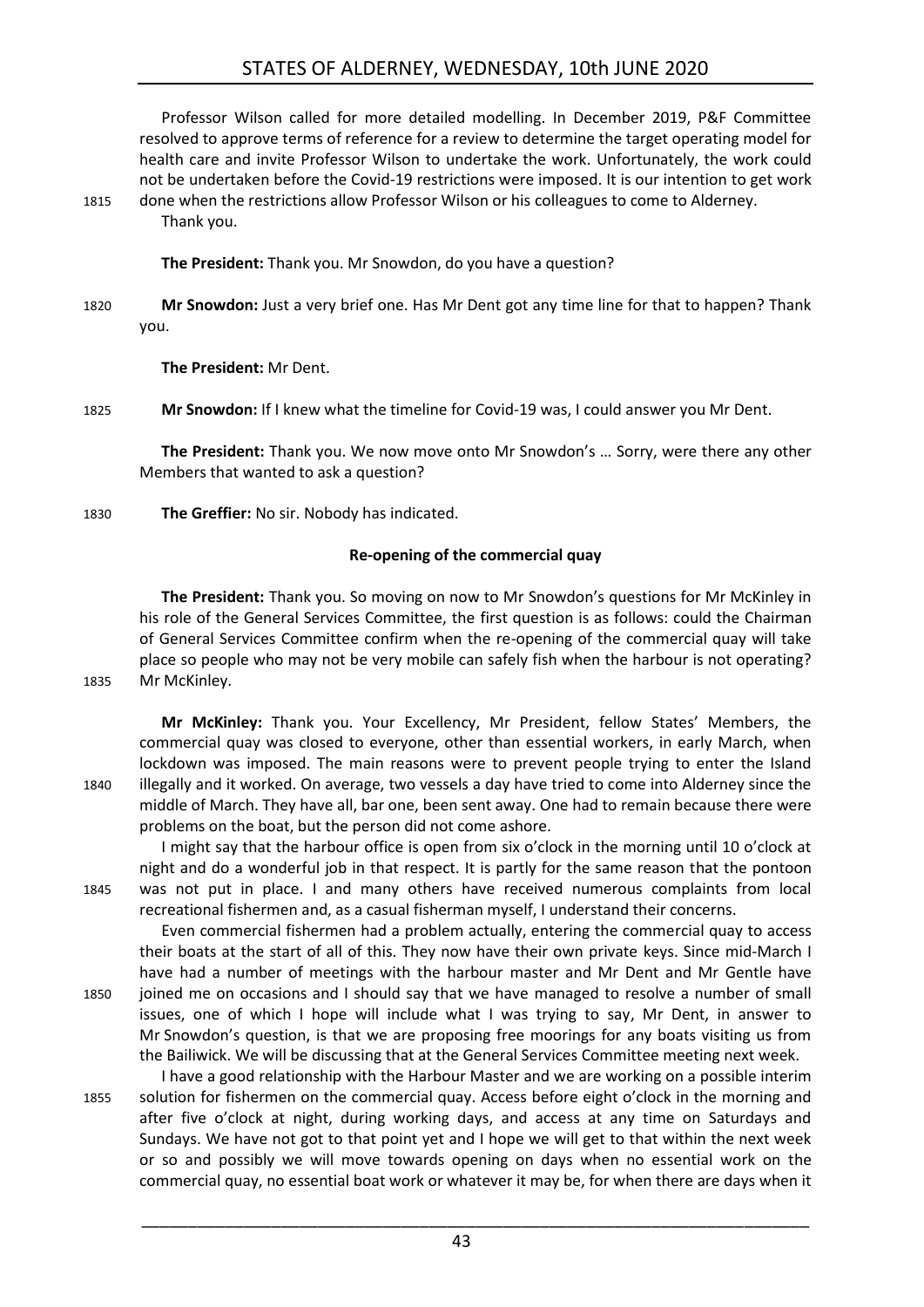### STATES OF ALDERNEY, WEDNESDAY, 10th JUNE 2020

Professor Wilson called for more detailed modelling. In December 2019, P&F Committee resolved to approve terms of reference for a review to determine the target operating model for health care and invite Professor Wilson to undertake the work. Unfortunately, the work could not be undertaken before the Covid-19 restrictions were imposed. It is our intention to get work 1815 done when the restrictions allow Professor Wilson or his colleagues to come to Alderney. Thank you.

**The President:** Thank you. Mr Snowdon, do you have a question?

1820 **Mr Snowdon:** Just a very brief one. Has Mr Dent got any time line for that to happen? Thank you.

**The President:** Mr Dent.

1825 **Mr Snowdon:** If I knew what the timeline for Covid-19 was, I could answer you Mr Dent.

**The President:** Thank you. We now move onto Mr Snowdon's … Sorry, were there any other Members that wanted to ask a question?

<span id="page-42-0"></span>1830 **The Greffier:** No sir. Nobody has indicated.

#### **Re-opening of the commercial quay**

**The President:** Thank you. So moving on now to Mr Snowdon's questions for Mr McKinley in his role of the General Services Committee, the first question is as follows: could the Chairman of General Services Committee confirm when the re-opening of the commercial quay will take place so people who may not be very mobile can safely fish when the harbour is not operating? 1835 Mr McKinley.

**Mr McKinley:** Thank you. Your Excellency, Mr President, fellow States' Members, the commercial quay was closed to everyone, other than essential workers, in early March, when lockdown was imposed. The main reasons were to prevent people trying to enter the Island 1840 illegally and it worked. On average, two vessels a day have tried to come into Alderney since the middle of March. They have all, bar one, been sent away. One had to remain because there were problems on the boat, but the person did not come ashore.

I might say that the harbour office is open from six o'clock in the morning until 10 o'clock at night and do a wonderful job in that respect. It is partly for the same reason that the pontoon 1845 was not put in place. I and many others have received numerous complaints from local recreational fishermen and, as a casual fisherman myself, I understand their concerns.

Even commercial fishermen had a problem actually, entering the commercial quay to access their boats at the start of all of this. They now have their own private keys. Since mid-March I have had a number of meetings with the harbour master and Mr Dent and Mr Gentle have 1850 joined me on occasions and I should say that we have managed to resolve a number of small issues, one of which I hope will include what I was trying to say, Mr Dent, in answer to Mr Snowdon's question, is that we are proposing free moorings for any boats visiting us from the Bailiwick. We will be discussing that at the General Services Committee meeting next week.

I have a good relationship with the Harbour Master and we are working on a possible interim 1855 solution for fishermen on the commercial quay. Access before eight o'clock in the morning and after five o'clock at night, during working days, and access at any time on Saturdays and Sundays. We have not got to that point yet and I hope we will get to that within the next week or so and possibly we will move towards opening on days when no essential work on the commercial quay, no essential boat work or whatever it may be, for when there are days when it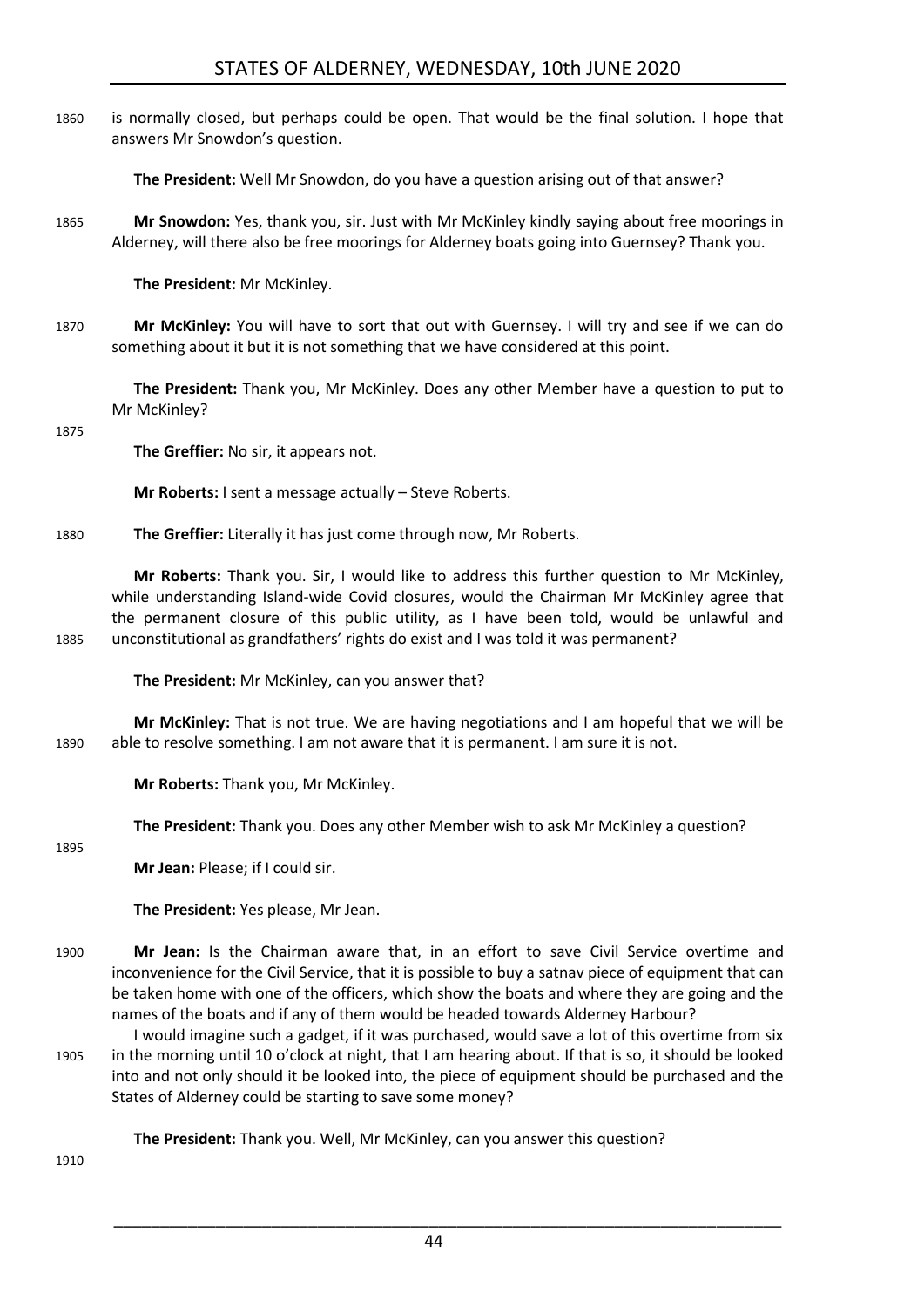1860 is normally closed, but perhaps could be open. That would be the final solution. I hope that answers Mr Snowdon's question.

**The President:** Well Mr Snowdon, do you have a question arising out of that answer?

1865 **Mr Snowdon:** Yes, thank you, sir. Just with Mr McKinley kindly saying about free moorings in Alderney, will there also be free moorings for Alderney boats going into Guernsey? Thank you.

**The President:** Mr McKinley.

1870 **Mr McKinley:** You will have to sort that out with Guernsey. I will try and see if we can do something about it but it is not something that we have considered at this point.

**The President:** Thank you, Mr McKinley. Does any other Member have a question to put to Mr McKinley?

#### 1875

**The Greffier:** No sir, it appears not.

**Mr Roberts:** I sent a message actually – Steve Roberts.

1880 **The Greffier:** Literally it has just come through now, Mr Roberts.

**Mr Roberts:** Thank you. Sir, I would like to address this further question to Mr McKinley, while understanding Island-wide Covid closures, would the Chairman Mr McKinley agree that the permanent closure of this public utility, as I have been told, would be unlawful and 1885 unconstitutional as grandfathers' rights do exist and I was told it was permanent?

**The President:** Mr McKinley, can you answer that?

**Mr McKinley:** That is not true. We are having negotiations and I am hopeful that we will be 1890 able to resolve something. I am not aware that it is permanent. I am sure it is not.

**Mr Roberts:** Thank you, Mr McKinley.

**The President:** Thank you. Does any other Member wish to ask Mr McKinley a question?

1895

**Mr Jean:** Please; if I could sir.

**The President:** Yes please, Mr Jean.

- 1900 **Mr Jean:** Is the Chairman aware that, in an effort to save Civil Service overtime and inconvenience for the Civil Service, that it is possible to buy a satnav piece of equipment that can be taken home with one of the officers, which show the boats and where they are going and the names of the boats and if any of them would be headed towards Alderney Harbour?
- I would imagine such a gadget, if it was purchased, would save a lot of this overtime from six 1905 in the morning until 10 o'clock at night, that I am hearing about. If that is so, it should be looked into and not only should it be looked into, the piece of equipment should be purchased and the States of Alderney could be starting to save some money?

**The President:** Thank you. Well, Mr McKinley, can you answer this question?

1910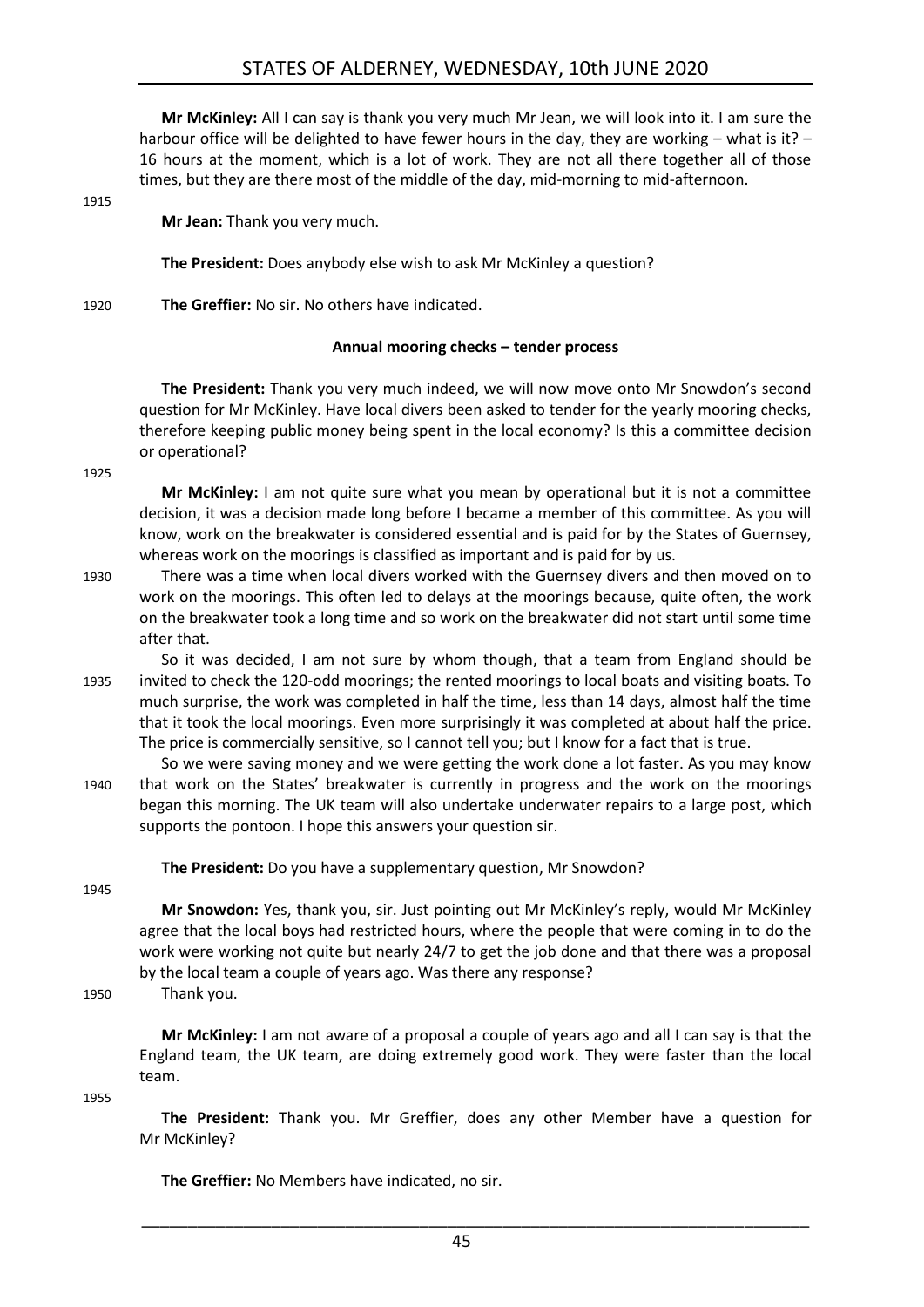**Mr McKinley:** All I can say is thank you very much Mr Jean, we will look into it. I am sure the harbour office will be delighted to have fewer hours in the day, they are working – what is it? – 16 hours at the moment, which is a lot of work. They are not all there together all of those times, but they are there most of the middle of the day, mid-morning to mid-afternoon.

1915

**Mr Jean:** Thank you very much.

**The President:** Does anybody else wish to ask Mr McKinley a question?

1920 **The Greffier:** No sir. No others have indicated.

### **Annual mooring checks – tender process**

<span id="page-44-0"></span>**The President:** Thank you very much indeed, we will now move onto Mr Snowdon's second question for Mr McKinley. Have local divers been asked to tender for the yearly mooring checks, therefore keeping public money being spent in the local economy? Is this a committee decision or operational?

1925

**Mr McKinley:** I am not quite sure what you mean by operational but it is not a committee decision, it was a decision made long before I became a member of this committee. As you will know, work on the breakwater is considered essential and is paid for by the States of Guernsey, whereas work on the moorings is classified as important and is paid for by us.

- 1930 There was a time when local divers worked with the Guernsey divers and then moved on to work on the moorings. This often led to delays at the moorings because, quite often, the work on the breakwater took a long time and so work on the breakwater did not start until some time after that.
- So it was decided, I am not sure by whom though, that a team from England should be 1935 invited to check the 120-odd moorings; the rented moorings to local boats and visiting boats. To much surprise, the work was completed in half the time, less than 14 days, almost half the time that it took the local moorings. Even more surprisingly it was completed at about half the price. The price is commercially sensitive, so I cannot tell you; but I know for a fact that is true.
- So we were saving money and we were getting the work done a lot faster. As you may know 1940 that work on the States' breakwater is currently in progress and the work on the moorings began this morning. The UK team will also undertake underwater repairs to a large post, which supports the pontoon. I hope this answers your question sir.

**The President:** Do you have a supplementary question, Mr Snowdon?

1945

**Mr Snowdon:** Yes, thank you, sir. Just pointing out Mr McKinley's reply, would Mr McKinley agree that the local boys had restricted hours, where the people that were coming in to do the work were working not quite but nearly 24/7 to get the job done and that there was a proposal by the local team a couple of years ago. Was there any response?

1950 Thank you.

**Mr McKinley:** I am not aware of a proposal a couple of years ago and all I can say is that the England team, the UK team, are doing extremely good work. They were faster than the local team.

1955

**The President:** Thank you. Mr Greffier, does any other Member have a question for Mr McKinley?

**The Greffier:** No Members have indicated, no sir.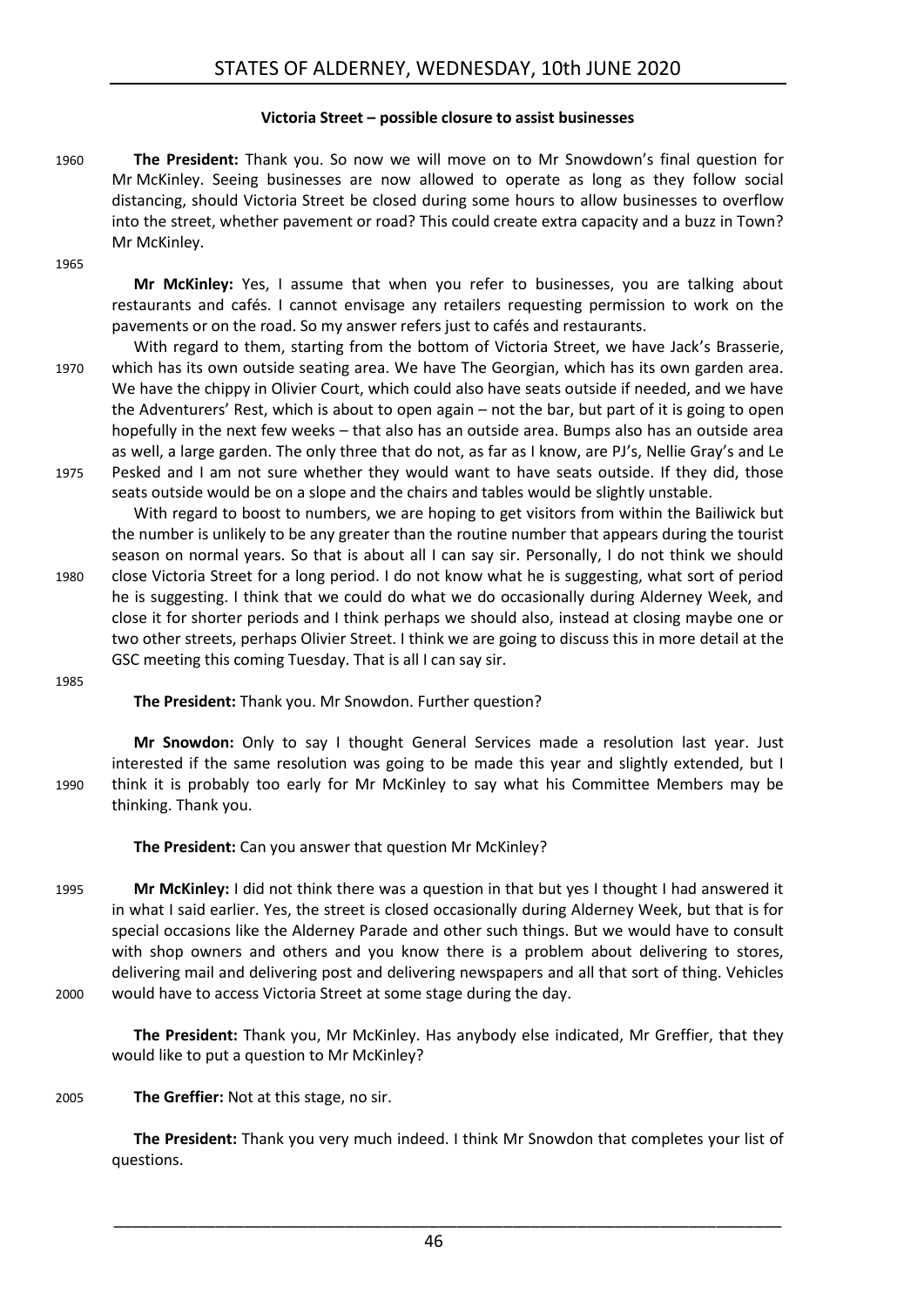### **Victoria Street – possible closure to assist businesses**

- <span id="page-45-0"></span>1960 **The President:** Thank you. So now we will move on to Mr Snowdown's final question for Mr McKinley. Seeing businesses are now allowed to operate as long as they follow social distancing, should Victoria Street be closed during some hours to allow businesses to overflow into the street, whether pavement or road? This could create extra capacity and a buzz in Town? Mr McKinley.
- 1965

**Mr McKinley:** Yes, I assume that when you refer to businesses, you are talking about restaurants and cafés. I cannot envisage any retailers requesting permission to work on the pavements or on the road. So my answer refers just to cafés and restaurants.

- With regard to them, starting from the bottom of Victoria Street, we have Jack's Brasserie, 1970 which has its own outside seating area. We have The Georgian, which has its own garden area. We have the chippy in Olivier Court, which could also have seats outside if needed, and we have the Adventurers' Rest, which is about to open again – not the bar, but part of it is going to open hopefully in the next few weeks – that also has an outside area. Bumps also has an outside area as well, a large garden. The only three that do not, as far as I know, are PJ's, Nellie Gray's and Le 1975 Pesked and I am not sure whether they would want to have seats outside. If they did, those
- seats outside would be on a slope and the chairs and tables would be slightly unstable. With regard to boost to numbers, we are hoping to get visitors from within the Bailiwick but the number is unlikely to be any greater than the routine number that appears during the tourist season on normal years. So that is about all I can say sir. Personally, I do not think we should 1980 close Victoria Street for a long period. I do not know what he is suggesting, what sort of period he is suggesting. I think that we could do what we do occasionally during Alderney Week, and close it for shorter periods and I think perhaps we should also, instead at closing maybe one or two other streets, perhaps Olivier Street. I think we are going to discuss this in more detail at the GSC meeting this coming Tuesday. That is all I can say sir.
- 1985

**The President:** Thank you. Mr Snowdon. Further question?

**Mr Snowdon:** Only to say I thought General Services made a resolution last year. Just interested if the same resolution was going to be made this year and slightly extended, but I 1990 think it is probably too early for Mr McKinley to say what his Committee Members may be thinking. Thank you.

**The President:** Can you answer that question Mr McKinley?

1995 **Mr McKinley:** I did not think there was a question in that but yes I thought I had answered it in what I said earlier. Yes, the street is closed occasionally during Alderney Week, but that is for special occasions like the Alderney Parade and other such things. But we would have to consult with shop owners and others and you know there is a problem about delivering to stores, delivering mail and delivering post and delivering newspapers and all that sort of thing. Vehicles 2000 would have to access Victoria Street at some stage during the day.

**The President:** Thank you, Mr McKinley. Has anybody else indicated, Mr Greffier, that they would like to put a question to Mr McKinley?

2005 **The Greffier:** Not at this stage, no sir.

**The President:** Thank you very much indeed. I think Mr Snowdon that completes your list of questions.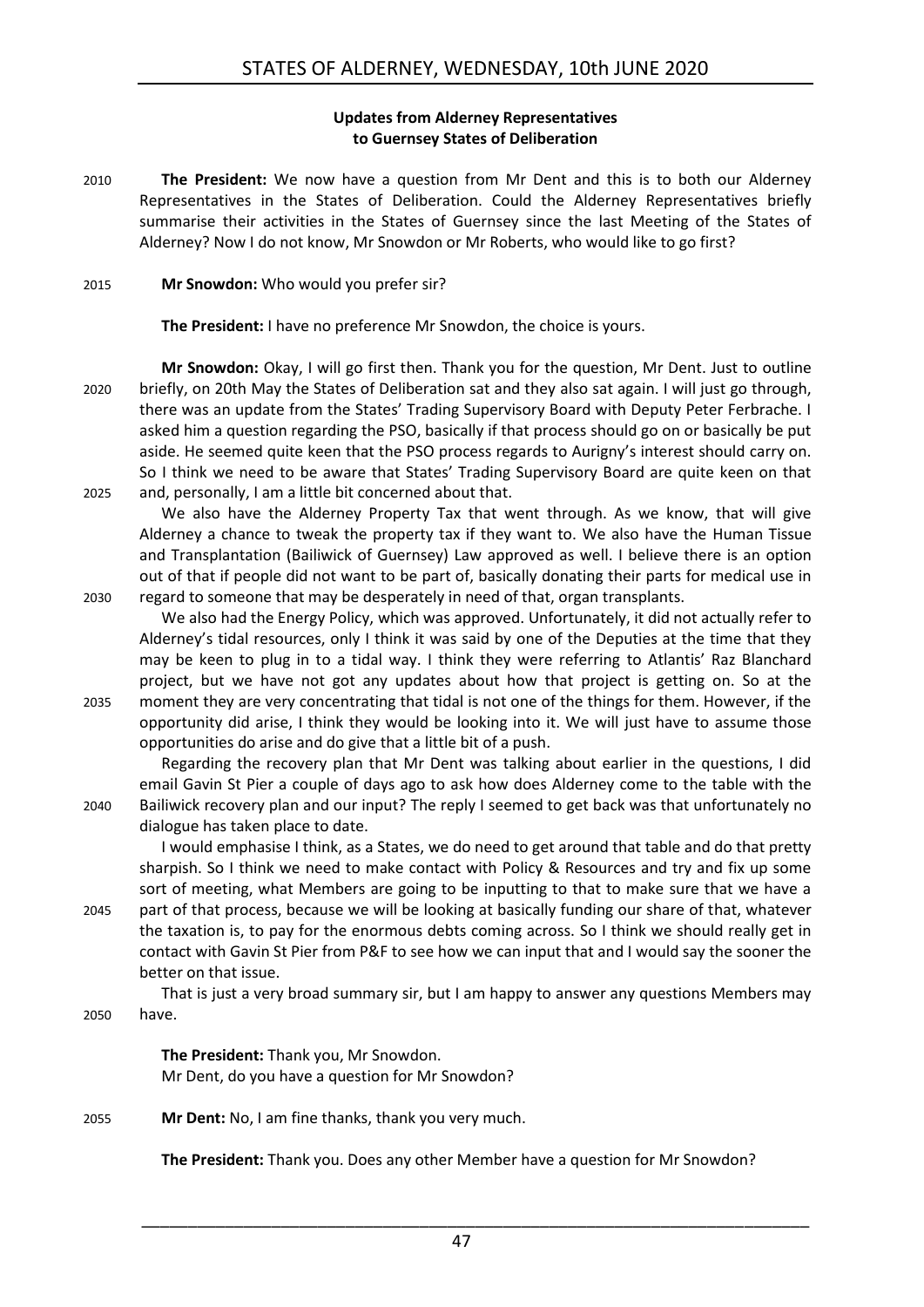### **Updates from Alderney Representatives to Guernsey States of Deliberation**

<span id="page-46-0"></span>2010 **The President:** We now have a question from Mr Dent and this is to both our Alderney Representatives in the States of Deliberation. Could the Alderney Representatives briefly summarise their activities in the States of Guernsey since the last Meeting of the States of Alderney? Now I do not know, Mr Snowdon or Mr Roberts, who would like to go first?

### 2015 **Mr Snowdon:** Who would you prefer sir?

**The President:** I have no preference Mr Snowdon, the choice is yours.

**Mr Snowdon:** Okay, I will go first then. Thank you for the question, Mr Dent. Just to outline 2020 briefly, on 20th May the States of Deliberation sat and they also sat again. I will just go through, there was an update from the States' Trading Supervisory Board with Deputy Peter Ferbrache. I asked him a question regarding the PSO, basically if that process should go on or basically be put aside. He seemed quite keen that the PSO process regards to Aurigny's interest should carry on. So I think we need to be aware that States' Trading Supervisory Board are quite keen on that 2025 and, personally, I am a little bit concerned about that.

We also have the Alderney Property Tax that went through. As we know, that will give Alderney a chance to tweak the property tax if they want to. We also have the Human Tissue and Transplantation (Bailiwick of Guernsey) Law approved as well. I believe there is an option out of that if people did not want to be part of, basically donating their parts for medical use in 2030 regard to someone that may be desperately in need of that, organ transplants.

We also had the Energy Policy, which was approved. Unfortunately, it did not actually refer to Alderney's tidal resources, only I think it was said by one of the Deputies at the time that they may be keen to plug in to a tidal way. I think they were referring to Atlantis' Raz Blanchard project, but we have not got any updates about how that project is getting on. So at the 2035 moment they are very concentrating that tidal is not one of the things for them. However, if the opportunity did arise, I think they would be looking into it. We will just have to assume those opportunities do arise and do give that a little bit of a push.

Regarding the recovery plan that Mr Dent was talking about earlier in the questions, I did email Gavin St Pier a couple of days ago to ask how does Alderney come to the table with the 2040 Bailiwick recovery plan and our input? The reply I seemed to get back was that unfortunately no dialogue has taken place to date.

I would emphasise I think, as a States, we do need to get around that table and do that pretty sharpish. So I think we need to make contact with Policy & Resources and try and fix up some sort of meeting, what Members are going to be inputting to that to make sure that we have a 2045 part of that process, because we will be looking at basically funding our share of that, whatever the taxation is, to pay for the enormous debts coming across. So I think we should really get in

contact with Gavin St Pier from P&F to see how we can input that and I would say the sooner the better on that issue.

That is just a very broad summary sir, but I am happy to answer any questions Members may 2050 have.

> **The President:** Thank you, Mr Snowdon. Mr Dent, do you have a question for Mr Snowdon?

2055 **Mr Dent:** No, I am fine thanks, thank you very much.

**The President:** Thank you. Does any other Member have a question for Mr Snowdon?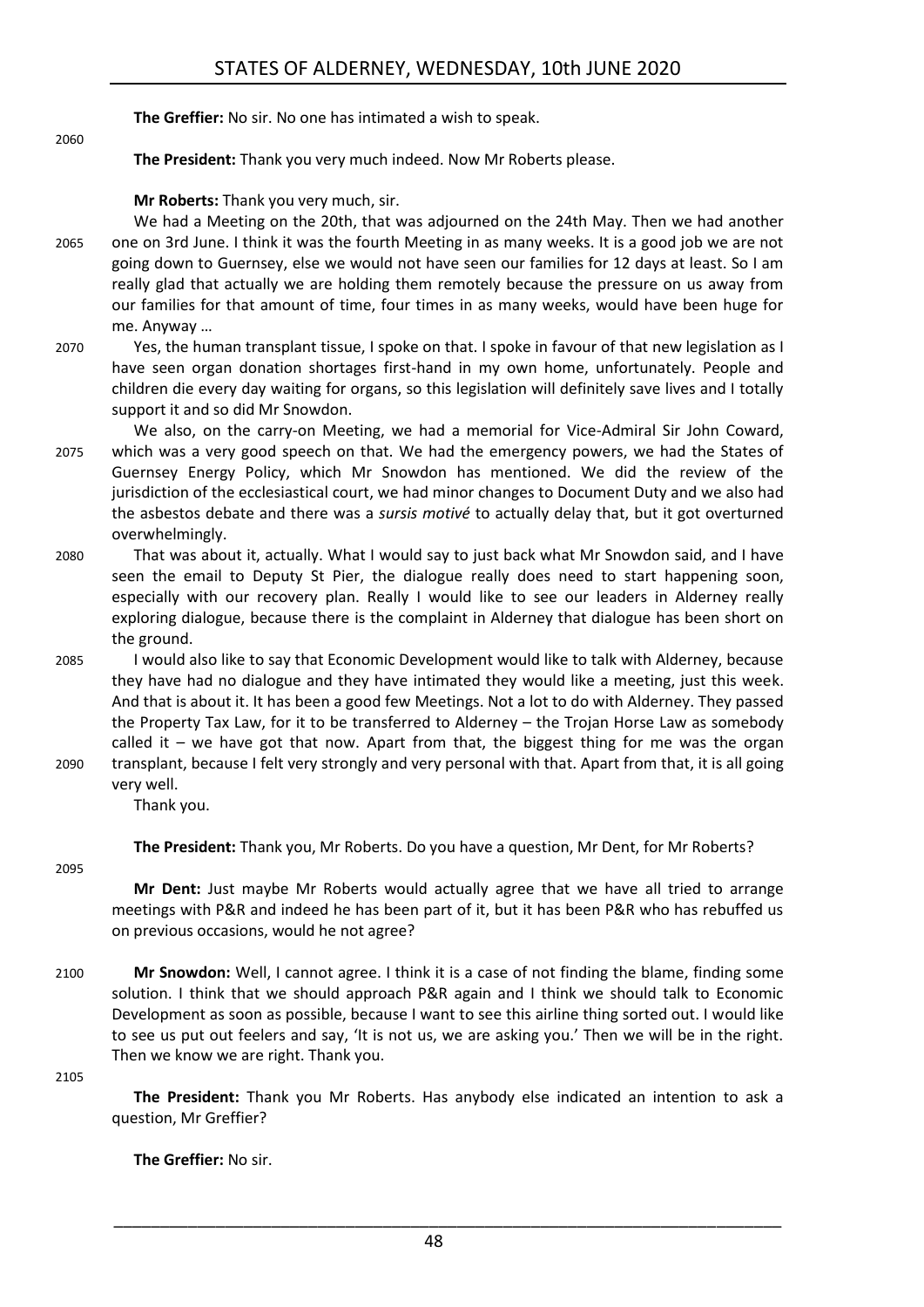**The Greffier:** No sir. No one has intimated a wish to speak.

**The President:** Thank you very much indeed. Now Mr Roberts please.

**Mr Roberts:** Thank you very much, sir.

- We had a Meeting on the 20th, that was adjourned on the 24th May. Then we had another 2065 one on 3rd June. I think it was the fourth Meeting in as many weeks. It is a good job we are not going down to Guernsey, else we would not have seen our families for 12 days at least. So I am really glad that actually we are holding them remotely because the pressure on us away from our families for that amount of time, four times in as many weeks, would have been huge for me. Anyway …
- 2070 Yes, the human transplant tissue, I spoke on that. I spoke in favour of that new legislation as I have seen organ donation shortages first-hand in my own home, unfortunately. People and children die every day waiting for organs, so this legislation will definitely save lives and I totally support it and so did Mr Snowdon.
- We also, on the carry-on Meeting, we had a memorial for Vice-Admiral Sir John Coward, 2075 which was a very good speech on that. We had the emergency powers, we had the States of Guernsey Energy Policy, which Mr Snowdon has mentioned. We did the review of the jurisdiction of the ecclesiastical court, we had minor changes to Document Duty and we also had the asbestos debate and there was a *sursis motivé* to actually delay that, but it got overturned overwhelmingly.
- 2080 That was about it, actually. What I would say to just back what Mr Snowdon said, and I have seen the email to Deputy St Pier, the dialogue really does need to start happening soon, especially with our recovery plan. Really I would like to see our leaders in Alderney really exploring dialogue, because there is the complaint in Alderney that dialogue has been short on the ground.
- 2085 I would also like to say that Economic Development would like to talk with Alderney, because they have had no dialogue and they have intimated they would like a meeting, just this week. And that is about it. It has been a good few Meetings. Not a lot to do with Alderney. They passed the Property Tax Law, for it to be transferred to Alderney – the Trojan Horse Law as somebody called it – we have got that now. Apart from that, the biggest thing for me was the organ 2090 transplant, because I felt very strongly and very personal with that. Apart from that, it is all going
	-

very well. Thank you.

**The President:** Thank you, Mr Roberts. Do you have a question, Mr Dent, for Mr Roberts?

2095

2060

**Mr Dent:** Just maybe Mr Roberts would actually agree that we have all tried to arrange meetings with P&R and indeed he has been part of it, but it has been P&R who has rebuffed us on previous occasions, would he not agree?

2100 **Mr Snowdon:** Well, I cannot agree. I think it is a case of not finding the blame, finding some solution. I think that we should approach P&R again and I think we should talk to Economic Development as soon as possible, because I want to see this airline thing sorted out. I would like to see us put out feelers and say, 'It is not us, we are asking you.' Then we will be in the right. Then we know we are right. Thank you.

2105

**The President:** Thank you Mr Roberts. Has anybody else indicated an intention to ask a question, Mr Greffier?

**The Greffier:** No sir.